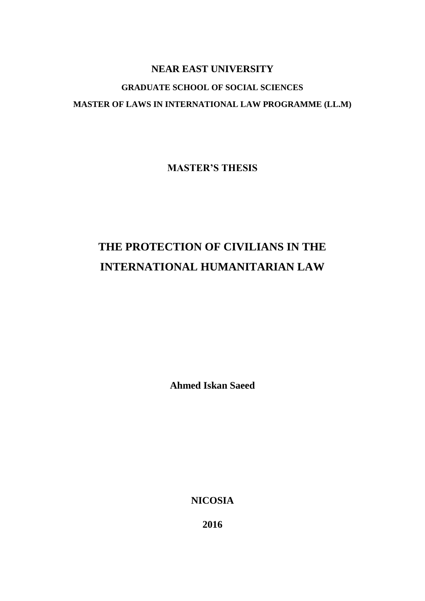# **NEAR EAST UNIVERSITY GRADUATE SCHOOL OF SOCIAL SCIENCES MASTER OF LAWS IN INTERNATIONAL LAW PROGRAMME (LL.M)**

**MASTER'S THESIS**

# **THE PROTECTION OF CIVILIANS IN THE INTERNATIONAL HUMANITARIAN LAW**

**Ahmed Iskan Saeed**

**NICOSIA**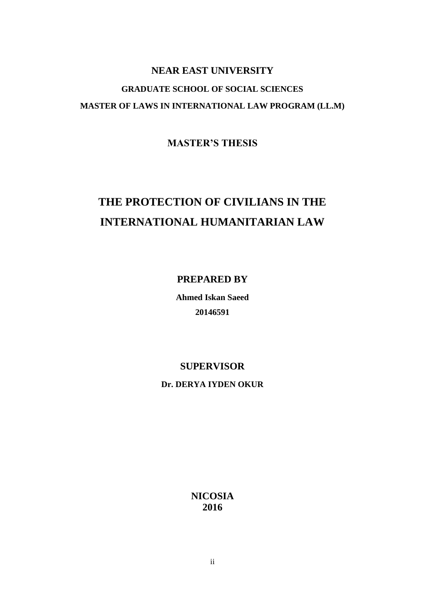# **NEAR EAST UNIVERSITY GRADUATE SCHOOL OF SOCIAL SCIENCES MASTER OF LAWS IN INTERNATIONAL LAW PROGRAM (LL.M)**

**MASTER'S THESIS**

# **THE PROTECTION OF CIVILIANS IN THE INTERNATIONAL HUMANITARIAN LAW**

**PREPARED BY**

**Ahmed Iskan Saeed 20146591**

## **SUPERVISOR**

**Dr. DERYA IYDEN OKUR**

**NICOSIA 2016**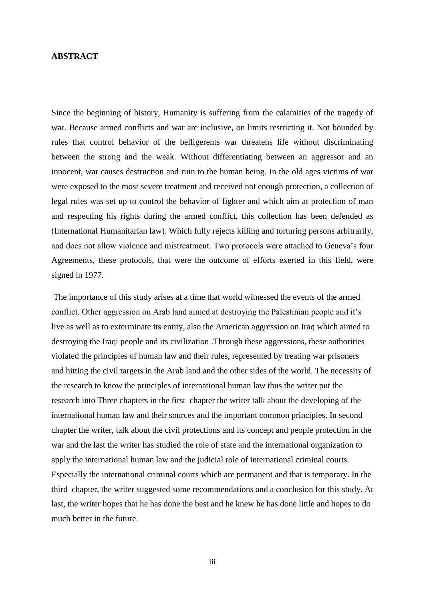#### <span id="page-2-0"></span>**ABSTRACT**

Since the beginning of history, Humanity is suffering from the calamities of the tragedy of war. Because armed conflicts and war are inclusive, on limits restricting it. Not bounded by rules that control behavior of the belligerents war threatens life without discriminating between the strong and the weak. Without differentiating between an aggressor and an innocent, war causes destruction and ruin to the human being. In the old ages victims of war were exposed to the most severe treatment and received not enough protection, a collection of legal rules was set up to control the behavior of fighter and which aim at protection of man and respecting his rights during the armed conflict, this collection has been defended as (International Humanitarian law). Which fully rejects killing and torturing persons arbitrarily, and does not allow violence and mistreatment. Two protocols were attached to Geneva's four Agreements, these protocols, that were the outcome of efforts exerted in this field, were signed in 1977.

The importance of this study arises at a time that world witnessed the events of the armed conflict. Other aggression on Arab land aimed at destroying the Palestinian people and it's live as well as to exterminate its entity, also the American aggression on Iraq which aimed to destroying the Iraqi people and its civilization .Through these aggressions, these authorities violated the principles of human law and their rules, represented by treating war prisoners and hitting the civil targets in the Arab land and the other sides of the world. The necessity of the research to know the principles of international human law thus the writer put the research into Three chapters in the first chapter the writer talk about the developing of the international human law and their sources and the important common principles. In second chapter the writer, talk about the civil protections and its concept and people protection in the war and the last the writer has studied the role of state and the international organization to apply the international human law and the judicial role of international criminal courts. Especially the international criminal courts which are permanent and that is temporary. In the third chapter, the writer suggested some recommendations and a conclusion for this study. At last, the writer hopes that he has done the best and he knew he has done little and hopes to do much better in the future.

iii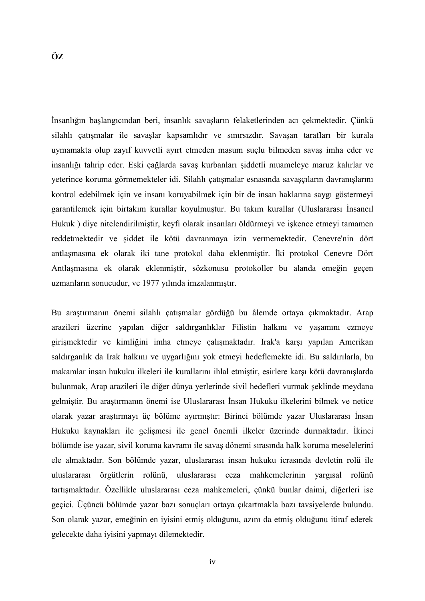<span id="page-3-0"></span>İnsanlığın başlangıcından beri, insanlık savaşların felaketlerinden acı çekmektedir. Çünkü silahlı çatışmalar ile savaşlar kapsamlıdır ve sınırsızdır. Savaşan tarafları bir kurala uymamakta olup zayıf kuvvetli ayırt etmeden masum suçlu bilmeden savaş imha eder ve insanlığı tahrip eder. Eski çağlarda savaş kurbanları şiddetli muameleye maruz kalırlar ve yeterince koruma görmemekteler idi. Silahlı çatışmalar esnasında savaşçıların davranışlarını kontrol edebilmek için ve insanı koruyabilmek için bir de insan haklarına saygı göstermeyi garantilemek için birtakım kurallar koyulmuştur. Bu takım kurallar (Uluslararası İnsancıl Hukuk ) diye nitelendirilmiştir, keyfi olarak insanları öldürmeyi ve işkence etmeyi tamamen reddetmektedir ve şiddet ile kötü davranmaya izin vermemektedir. Cenevre'nin dört antlaşmasına ek olarak iki tane protokol daha eklenmiştir. İki protokol Cenevre Dört

Antlaşmasına ek olarak eklenmiştir, sözkonusu protokoller bu alanda emeğin geçen

uzmanların sonucudur, ve 1977 yılında imzalanmıştır.

Bu araştırmanın önemi silahlı çatışmalar gördüğü bu âlemde ortaya çıkmaktadır. Arap arazileri üzerine yapılan diğer saldırganlıklar Filistin halkını ve yaşamını ezmeye girişmektedir ve kimliğini imha etmeye çalışmaktadır. Irak'a karşı yapılan Amerikan saldırganlık da Irak halkını ve uygarlığını yok etmeyi hedeflemekte idi. Bu saldırılarla, bu makamlar insan hukuku ilkeleri ile kurallarını ihlal etmiştir, esirlere karşı kötü davranışlarda bulunmak, Arap arazileri ile diğer dünya yerlerinde sivil hedefleri vurmak şeklinde meydana gelmiştir. Bu araştırmanın önemi ise Uluslararası İnsan Hukuku ilkelerini bilmek ve netice olarak yazar araştırmayı üç bölüme ayırmıştır: Birinci bölümde yazar Uluslararası İnsan Hukuku kaynakları ile gelişmesi ile genel önemli ilkeler üzerinde durmaktadır. İkinci bölümde ise yazar, sivil koruma kavramı ile savaş dönemi sırasında halk koruma meselelerini ele almaktadır. Son bölümde yazar, uluslararası insan hukuku icrasında devletin rolü ile uluslararası örgütlerin rolünü, uluslararası ceza mahkemelerinin yargısal rolünü tartışmaktadır. Özellikle uluslararası ceza mahkemeleri, çünkü bunlar daimi, diğerleri ise geçici. Üçüncü bölümde yazar bazı sonuçları ortaya çıkartmakla bazı tavsiyelerde bulundu. Son olarak yazar, emeğinin en iyisini etmiş olduğunu, azını da etmiş olduğunu itiraf ederek gelecekte daha iyisini yapmayı dilemektedir.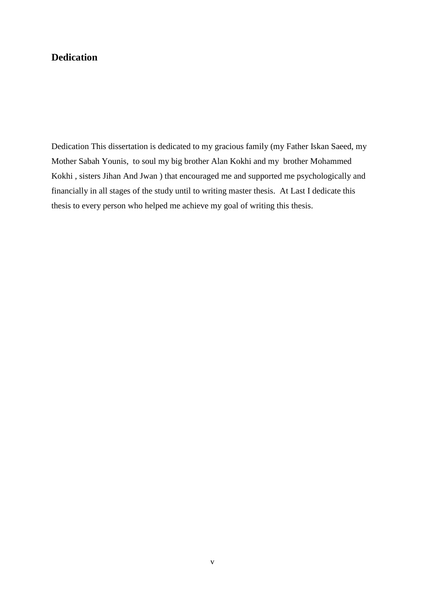### <span id="page-4-0"></span>**Dedication**

Dedication This dissertation is dedicated to my gracious family (my Father Iskan Saeed, my Mother Sabah Younis, to soul my big brother Alan Kokhi and my brother Mohammed Kokhi , sisters Jihan And Jwan ) that encouraged me and supported me psychologically and financially in all stages of the study until to writing master thesis. At Last I dedicate this thesis to every person who helped me achieve my goal of writing this thesis.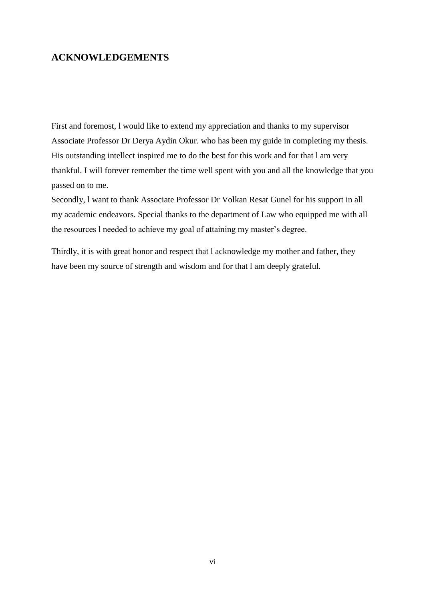### <span id="page-5-0"></span>**ACKNOWLEDGEMENTS**

First and foremost, l would like to extend my appreciation and thanks to my supervisor Associate Professor Dr Derya Aydin Okur. who has been my guide in completing my thesis. His outstanding intellect inspired me to do the best for this work and for that l am very thankful. I will forever remember the time well spent with you and all the knowledge that you passed on to me.

Secondly, l want to thank Associate Professor Dr Volkan Resat Gunel for his support in all my academic endeavors. Special thanks to the department of Law who equipped me with all the resources l needed to achieve my goal of attaining my master's degree.

Thirdly, it is with great honor and respect that l acknowledge my mother and father, they have been my source of strength and wisdom and for that l am deeply grateful.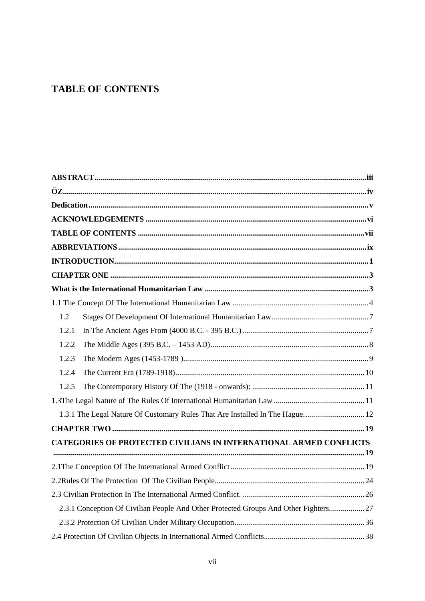## <span id="page-6-0"></span>**TABLE OF CONTENTS**

| 1.2                                                                                  |  |
|--------------------------------------------------------------------------------------|--|
| 1.2.1                                                                                |  |
| 1.2.2                                                                                |  |
| 1.2.3                                                                                |  |
| 1.2.4                                                                                |  |
| 1.2.5                                                                                |  |
|                                                                                      |  |
| 1.3.1 The Legal Nature Of Customary Rules That Are Installed In The Hague 12         |  |
|                                                                                      |  |
| CATEGORIES OF PROTECTED CIVILIANS IN INTERNATIONAL ARMED CONFLICTS                   |  |
|                                                                                      |  |
|                                                                                      |  |
|                                                                                      |  |
|                                                                                      |  |
| 2.3.1 Conception Of Civilian People And Other Protected Groups And Other Fighters 27 |  |
|                                                                                      |  |
|                                                                                      |  |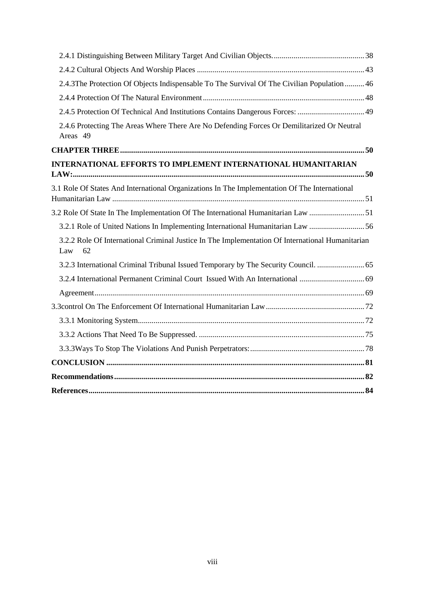| 2.4.3The Protection Of Objects Indispensable To The Survival Of The Civilian Population  46                   |  |
|---------------------------------------------------------------------------------------------------------------|--|
|                                                                                                               |  |
| 2.4.5 Protection Of Technical And Institutions Contains Dangerous Forces: 49                                  |  |
| 2.4.6 Protecting The Areas Where There Are No Defending Forces Or Demilitarized Or Neutral<br>Areas 49        |  |
|                                                                                                               |  |
| INTERNATIONAL EFFORTS TO IMPLEMENT INTERNATIONAL HUMANITARIAN                                                 |  |
| 3.1 Role Of States And International Organizations In The Implementation Of The International                 |  |
| 3.2 Role Of State In The Implementation Of The International Humanitarian Law 51                              |  |
| 3.2.1 Role of United Nations In Implementing International Humanitarian Law 56                                |  |
| 3.2.2 Role Of International Criminal Justice In The Implementation Of International Humanitarian<br>62<br>Law |  |
| 3.2.3 International Criminal Tribunal Issued Temporary by The Security Council.                               |  |
|                                                                                                               |  |
|                                                                                                               |  |
|                                                                                                               |  |
|                                                                                                               |  |
|                                                                                                               |  |
|                                                                                                               |  |
|                                                                                                               |  |
|                                                                                                               |  |
|                                                                                                               |  |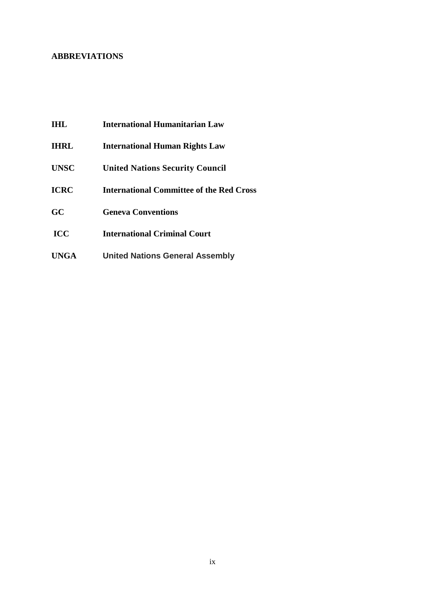#### <span id="page-8-0"></span>**ABBREVIATIONS**

- **IHL International Humanitarian Law**
- **IHRL International Human Rights Law**
- **UNSC United Nations Security Council**
- **ICRC International Committee of the Red Cross**
- **GC Geneva Conventions**
- **ICC International Criminal Court**
- **UNGA United Nations General Assembly**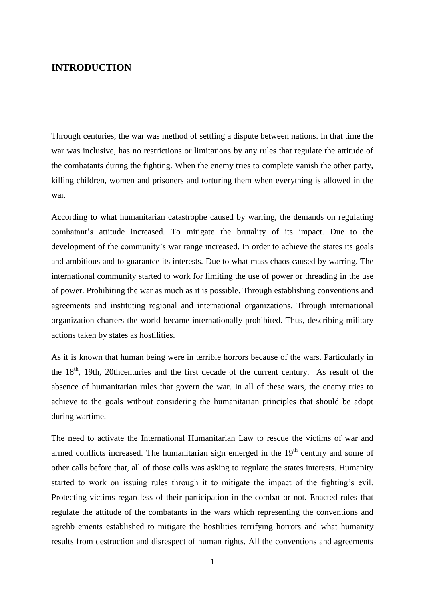### <span id="page-9-0"></span>**INTRODUCTION**

Through centuries, the war was method of settling a dispute between nations. In that time the war was inclusive, has no restrictions or limitations by any rules that regulate the attitude of the combatants during the fighting. When the enemy tries to complete vanish the other party, killing children, women and prisoners and torturing them when everything is allowed in the war.

According to what humanitarian catastrophe caused by warring, the demands on regulating combatant's attitude increased. To mitigate the brutality of its impact. Due to the development of the community's war range increased. In order to achieve the states its goals and ambitious and to guarantee its interests. Due to what mass chaos caused by warring. The international community started to work for limiting the use of power or threading in the use of power. Prohibiting the war as much as it is possible. Through establishing conventions and agreements and instituting regional and international organizations. Through international organization charters the world became internationally prohibited. Thus, describing military actions taken by states as hostilities.

As it is known that human being were in terrible horrors because of the wars. Particularly in the 18<sup>th</sup>, 19th, 20thcenturies and the first decade of the current century. As result of the absence of humanitarian rules that govern the war. In all of these wars, the enemy tries to achieve to the goals without considering the humanitarian principles that should be adopt during wartime.

The need to activate the International Humanitarian Law to rescue the victims of war and armed conflicts increased. The humanitarian sign emerged in the 19<sup>th</sup> century and some of other calls before that, all of those calls was asking to regulate the states interests. Humanity started to work on issuing rules through it to mitigate the impact of the fighting's evil. Protecting victims regardless of their participation in the combat or not. Enacted rules that regulate the attitude of the combatants in the wars which representing the conventions and agrehb ements established to mitigate the hostilities terrifying horrors and what humanity results from destruction and disrespect of human rights. All the conventions and agreements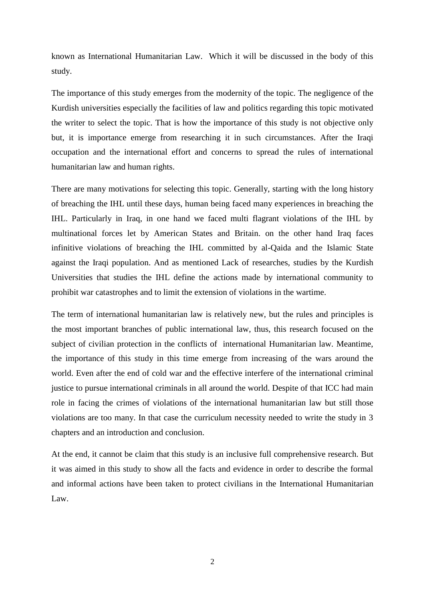known as International Humanitarian Law. Which it will be discussed in the body of this study.

The importance of this study emerges from the modernity of the topic. The negligence of the Kurdish universities especially the facilities of law and politics regarding this topic motivated the writer to select the topic. That is how the importance of this study is not objective only but, it is importance emerge from researching it in such circumstances. After the Iraqi occupation and the international effort and concerns to spread the rules of international humanitarian law and human rights.

There are many motivations for selecting this topic. Generally, starting with the long history of breaching the IHL until these days, human being faced many experiences in breaching the IHL. Particularly in Iraq, in one hand we faced multi flagrant violations of the IHL by multinational forces let by American States and Britain. on the other hand Iraq faces infinitive violations of breaching the IHL committed by al-Qaida and the Islamic State against the Iraqi population. And as mentioned Lack of researches, studies by the Kurdish Universities that studies the IHL define the actions made by international community to prohibit war catastrophes and to limit the extension of violations in the wartime.

The term of international humanitarian law is relatively new, but the rules and principles is the most important branches of public international law, thus, this research focused on the subject of civilian protection in the conflicts of international Humanitarian law. Meantime, the importance of this study in this time emerge from increasing of the wars around the world. Even after the end of cold war and the effective interfere of the international criminal justice to pursue international criminals in all around the world. Despite of that ICC had main role in facing the crimes of violations of the international humanitarian law but still those violations are too many. In that case the curriculum necessity needed to write the study in 3 chapters and an introduction and conclusion.

At the end, it cannot be claim that this study is an inclusive full comprehensive research. But it was aimed in this study to show all the facts and evidence in order to describe the formal and informal actions have been taken to protect civilians in the International Humanitarian Law.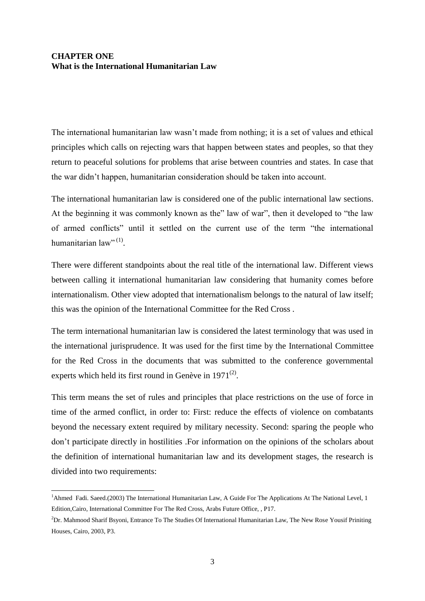### <span id="page-11-1"></span><span id="page-11-0"></span>**CHAPTER ONE What is the International Humanitarian Law**

The international humanitarian law wasn't made from nothing; it is a set of values and ethical principles which calls on rejecting wars that happen between states and peoples, so that they return to peaceful solutions for problems that arise between countries and states. In case that the war didn't happen, humanitarian consideration should be taken into account.

The international humanitarian law is considered one of the public international law sections. At the beginning it was commonly known as the" law of war", then it developed to "the law of armed conflicts" until it settled on the current use of the term "the international humanitarian law" $^{(1)}$ .

There were different standpoints about the real title of the international law. Different views between calling it international humanitarian law considering that humanity comes before internationalism. Other view adopted that internationalism belongs to the natural of law itself; this was the opinion of the International Committee for the Red Cross .

The term international humanitarian law is considered the latest terminology that was used in the international jurisprudence. It was used for the first time by the International Committee for the Red Cross in the documents that was submitted to the conference governmental experts which held its first round in Genève in  $1971^{(2)}$ .

This term means the set of rules and principles that place restrictions on the use of force in time of the armed conflict, in order to: First: reduce the effects of violence on combatants beyond the necessary extent required by military necessity. Second: sparing the people who don't participate directly in hostilities .For information on the opinions of the scholars about the definition of international humanitarian law and its development stages, the research is divided into two requirements:

<sup>&</sup>lt;sup>1</sup>Ahmed Fadi. Saeed.(2003) The International Humanitarian Law, A Guide For The Applications At The National Level, 1 Edition,Cairo, International Committee For The Red Cross, Arabs Future Office, , P17.

<sup>2</sup>Dr. Mahmood Sharif Bsyoni, Entrance To The Studies Of International Humanitarian Law, The New Rose Yousif Priniting Houses, Cairo, 2003, P3.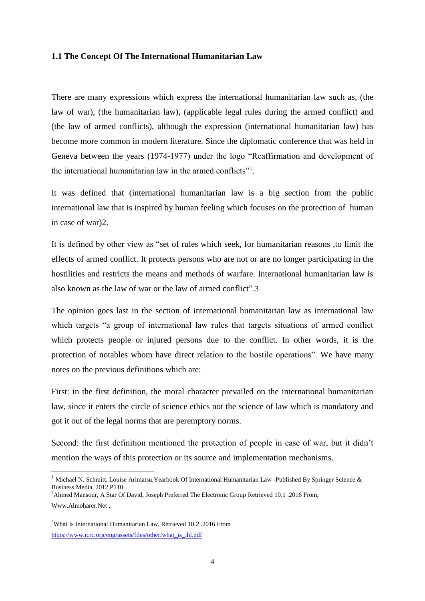#### <span id="page-12-0"></span>**1.1 The Concept Of The International Humanitarian Law**

There are many expressions which express the international humanitarian law such as, (the law of war), (the humanitarian law), (applicable legal rules during the armed conflict) and (the law of armed conflicts), although the expression (international humanitarian law) has become more common in modern literature. Since the diplomatic conference that was held in Geneva between the years (1974-1977) under the logo "Reaffirmation and development of the international humanitarian law in the armed conflicts"<sup>1</sup>.

It was defined that (international humanitarian law is a big section from the public international law that is inspired by human feeling which focuses on the protection of human in case of war)2.

It is defined by other view as "set of rules which seek, for humanitarian reasons ,to limit the effects of armed conflict. It protects persons who are not or are no longer participating in the hostilities and restricts the means and methods of warfare. International humanitarian law is also known as the law of war or the law of armed conflict".3

The opinion goes last in the section of international humanitarian law as international law which targets "a group of international law rules that targets situations of armed conflict which protects people or injured persons due to the conflict. In other words, it is the protection of notables whom have direct relation to the hostile operations". We have many notes on the previous definitions which are:

First: in the first definition, the moral character prevailed on the international humanitarian law, since it enters the circle of science ethics not the science of law which is mandatory and got it out of the legal norms that are peremptory norms.

Second: the first definition mentioned the protection of people in case of war, but it didn't mention the ways of this protection or its source and implementation mechanisms.

<sup>2</sup>Ahmed Mansour, A Star Of David, Joseph Preferred The Electronic Group Retrieved 10.1 .2016 From, Www.Almoharer.Net

<sup>&</sup>lt;sup>1</sup> Michael N. Schmitt, Louise Arimatsu, Yearbook Of International Humanitarian Law -Published By Springer Science & Business Media, 2012,P110

<sup>3</sup>What Is International Humanitarian Law, Retrieved 10.2 .2016 From [https://www.icrc.org/eng/assets/files/other/what\\_is\\_ihl.pdf](https://www.icrc.org/eng/assets/files/other/what_is_ihl.pdf)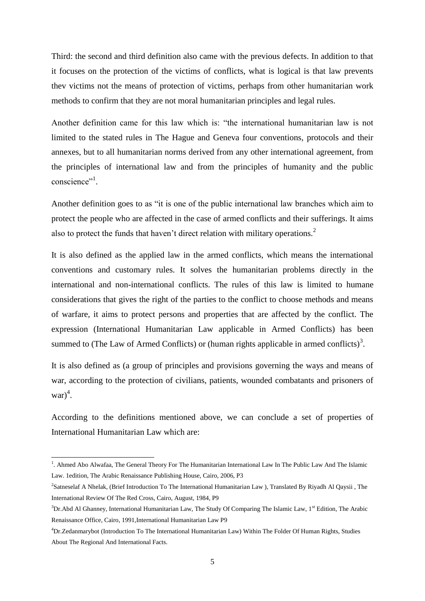Third: the second and third definition also came with the previous defects. In addition to that it focuses on the protection of the victims of conflicts, what is logical is that law prevents thev victims not the means of protection of victims, perhaps from other humanitarian work methods to confirm that they are not moral humanitarian principles and legal rules.

Another definition came for this law which is: "the international humanitarian law is not limited to the stated rules in The Hague and Geneva four conventions, protocols and their annexes, but to all humanitarian norms derived from any other international agreement, from the principles of international law and from the principles of humanity and the public conscience"<sup>1</sup>.

Another definition goes to as "it is one of the public international law branches which aim to protect the people who are affected in the case of armed conflicts and their sufferings. It aims also to protect the funds that haven't direct relation with military operations.<sup>2</sup>

It is also defined as the applied law in the armed conflicts, which means the international conventions and customary rules. It solves the humanitarian problems directly in the international and non-international conflicts. The rules of this law is limited to humane considerations that gives the right of the parties to the conflict to choose methods and means of warfare, it aims to protect persons and properties that are affected by the conflict. The expression (International Humanitarian Law applicable in Armed Conflicts) has been summed to (The Law of Armed Conflicts) or (human rights applicable in armed conflicts)<sup>3</sup>.

It is also defined as (a group of principles and provisions governing the ways and means of war, according to the protection of civilians, patients, wounded combatants and prisoners of  $war)^4$ .

According to the definitions mentioned above, we can conclude a set of properties of International Humanitarian Law which are:

<sup>&</sup>lt;sup>1</sup>. Ahmed Abo Alwafaa, The General Theory For The Humanitarian International Law In The Public Law And The Islamic Law. 1edition, The Arabic Renaissance Publishing House, Cairo, 2006, P3

<sup>&</sup>lt;sup>2</sup>Satneselaf A Nhelak, (Brief Introduction To The International Humanitarian Law), Translated By Riyadh Al Qaysii, The International Review Of The Red Cross, Cairo, August, 1984, P9

 $3Dr$ .Abd Al Ghanney, International Humanitarian Law, The Study Of Comparing The Islamic Law,  $1<sup>st</sup>$  Edition, The Arabic Renaissance Office, Cairo, 1991,International Humanitarian Law P9

<sup>4</sup>Dr.Zedanmarybot (Introduction To The International Humanitarian Law) Within The Folder Of Human Rights, Studies About The Regional And International Facts.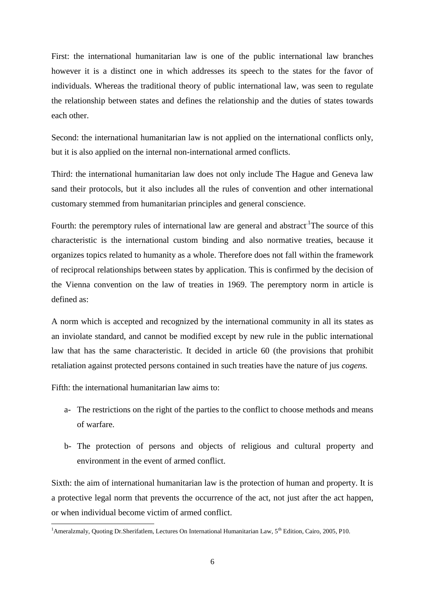First: the international humanitarian law is one of the public international law branches however it is a distinct one in which addresses its speech to the states for the favor of individuals. Whereas the traditional theory of public international law, was seen to regulate the relationship between states and defines the relationship and the duties of states towards each other.

Second: the international humanitarian law is not applied on the international conflicts only, but it is also applied on the internal non-international armed conflicts.

Third: the international humanitarian law does not only include The Hague and Geneva law sand their protocols, but it also includes all the rules of convention and other international customary stemmed from humanitarian principles and general conscience.

Fourth: the peremptory rules of international law are general and abstract  $\textsuperscript{1}$ The source of this characteristic is the international custom binding and also normative treaties, because it organizes topics related to humanity as a whole. Therefore does not fall within the framework of reciprocal relationships between states by application. This is confirmed by the decision of the Vienna convention on the law of treaties in 1969. The peremptory norm in article is defined as:

A norm which is accepted and recognized by the international community in all its states as an inviolate standard, and cannot be modified except by new rule in the public international law that has the same characteristic. It decided in article 60 (the provisions that prohibit retaliation against protected persons contained in such treaties have the nature of jus *cogens.*

Fifth: the international humanitarian law aims to:

-

- a- The restrictions on the right of the parties to the conflict to choose methods and means of warfare.
- b- The protection of persons and objects of religious and cultural property and environment in the event of armed conflict.

Sixth: the aim of international humanitarian law is the protection of human and property. It is a protective legal norm that prevents the occurrence of the act, not just after the act happen, or when individual become victim of armed conflict.

<sup>&</sup>lt;sup>1</sup>Ameralzmaly, Quoting Dr.Sherifatlem, Lectures On International Humanitarian Law, 5<sup>th</sup> Edition, Cairo, 2005, P10.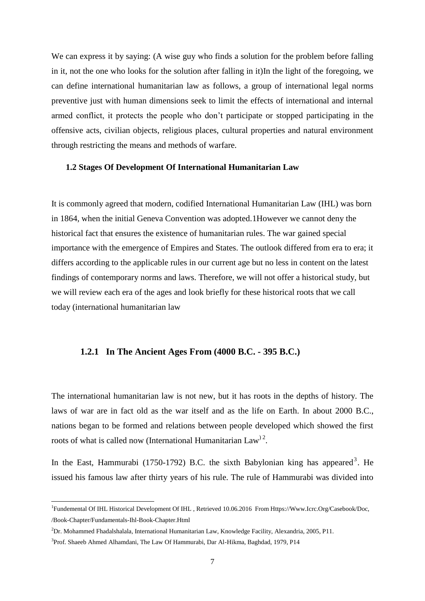We can express it by saying: (A wise guy who finds a solution for the problem before falling in it, not the one who looks for the solution after falling in it)In the light of the foregoing, we can define international humanitarian law as follows, a group of international legal norms preventive just with human dimensions seek to limit the effects of international and internal armed conflict, it protects the people who don't participate or stopped participating in the offensive acts, civilian objects, religious places, cultural properties and natural environment through restricting the means and methods of warfare.

#### <span id="page-15-0"></span>**1.2 Stages Of Development Of International Humanitarian Law**

It is commonly agreed that modern, codified International Humanitarian Law (IHL) was born in 1864, when the initial Geneva Convention was adopted.1However we cannot deny the historical fact that ensures the existence of humanitarian rules. The war gained special importance with the emergence of Empires and States. The outlook differed from era to era; it differs according to the applicable rules in our current age but no less in content on the latest findings of contemporary norms and laws. Therefore, we will not offer a historical study, but we will review each era of the ages and look briefly for these historical roots that we call today (international humanitarian law

#### <span id="page-15-1"></span>**1.2.1 In The Ancient Ages From (4000 B.C. - 395 B.C.)**

The international humanitarian law is not new, but it has roots in the depths of history. The laws of war are in fact old as the war itself and as the life on Earth. In about 2000 B.C., nations began to be formed and relations between people developed which showed the first roots of what is called now (International Humanitarian Law<sup>) 2</sup>.

In the East, Hammurabi  $(1750-1792)$  B.C. the sixth Babylonian king has appeared<sup>3</sup>. He issued his famous law after thirty years of his rule. The rule of Hammurabi was divided into

<sup>&</sup>lt;sup>1</sup>Fundemental Of IHL Historical Development Of IHL, Retrieved 10.06.2016 From Https://Www.Icrc.Org/Casebook/Doc, /Book-Chapter/Fundamentals-Ihl-Book-Chapter.Html

<sup>2</sup>Dr. Mohammed Fhadalshalala, International Humanitarian Law, Knowledge Facility, Alexandria, 2005, P11.

<sup>&</sup>lt;sup>3</sup>Prof. Shaeeb Ahmed Alhamdani, The Law Of Hammurabi, Dar Al-Hikma, Baghdad, 1979, P14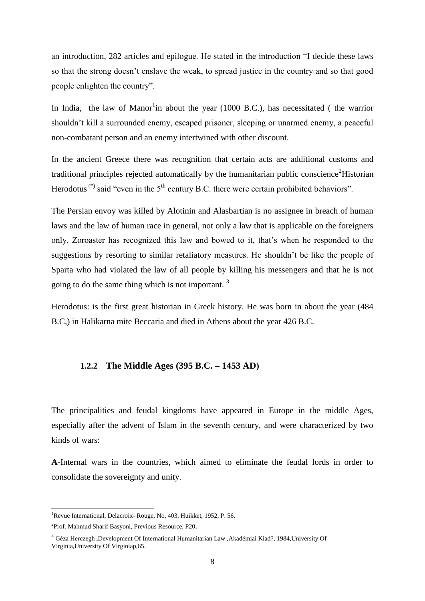an introduction, 282 articles and epilogue. He stated in the introduction "I decide these laws so that the strong doesn't enslave the weak, to spread justice in the country and so that good people enlighten the country".

In India, the law of Manor<sup>1</sup>in about the year (1000 B.C.), has necessitated (the warrior shouldn't kill a surrounded enemy, escaped prisoner, sleeping or unarmed enemy, a peaceful non-combatant person and an enemy intertwined with other discount.

In the ancient Greece there was recognition that certain acts are additional customs and traditional principles rejected automatically by the humanitarian public conscience  $\text{Historian}$ Herodotus<sup>(\*)</sup> said "even in the  $5<sup>th</sup>$  century B.C. there were certain prohibited behaviors".

The Persian envoy was killed by Alotinin and Alasbartian is no assignee in breach of human laws and the law of human race in general, not only a law that is applicable on the foreigners only. Zoroaster has recognized this law and bowed to it, that's when he responded to the suggestions by resorting to similar retaliatory measures. He shouldn't be like the people of Sparta who had violated the law of all people by killing his messengers and that he is not going to do the same thing which is not important. <sup>3</sup>

Herodotus: is the first great historian in Greek history. He was born in about the year (484 B.C,) in Halikarna mite Beccaria and died in Athens about the year 426 B.C.

#### <span id="page-16-0"></span>**1.2.2 The Middle Ages (395 B.C. – 1453 AD)**

The principalities and feudal kingdoms have appeared in Europe in the middle Ages, especially after the advent of Islam in the seventh century, and were characterized by two kinds of wars:

**A**-Internal wars in the countries, which aimed to eliminate the feudal lords in order to consolidate the sovereignty and unity.

<sup>&</sup>lt;sup>1</sup>Revue International, Delacroix- Rouge, No, 403, Huikket, 1952, P. 56.

<sup>2</sup> Prof. Mahmud Sharif Basyoni, Previous Resource, P20**.**

<sup>3</sup> Géza Herczegh ,Development Of International Humanitarian Law ,Akadémiai Kiad?, 1984,University Of Virginia,University Of Virginiap,65.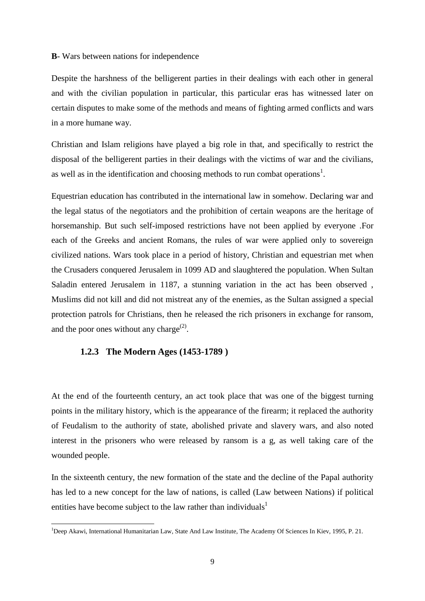#### **B**- Wars between nations for independence

Despite the harshness of the belligerent parties in their dealings with each other in general and with the civilian population in particular, this particular eras has witnessed later on certain disputes to make some of the methods and means of fighting armed conflicts and wars in a more humane way.

Christian and Islam religions have played a big role in that, and specifically to restrict the disposal of the belligerent parties in their dealings with the victims of war and the civilians, as well as in the identification and choosing methods to run combat operations<sup>1</sup>.

Equestrian education has contributed in the international law in somehow. Declaring war and the legal status of the negotiators and the prohibition of certain weapons are the heritage of horsemanship. But such self-imposed restrictions have not been applied by everyone .For each of the Greeks and ancient Romans, the rules of war were applied only to sovereign civilized nations. Wars took place in a period of history, Christian and equestrian met when the Crusaders conquered Jerusalem in 1099 AD and slaughtered the population. When Sultan Saladin entered Jerusalem in 1187, a stunning variation in the act has been observed , Muslims did not kill and did not mistreat any of the enemies, as the Sultan assigned a special protection patrols for Christians, then he released the rich prisoners in exchange for ransom, and the poor ones without any charge<sup>(2)</sup>.

#### <span id="page-17-0"></span>**1.2.3 The Modern Ages (1453-1789 )**

-

At the end of the fourteenth century, an act took place that was one of the biggest turning points in the military history, which is the appearance of the firearm; it replaced the authority of Feudalism to the authority of state, abolished private and slavery wars, and also noted interest in the prisoners who were released by ransom is a g, as well taking care of the wounded people.

In the sixteenth century, the new formation of the state and the decline of the Papal authority has led to a new concept for the law of nations, is called (Law between Nations) if political entities have become subject to the law rather than individuals<sup>1</sup>

<sup>&</sup>lt;sup>1</sup>Deep Akawi, International Humanitarian Law, State And Law Institute, The Academy Of Sciences In Kiev, 1995, P. 21.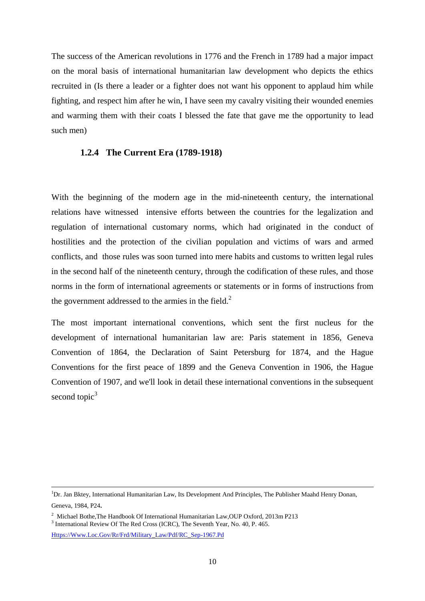The success of the American revolutions in 1776 and the French in 1789 had a major impact on the moral basis of international humanitarian law development who depicts the ethics recruited in (Is there a leader or a fighter does not want his opponent to applaud him while fighting, and respect him after he win, I have seen my cavalry visiting their wounded enemies and warming them with their coats I blessed the fate that gave me the opportunity to lead such men)

#### <span id="page-18-0"></span>**1.2.4 The Current Era (1789-1918)**

With the beginning of the modern age in the mid-nineteenth century, the international relations have witnessed intensive efforts between the countries for the legalization and regulation of international customary norms, which had originated in the conduct of hostilities and the protection of the civilian population and victims of wars and armed conflicts, and those rules was soon turned into mere habits and customs to written legal rules in the second half of the nineteenth century, through the codification of these rules, and those norms in the form of international agreements or statements or in forms of instructions from the government addressed to the armies in the field.<sup>2</sup>

The most important international conventions, which sent the first nucleus for the development of international humanitarian law are: Paris statement in 1856, Geneva Convention of 1864, the Declaration of Saint Petersburg for 1874, and the Hague Conventions for the first peace of 1899 and the Geneva Convention in 1906, the Hague Convention of 1907, and we'll look in detail these international conventions in the subsequent second topic $3$ 

1

[Https://Www.Loc.Gov/Rr/Frd/Military\\_Law/Pdf/RC\\_Sep-1967.Pd](https://www.loc.gov/rr/frd/Military_Law/pdf/RC_Sep-1967.pd)

<sup>&</sup>lt;sup>1</sup>Dr. Jan Bktey, International Humanitarian Law, Its Development And Principles, The Publisher Maahd Henry Donan,

Geneva, 1984, P24**.**

<sup>&</sup>lt;sup>2</sup> Michael Bothe, The Handbook Of International Humanitarian Law, OUP Oxford, 2013m P213

<sup>&</sup>lt;sup>3</sup> International Review Of The Red Cross (ICRC), The Seventh Year, No. 40, P. 465.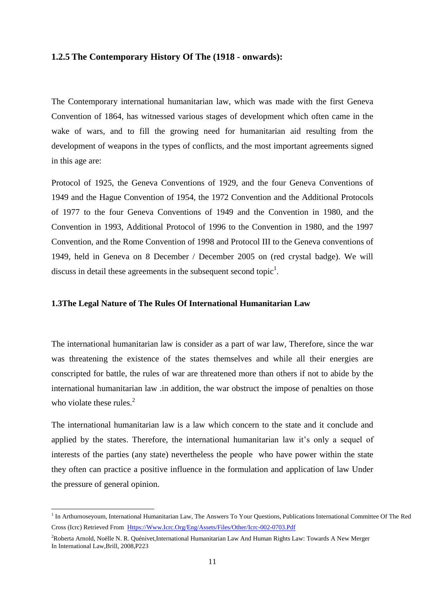#### <span id="page-19-0"></span>**1.2.5 The Contemporary History Of The (1918 - onwards):**

The Contemporary international humanitarian law, which was made with the first Geneva Convention of 1864, has witnessed various stages of development which often came in the wake of wars, and to fill the growing need for humanitarian aid resulting from the development of weapons in the types of conflicts, and the most important agreements signed in this age are:

Protocol of 1925, the Geneva Conventions of 1929, and the four Geneva Conventions of 1949 and the Hague Convention of 1954, the 1972 Convention and the Additional Protocols of 1977 to the four Geneva Conventions of 1949 and the Convention in 1980, and the Convention in 1993, Additional Protocol of 1996 to the Convention in 1980, and the 1997 Convention, and the Rome Convention of 1998 and Protocol III to the Geneva conventions of 1949, held in Geneva on 8 December / December 2005 on (red crystal badge). We will discuss in detail these agreements in the subsequent second topic<sup>1</sup>.

#### <span id="page-19-1"></span>**1.3The Legal Nature of The Rules Of International Humanitarian Law**

The international humanitarian law is consider as a part of war law, Therefore, since the war was threatening the existence of the states themselves and while all their energies are conscripted for battle, the rules of war are threatened more than others if not to abide by the international humanitarian law .in addition, the war obstruct the impose of penalties on those who violate these rules. $2$ 

The international humanitarian law is a law which concern to the state and it conclude and applied by the states. Therefore, the international humanitarian law it's only a sequel of interests of the parties (any state) nevertheless the people who have power within the state they often can practice a positive influence in the formulation and application of law Under the pressure of general opinion.

<sup>&</sup>lt;sup>1</sup> In Arthurnoseyoum, International Humanitarian Law, The Answers To Your Questions, Publications International Committee Of The Red Cross (Icrc) Retrieved From [Https://Www.Icrc.Org/Eng/Assets/Files/Other/Icrc-002-0703.Pdf](https://www.icrc.org/eng/assets/files/other/icrc-002-0703.pdf)

<sup>&</sup>lt;sup>2</sup>Roberta Arnold, Noëlle N. R. Quénivet,International Humanitarian Law And Human Rights Law: Towards A New Merger In International Law,Brill, 2008,P223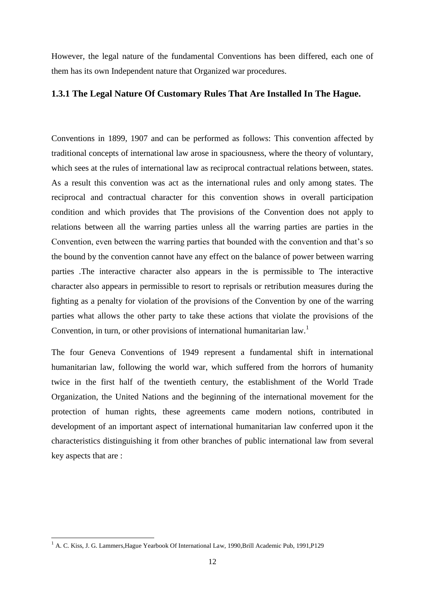However, the legal nature of the fundamental Conventions has been differed, each one of them has its own Independent nature that Organized war procedures.

#### <span id="page-20-0"></span>**1.3.1 The Legal Nature Of Customary Rules That Are Installed In The Hague.**

Conventions in 1899, 1907 and can be performed as follows: This convention affected by traditional concepts of international law arose in spaciousness, where the theory of voluntary, which sees at the rules of international law as reciprocal contractual relations between, states. As a result this convention was act as the international rules and only among states. The reciprocal and contractual character for this convention shows in overall participation condition and which provides that The provisions of the Convention does not apply to relations between all the warring parties unless all the warring parties are parties in the Convention, even between the warring parties that bounded with the convention and that's so the bound by the convention cannot have any effect on the balance of power between warring parties .The interactive character also appears in the is permissible to The interactive character also appears in permissible to resort to reprisals or retribution measures during the fighting as a penalty for violation of the provisions of the Convention by one of the warring parties what allows the other party to take these actions that violate the provisions of the Convention, in turn, or other provisions of international humanitarian law.<sup>1</sup>

The four Geneva Conventions of 1949 represent a fundamental shift in international humanitarian law, following the world war, which suffered from the horrors of humanity twice in the first half of the twentieth century, the establishment of the World Trade Organization, the United Nations and the beginning of the international movement for the protection of human rights, these agreements came modern notions, contributed in development of an important aspect of international humanitarian law conferred upon it the characteristics distinguishing it from other branches of public international law from several key aspects that are :

<sup>&</sup>lt;sup>1</sup> A. C. Kiss, J. G. Lammers, Hague Yearbook Of International Law, 1990, Brill Academic Pub, 1991, P129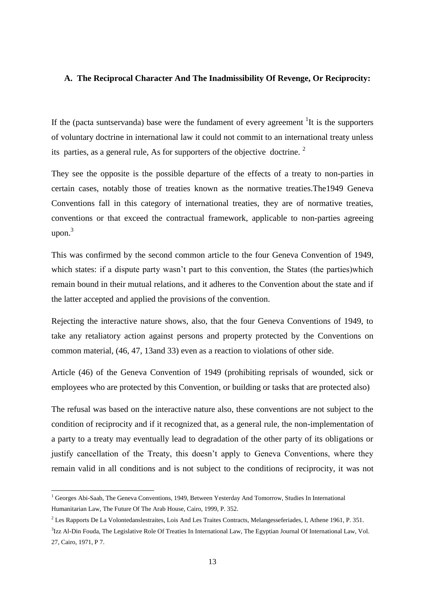#### **A. The Reciprocal Character And The Inadmissibility Of Revenge, Or Reciprocity:**

If the (pacta suntservanda) base were the fundament of every agreement  ${}^{1}$ It is the supporters of voluntary doctrine in international law it could not commit to an international treaty unless its parties, as a general rule, As for supporters of the objective doctrine.  $2^2$ 

They see the opposite is the possible departure of the effects of a treaty to non-parties in certain cases, notably those of treaties known as the normative treaties.The1949 Geneva Conventions fall in this category of international treaties, they are of normative treaties, conventions or that exceed the contractual framework, applicable to non-parties agreeing upon. $3$ 

This was confirmed by the second common article to the four Geneva Convention of 1949, which states: if a dispute party wasn't part to this convention, the States (the parties)which remain bound in their mutual relations, and it adheres to the Convention about the state and if the latter accepted and applied the provisions of the convention.

Rejecting the interactive nature shows, also, that the four Geneva Conventions of 1949, to take any retaliatory action against persons and property protected by the Conventions on common material, (46, 47, 13and 33) even as a reaction to violations of other side.

Article (46) of the Geneva Convention of 1949 (prohibiting reprisals of wounded, sick or employees who are protected by this Convention, or building or tasks that are protected also)

The refusal was based on the interactive nature also, these conventions are not subject to the condition of reciprocity and if it recognized that, as a general rule, the non-implementation of a party to a treaty may eventually lead to degradation of the other party of its obligations or justify cancellation of the Treaty, this doesn't apply to Geneva Conventions, where they remain valid in all conditions and is not subject to the conditions of reciprocity, it was not

<sup>&</sup>lt;sup>1</sup> Georges Abi-Saab, The Geneva Conventions, 1949, Between Yesterday And Tomorrow, Studies In International Humanitarian Law, The Future Of The Arab House, Cairo, 1999, P. 352.

<sup>2</sup> Les Rapports De La Volontedanslestraites, Lois And Les Traites Contracts, Melangesseferiades, I, Athene 1961, P. 351.

<sup>&</sup>lt;sup>3</sup>Izz Al-Din Fouda, The Legislative Role Of Treaties In International Law, The Egyptian Journal Of International Law, Vol. 27, Cairo, 1971, P 7.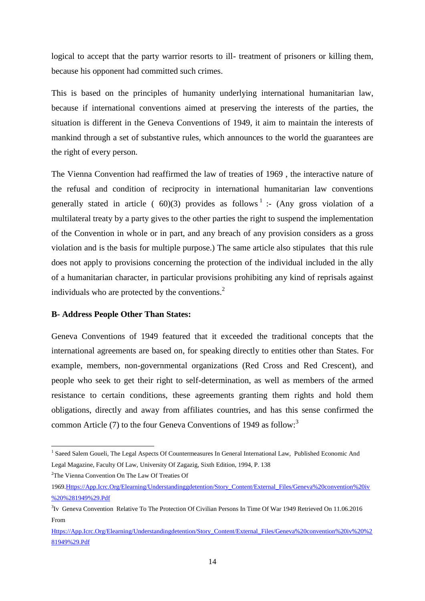logical to accept that the party warrior resorts to ill- treatment of prisoners or killing them, because his opponent had committed such crimes.

This is based on the principles of humanity underlying international humanitarian law, because if international conventions aimed at preserving the interests of the parties, the situation is different in the Geneva Conventions of 1949, it aim to maintain the interests of mankind through a set of substantive rules, which announces to the world the guarantees are the right of every person.

The Vienna Convention had reaffirmed the law of treaties of 1969 , the interactive nature of the refusal and condition of reciprocity in international humanitarian law conventions generally stated in article ( $60(3)$  provides as follows<sup>1</sup>: (Any gross violation of a multilateral treaty by a party gives to the other parties the right to suspend the implementation of the Convention in whole or in part, and any breach of any provision considers as a gross violation and is the basis for multiple purpose.) The same article also stipulates that this rule does not apply to provisions concerning the protection of the individual included in the ally of a humanitarian character, in particular provisions prohibiting any kind of reprisals against individuals who are protected by the conventions.<sup>2</sup>

#### **B- Address People Other Than States:**

Geneva Conventions of 1949 featured that it exceeded the traditional concepts that the international agreements are based on, for speaking directly to entities other than States. For example, members, non-governmental organizations (Red Cross and Red Crescent), and people who seek to get their right to self-determination, as well as members of the armed resistance to certain conditions, these agreements granting them rights and hold them obligations, directly and away from affiliates countries, and has this sense confirmed the common Article (7) to the four Geneva Conventions of 1949 as follow:<sup>3</sup>

<sup>2</sup>The Vienna Convention On The Law Of Treaties Of

<sup>&</sup>lt;sup>1</sup> Saeed Salem Goueli, The Legal Aspects Of Countermeasures In General International Law, Published Economic And Legal Magazine, Faculty Of Law, University Of Zagazig, Sixth Edition, 1994, P. 138

<sup>196</sup>[9.Https://App.Icrc.Org/Elearning/Understandinggdetention/Story\\_Content/External\\_Files/Geneva%20convention%20iv](https://app.icrc.org/elearning/understandinggdetention/story_content/external_files/Geneva%20Convention%20IV%20%281949%29.pdf) [%20%281949%29.Pdf](https://app.icrc.org/elearning/understandinggdetention/story_content/external_files/Geneva%20Convention%20IV%20%281949%29.pdf) 

<sup>&</sup>lt;sup>3</sup>Iv Geneva Convention Relative To The Protection Of Civilian Persons In Time Of War 1949 Retrieved On 11.06.2016 From

[Https://App.Icrc.Org/Elearning/Understandingdetention/Story\\_Content/External\\_Files/Geneva%20convention%20iv%20%2](https://app.icrc.org/elearning/understandingdetention/story_content/external_files/Geneva%20Convention%20IV%20%281949%29.pdf) [81949%29.Pdf](https://app.icrc.org/elearning/understandingdetention/story_content/external_files/Geneva%20Convention%20IV%20%281949%29.pdf)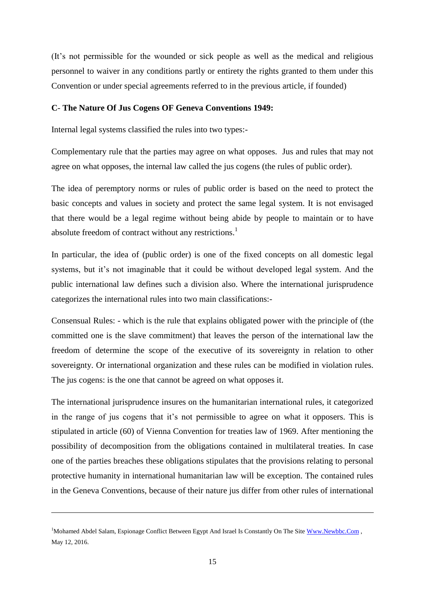(It's not permissible for the wounded or sick people as well as the medical and religious personnel to waiver in any conditions partly or entirety the rights granted to them under this Convention or under special agreements referred to in the previous article, if founded)

#### **C**- **The Nature Of Jus Cogens OF Geneva Conventions 1949:**

Internal legal systems classified the rules into two types:-

Complementary rule that the parties may agree on what opposes. Jus and rules that may not agree on what opposes, the internal law called the jus cogens (the rules of public order).

The idea of peremptory norms or rules of public order is based on the need to protect the basic concepts and values in society and protect the same legal system. It is not envisaged that there would be a legal regime without being abide by people to maintain or to have absolute freedom of contract without any restrictions.<sup>1</sup>

In particular, the idea of (public order) is one of the fixed concepts on all domestic legal systems, but it's not imaginable that it could be without developed legal system. And the public international law defines such a division also. Where the international jurisprudence categorizes the international rules into two main classifications:-

Consensual Rules: - which is the rule that explains obligated power with the principle of (the committed one is the slave commitment) that leaves the person of the international law the freedom of determine the scope of the executive of its sovereignty in relation to other sovereignty. Or international organization and these rules can be modified in violation rules. The jus cogens: is the one that cannot be agreed on what opposes it.

The international jurisprudence insures on the humanitarian international rules, it categorized in the range of jus cogens that it's not permissible to agree on what it opposers. This is stipulated in article (60) of Vienna Convention for treaties law of 1969. After mentioning the possibility of decomposition from the obligations contained in multilateral treaties. In case one of the parties breaches these obligations stipulates that the provisions relating to personal protective humanity in international humanitarian law will be exception. The contained rules in the Geneva Conventions, because of their nature jus differ from other rules of international

<sup>&</sup>lt;sup>1</sup>Mohamed Abdel Salam, Espionage Conflict Between Egypt And Israel Is Constantly On The Sit[e Www.Newbbc.Com](http://www.newbbc.com/), May 12, 2016.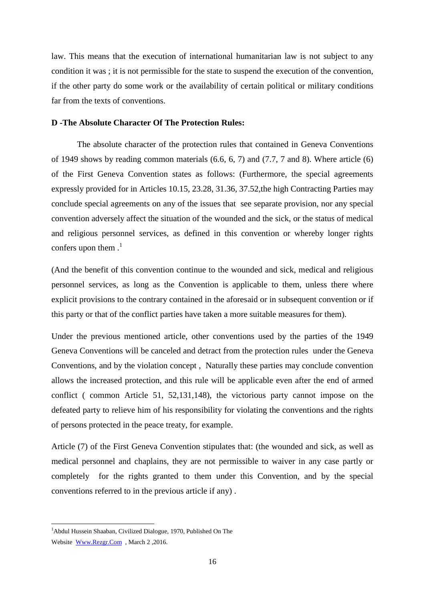law. This means that the execution of international humanitarian law is not subject to any condition it was ; it is not permissible for the state to suspend the execution of the convention, if the other party do some work or the availability of certain political or military conditions far from the texts of conventions.

#### **D -The Absolute Character Of The Protection Rules:**

The absolute character of the protection rules that contained in Geneva Conventions of 1949 shows by reading common materials (6.6, 6, 7) and (7.7, 7 and 8). Where article (6) of the First Geneva Convention states as follows: (Furthermore, the special agreements expressly provided for in Articles 10.15, 23.28, 31.36, 37.52,the high Contracting Parties may conclude special agreements on any of the issues that see separate provision, nor any special convention adversely affect the situation of the wounded and the sick, or the status of medical and religious personnel services, as defined in this convention or whereby longer rights confers upon them  $\cdot$ <sup>1</sup>

(And the benefit of this convention continue to the wounded and sick, medical and religious personnel services, as long as the Convention is applicable to them, unless there where explicit provisions to the contrary contained in the aforesaid or in subsequent convention or if this party or that of the conflict parties have taken a more suitable measures for them).

Under the previous mentioned article, other conventions used by the parties of the 1949 Geneva Conventions will be canceled and detract from the protection rules under the Geneva Conventions, and by the violation concept , Naturally these parties may conclude convention allows the increased protection, and this rule will be applicable even after the end of armed conflict ( common Article 51, 52,131,148), the victorious party cannot impose on the defeated party to relieve him of his responsibility for violating the conventions and the rights of persons protected in the peace treaty, for example.

Article (7) of the First Geneva Convention stipulates that: (the wounded and sick, as well as medical personnel and chaplains, they are not permissible to waiver in any case partly or completely for the rights granted to them under this Convention, and by the special conventions referred to in the previous article if any) .

<sup>&</sup>lt;sup>1</sup>Abdul Hussein Shaaban, Civilized Dialogue, 1970, Published On The Website [Www.Rezgr.Com](http://www.rezgr.com/) , March 2 ,2016.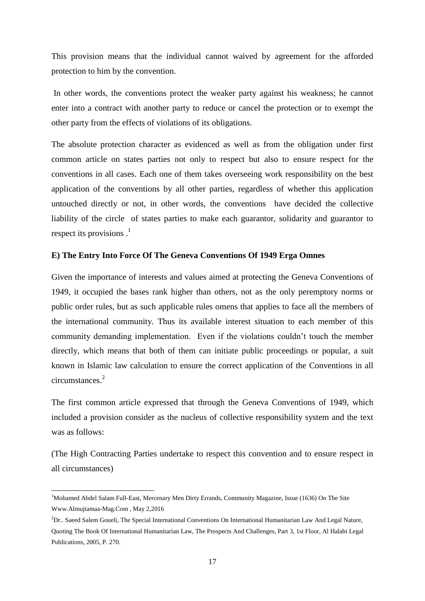This provision means that the individual cannot waived by agreement for the afforded protection to him by the convention.

In other words, the conventions protect the weaker party against his weakness; he cannot enter into a contract with another party to reduce or cancel the protection or to exempt the other party from the effects of violations of its obligations.

The absolute protection character as evidenced as well as from the obligation under first common article on states parties not only to respect but also to ensure respect for the conventions in all cases. Each one of them takes overseeing work responsibility on the best application of the conventions by all other parties, regardless of whether this application untouched directly or not, in other words, the conventions have decided the collective liability of the circle of states parties to make each guarantor, solidarity and guarantor to respect its provisions  $<sup>1</sup>$ </sup>

#### **E) The Entry Into Force Of The Geneva Conventions Of 1949 Erga Omnes**

Given the importance of interests and values aimed at protecting the Geneva Conventions of 1949, it occupied the bases rank higher than others, not as the only peremptory norms or public order rules, but as such applicable rules omens that applies to face all the members of the international community. Thus its available interest situation to each member of this community demanding implementation. Even if the violations couldn't touch the member directly, which means that both of them can initiate public proceedings or popular, a suit known in Islamic law calculation to ensure the correct application of the Conventions in all circumstances.<sup>2</sup>

The first common article expressed that through the Geneva Conventions of 1949, which included a provision consider as the nucleus of collective responsibility system and the text was as follows:

(The High Contracting Parties undertake to respect this convention and to ensure respect in all circumstances)

<sup>&</sup>lt;sup>1</sup>Mohamed Abdel Salam Full-East, Mercenary Men Dirty Errands, Community Magazine, Issue (1636) On The Site Www.Almujtamaa-Mag.Com , May 2,2016

 ${}^{2}Dr.$  Saeed Salem Goueli, The Special International Conventions On International Humanitarian Law And Legal Nature, Quoting The Book Of International Humanitarian Law, The Prospects And Challenges, Part 3, 1st Floor, Al Halabi Legal Publications, 2005, P. 270.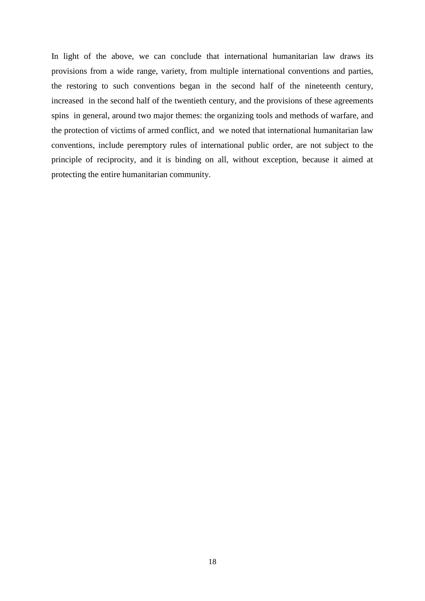In light of the above, we can conclude that international humanitarian law draws its provisions from a wide range, variety, from multiple international conventions and parties, the restoring to such conventions began in the second half of the nineteenth century, increased in the second half of the twentieth century, and the provisions of these agreements spins in general, around two major themes: the organizing tools and methods of warfare, and the protection of victims of armed conflict, and we noted that international humanitarian law conventions, include peremptory rules of international public order, are not subject to the principle of reciprocity, and it is binding on all, without exception, because it aimed at protecting the entire humanitarian community.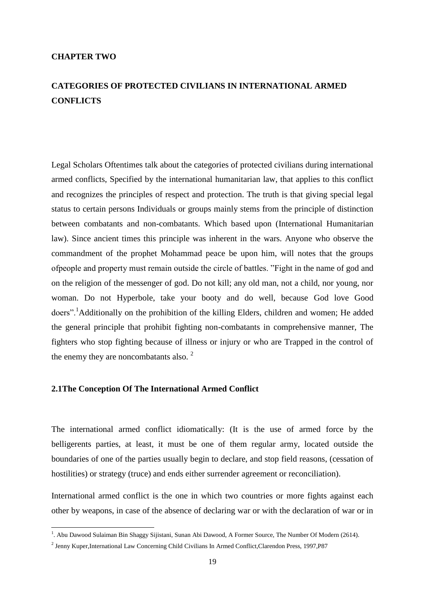#### <span id="page-27-0"></span>**CHAPTER TWO**

## <span id="page-27-1"></span>**CATEGORIES OF PROTECTED CIVILIANS IN INTERNATIONAL ARMED CONFLICTS**

Legal Scholars Oftentimes talk about the categories of protected civilians during international armed conflicts, Specified by the international humanitarian law, that applies to this conflict and recognizes the principles of respect and protection. The truth is that giving special legal status to certain persons Individuals or groups mainly stems from the principle of distinction between combatants and non-combatants. Which based upon (International Humanitarian law). Since ancient times this principle was inherent in the wars. Anyone who observe the commandment of the prophet Mohammad peace be upon him, will notes that the groups ofpeople and property must remain outside the circle of battles. "Fight in the name of god and on the religion of the messenger of god. Do not kill; any old man, not a child, nor young, nor woman. Do not Hyperbole, take your booty and do well, because God love Good doers".<sup>1</sup>Additionally on the prohibition of the killing Elders, children and women; He added the general principle that prohibit fighting non-combatants in comprehensive manner, The fighters who stop fighting because of illness or injury or who are Trapped in the control of the enemy they are noncombatants also.<sup>2</sup>

#### <span id="page-27-2"></span>**2.1The Conception Of The International Armed Conflict**

The international armed conflict idiomatically: (It is the use of armed force by the belligerents parties, at least, it must be one of them regular army, located outside the boundaries of one of the parties usually begin to declare, and stop field reasons, (cessation of hostilities) or strategy (truce) and ends either surrender agreement or reconciliation).

International armed conflict is the one in which two countries or more fights against each other by weapons, in case of the absence of declaring war or with the declaration of war or in

 1 . Abu Dawood Sulaiman Bin Shaggy Sijistani, Sunan Abi Dawood, A Former Source, The Number Of Modern (2614).

<sup>2</sup> Jenny Kuper,International Law Concerning Child Civilians In Armed Conflict,Clarendon Press, 1997,P87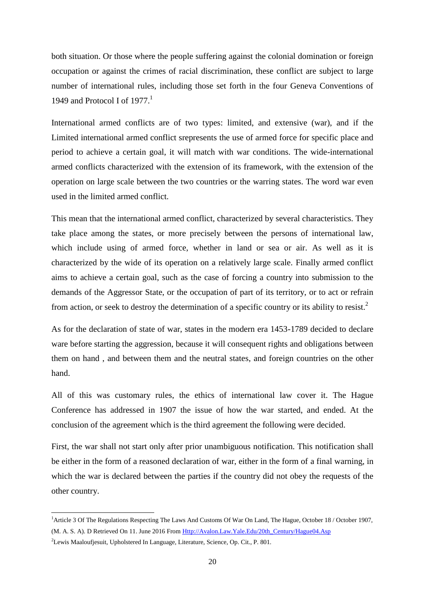both situation. Or those where the people suffering against the colonial domination or foreign occupation or against the crimes of racial discrimination, these conflict are subject to large number of international rules, including those set forth in the four Geneva Conventions of 1949 and Protocol I of  $1977<sup>1</sup>$ 

International armed conflicts are of two types: limited, and extensive (war), and if the Limited international armed conflict srepresents the use of armed force for specific place and period to achieve a certain goal, it will match with war conditions. The wide-international armed conflicts characterized with the extension of its framework, with the extension of the operation on large scale between the two countries or the warring states. The word war even used in the limited armed conflict.

This mean that the international armed conflict, characterized by several characteristics. They take place among the states, or more precisely between the persons of international law, which include using of armed force, whether in land or sea or air. As well as it is characterized by the wide of its operation on a relatively large scale. Finally armed conflict aims to achieve a certain goal, such as the case of forcing a country into submission to the demands of the Aggressor State, or the occupation of part of its territory, or to act or refrain from action, or seek to destroy the determination of a specific country or its ability to resist.<sup>2</sup>

As for the declaration of state of war, states in the modern era 1453-1789 decided to declare ware before starting the aggression, because it will consequent rights and obligations between them on hand , and between them and the neutral states, and foreign countries on the other hand.

All of this was customary rules, the ethics of international law cover it. The Hague Conference has addressed in 1907 the issue of how the war started, and ended. At the conclusion of the agreement which is the third agreement the following were decided.

First, the war shall not start only after prior unambiguous notification. This notification shall be either in the form of a reasoned declaration of war, either in the form of a final warning, in which the war is declared between the parties if the country did not obey the requests of the other country.

<sup>&</sup>lt;sup>1</sup> Article 3 Of The Regulations Respecting The Laws And Customs Of War On Land, The Hague, October 18 / October 1907, (M. A. S. A). D Retrieved On 11. June 2016 Fro[m Http://Avalon.Law.Yale.Edu/20th\\_Century/Hague04.Asp](http://avalon.law.yale.edu/20th_century/hague04.asp)

<sup>2</sup>Lewis Maaloufjesuit, Upholstered In Language, Literature, Science, Op. Cit., P. 801.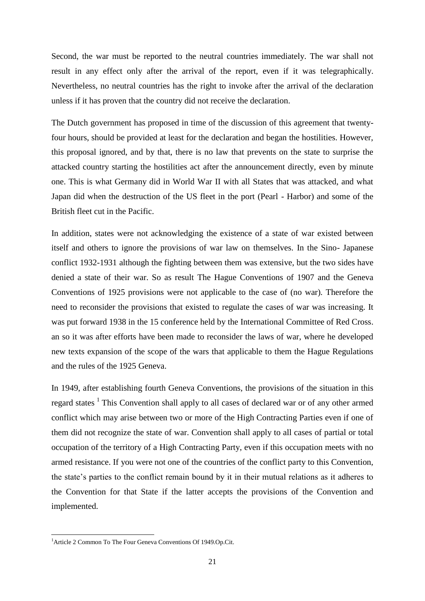Second, the war must be reported to the neutral countries immediately. The war shall not result in any effect only after the arrival of the report, even if it was telegraphically. Nevertheless, no neutral countries has the right to invoke after the arrival of the declaration unless if it has proven that the country did not receive the declaration.

The Dutch government has proposed in time of the discussion of this agreement that twentyfour hours, should be provided at least for the declaration and began the hostilities. However, this proposal ignored, and by that, there is no law that prevents on the state to surprise the attacked country starting the hostilities act after the announcement directly, even by minute one. This is what Germany did in World War II with all States that was attacked, and what Japan did when the destruction of the US fleet in the port (Pearl - Harbor) and some of the British fleet cut in the Pacific.

In addition, states were not acknowledging the existence of a state of war existed between itself and others to ignore the provisions of war law on themselves. In the Sino- Japanese conflict 1932-1931 although the fighting between them was extensive, but the two sides have denied a state of their war. So as result The Hague Conventions of 1907 and the Geneva Conventions of 1925 provisions were not applicable to the case of (no war). Therefore the need to reconsider the provisions that existed to regulate the cases of war was increasing. It was put forward 1938 in the 15 conference held by the International Committee of Red Cross. an so it was after efforts have been made to reconsider the laws of war, where he developed new texts expansion of the scope of the wars that applicable to them the Hague Regulations and the rules of the 1925 Geneva.

In 1949, after establishing fourth Geneva Conventions, the provisions of the situation in this regard states <sup>1</sup> This Convention shall apply to all cases of declared war or of any other armed conflict which may arise between two or more of the High Contracting Parties even if one of them did not recognize the state of war. Convention shall apply to all cases of partial or total occupation of the territory of a High Contracting Party, even if this occupation meets with no armed resistance. If you were not one of the countries of the conflict party to this Convention, the state's parties to the conflict remain bound by it in their mutual relations as it adheres to the Convention for that State if the latter accepts the provisions of the Convention and implemented.

<sup>&</sup>lt;sup>1</sup> Article 2 Common To The Four Geneva Conventions Of 1949.Op.Cit.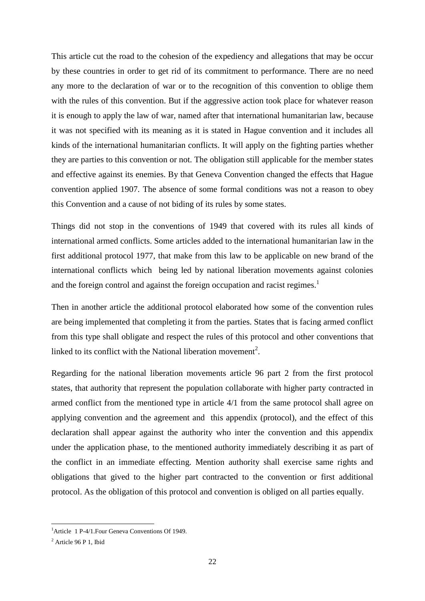This article cut the road to the cohesion of the expediency and allegations that may be occur by these countries in order to get rid of its commitment to performance. There are no need any more to the declaration of war or to the recognition of this convention to oblige them with the rules of this convention. But if the aggressive action took place for whatever reason it is enough to apply the law of war, named after that international humanitarian law, because it was not specified with its meaning as it is stated in Hague convention and it includes all kinds of the international humanitarian conflicts. It will apply on the fighting parties whether they are parties to this convention or not. The obligation still applicable for the member states and effective against its enemies. By that Geneva Convention changed the effects that Hague convention applied 1907. The absence of some formal conditions was not a reason to obey this Convention and a cause of not biding of its rules by some states.

Things did not stop in the conventions of 1949 that covered with its rules all kinds of international armed conflicts. Some articles added to the international humanitarian law in the first additional protocol 1977, that make from this law to be applicable on new brand of the international conflicts which being led by national liberation movements against colonies and the foreign control and against the foreign occupation and racist regimes.<sup>1</sup>

Then in another article the additional protocol elaborated how some of the convention rules are being implemented that completing it from the parties. States that is facing armed conflict from this type shall obligate and respect the rules of this protocol and other conventions that linked to its conflict with the National liberation movement<sup>2</sup>.

Regarding for the national liberation movements article 96 part 2 from the first protocol states, that authority that represent the population collaborate with higher party contracted in armed conflict from the mentioned type in article 4/1 from the same protocol shall agree on applying convention and the agreement and this appendix (protocol), and the effect of this declaration shall appear against the authority who inter the convention and this appendix under the application phase, to the mentioned authority immediately describing it as part of the conflict in an immediate effecting. Mention authority shall exercise same rights and obligations that gived to the higher part contracted to the convention or first additional protocol. As the obligation of this protocol and convention is obliged on all parties equally.

<sup>&</sup>lt;sup>1</sup>Article 1 P-4/1. Four Geneva Conventions Of 1949.

<sup>2</sup> Article 96 P 1, Ibid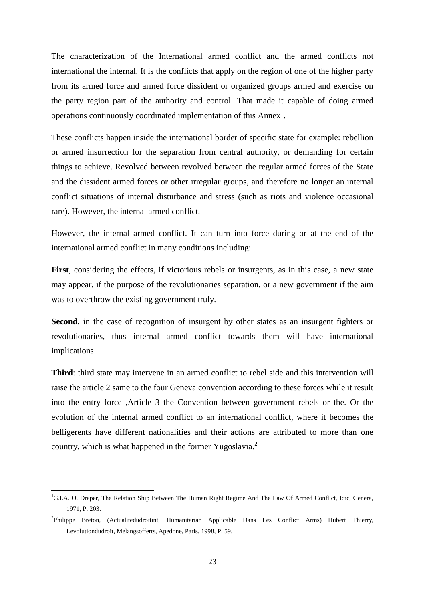The characterization of the International armed conflict and the armed conflicts not international the internal. It is the conflicts that apply on the region of one of the higher party from its armed force and armed force dissident or organized groups armed and exercise on the party region part of the authority and control. That made it capable of doing armed operations continuously coordinated implementation of this  $\text{Annex}^1$ .

These conflicts happen inside the international border of specific state for example: rebellion or armed insurrection for the separation from central authority, or demanding for certain things to achieve. Revolved between revolved between the regular armed forces of the State and the dissident armed forces or other irregular groups, and therefore no longer an internal conflict situations of internal disturbance and stress (such as riots and violence occasional rare). However, the internal armed conflict.

However, the internal armed conflict. It can turn into force during or at the end of the international armed conflict in many conditions including:

**First**, considering the effects, if victorious rebels or insurgents, as in this case, a new state may appear, if the purpose of the revolutionaries separation, or a new government if the aim was to overthrow the existing government truly.

Second, in the case of recognition of insurgent by other states as an insurgent fighters or revolutionaries, thus internal armed conflict towards them will have international implications.

**Third**: third state may intervene in an armed conflict to rebel side and this intervention will raise the article 2 same to the four Geneva convention according to these forces while it result into the entry force ,Article 3 the Convention between government rebels or the. Or the evolution of the internal armed conflict to an international conflict, where it becomes the belligerents have different nationalities and their actions are attributed to more than one country, which is what happened in the former Yugoslavia.<sup>2</sup>

<sup>&</sup>lt;sup>1</sup>G.I.A. O. Draper, The Relation Ship Between The Human Right Regime And The Law Of Armed Conflict, Icrc, Genera, 1971, P. 203.

<sup>2</sup> Philippe Breton, (Actualitedudroitint, Humanitarian Applicable Dans Les Conflict Arms) Hubert Thierry, Levolutiondudroit, Melangsofferts, Apedone, Paris, 1998, P. 59.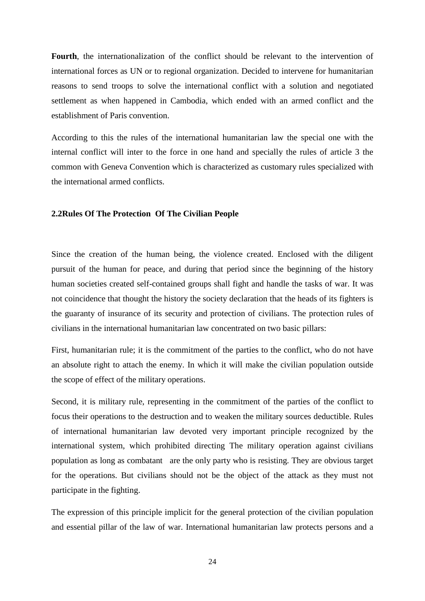**Fourth**, the internationalization of the conflict should be relevant to the intervention of international forces as UN or to regional organization. Decided to intervene for humanitarian reasons to send troops to solve the international conflict with a solution and negotiated settlement as when happened in Cambodia, which ended with an armed conflict and the establishment of Paris convention.

According to this the rules of the international humanitarian law the special one with the internal conflict will inter to the force in one hand and specially the rules of article 3 the common with Geneva Convention which is characterized as customary rules specialized with the international armed conflicts.

#### <span id="page-32-0"></span>**2.2Rules Of The Protection Of The Civilian People**

Since the creation of the human being, the violence created. Enclosed with the diligent pursuit of the human for peace, and during that period since the beginning of the history human societies created self-contained groups shall fight and handle the tasks of war. It was not coincidence that thought the history the society declaration that the heads of its fighters is the guaranty of insurance of its security and protection of civilians. The protection rules of civilians in the international humanitarian law concentrated on two basic pillars:

First, humanitarian rule; it is the commitment of the parties to the conflict, who do not have an absolute right to attach the enemy. In which it will make the civilian population outside the scope of effect of the military operations.

Second, it is military rule, representing in the commitment of the parties of the conflict to focus their operations to the destruction and to weaken the military sources deductible. Rules of international humanitarian law devoted very important principle recognized by the international system, which prohibited directing The military operation against civilians population as long as combatant are the only party who is resisting. They are obvious target for the operations. But civilians should not be the object of the attack as they must not participate in the fighting.

The expression of this principle implicit for the general protection of the civilian population and essential pillar of the law of war. International humanitarian law protects persons and a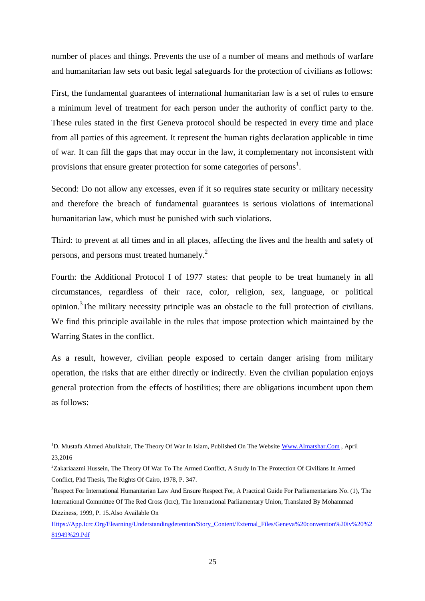number of places and things. Prevents the use of a number of means and methods of warfare and humanitarian law sets out basic legal safeguards for the protection of civilians as follows:

First, the fundamental guarantees of international humanitarian law is a set of rules to ensure a minimum level of treatment for each person under the authority of conflict party to the. These rules stated in the first Geneva protocol should be respected in every time and place from all parties of this agreement. It represent the human rights declaration applicable in time of war. It can fill the gaps that may occur in the law, it complementary not inconsistent with provisions that ensure greater protection for some categories of persons<sup>1</sup>.

Second: Do not allow any excesses, even if it so requires state security or military necessity and therefore the breach of fundamental guarantees is serious violations of international humanitarian law, which must be punished with such violations.

Third: to prevent at all times and in all places, affecting the lives and the health and safety of persons, and persons must treated humanely.<sup>2</sup>

Fourth: the Additional Protocol I of 1977 states: that people to be treat humanely in all circumstances, regardless of their race, color, religion, sex, language, or political opinion.<sup>3</sup>The military necessity principle was an obstacle to the full protection of civilians. We find this principle available in the rules that impose protection which maintained by the Warring States in the conflict.

As a result, however, civilian people exposed to certain danger arising from military operation, the risks that are either directly or indirectly. Even the civilian population enjoys general protection from the effects of hostilities; there are obligations incumbent upon them as follows:

<sup>&</sup>lt;sup>1</sup>D. Mustafa Ahmed Abulkhair, The Theory Of War In Islam, Published On The Websit[e Www.Almatshar.Com](http://www.almatshar.com/), April 23,2016

<sup>2</sup>Zakariaazmi Hussein, The Theory Of War To The Armed Conflict, A Study In The Protection Of Civilians In Armed Conflict, Phd Thesis, The Rights Of Cairo, 1978, P. 347.

<sup>3</sup>Respect For International Humanitarian Law And Ensure Respect For, A Practical Guide For Parliamentarians No. (1), The International Committee Of The Red Cross (Icrc), The International Parliamentary Union, Translated By Mohammad Dizziness, 1999, P. 15.Also Available On

[Https://App.Icrc.Org/Elearning/Understandingdetention/Story\\_Content/External\\_Files/Geneva%20convention%20iv%20%2](https://app.icrc.org/elearning/understandingdetention/story_content/external_files/Geneva%20Convention%20IV%20%281949%29.pdf) [81949%29.Pdf](https://app.icrc.org/elearning/understandingdetention/story_content/external_files/Geneva%20Convention%20IV%20%281949%29.pdf)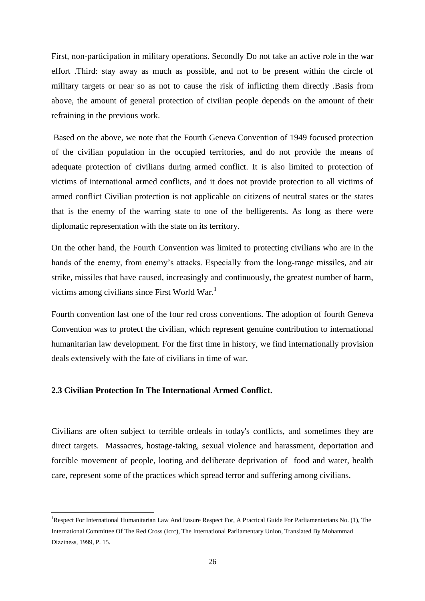First, non-participation in military operations. Secondly Do not take an active role in the war effort .Third: stay away as much as possible, and not to be present within the circle of military targets or near so as not to cause the risk of inflicting them directly .Basis from above, the amount of general protection of civilian people depends on the amount of their refraining in the previous work.

Based on the above, we note that the Fourth Geneva Convention of 1949 focused protection of the civilian population in the occupied territories, and do not provide the means of adequate protection of civilians during armed conflict. It is also limited to protection of victims of international armed conflicts, and it does not provide protection to all victims of armed conflict Civilian protection is not applicable on citizens of neutral states or the states that is the enemy of the warring state to one of the belligerents. As long as there were diplomatic representation with the state on its territory.

On the other hand, the Fourth Convention was limited to protecting civilians who are in the hands of the enemy, from enemy's attacks. Especially from the long-range missiles, and air strike, missiles that have caused, increasingly and continuously, the greatest number of harm, victims among civilians since First World War.<sup>1</sup>

Fourth convention last one of the four red cross conventions. The adoption of fourth Geneva Convention was to protect the civilian, which represent genuine contribution to international humanitarian law development. For the first time in history, we find internationally provision deals extensively with the fate of civilians in time of war.

#### <span id="page-34-0"></span>**2.3 Civilian Protection In The International Armed Conflict.**

-

Civilians are often subject to terrible ordeals in today's conflicts, and sometimes they are direct targets. Massacres, hostage-taking, sexual violence and harassment, deportation and forcible movement of people, looting and deliberate deprivation of food and water, health care, represent some of the practices which spread terror and suffering among civilians.

<sup>1</sup>Respect For International Humanitarian Law And Ensure Respect For, A Practical Guide For Parliamentarians No. (1), The International Committee Of The Red Cross (Icrc), The International Parliamentary Union, Translated By Mohammad Dizziness, 1999, P. 15.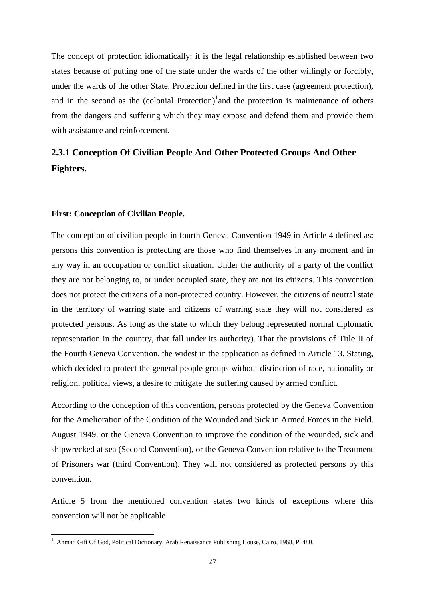The concept of protection idiomatically: it is the legal relationship established between two states because of putting one of the state under the wards of the other willingly or forcibly, under the wards of the other State. Protection defined in the first case (agreement protection), and in the second as the (colonial Protection) $1$  and the protection is maintenance of others from the dangers and suffering which they may expose and defend them and provide them with assistance and reinforcement.

## <span id="page-35-0"></span>**2.3.1 Conception Of Civilian People And Other Protected Groups And Other Fighters.**

#### **First: Conception of Civilian People.**

-

The conception of civilian people in fourth Geneva Convention 1949 in Article 4 defined as: persons this convention is protecting are those who find themselves in any moment and in any way in an occupation or conflict situation. Under the authority of a party of the conflict they are not belonging to, or under occupied state, they are not its citizens. This convention does not protect the citizens of a non-protected country. However, the citizens of neutral state in the territory of warring state and citizens of warring state they will not considered as protected persons. As long as the state to which they belong represented normal diplomatic representation in the country, that fall under its authority). That the provisions of Title II of the Fourth Geneva Convention, the widest in the application as defined in Article 13. Stating, which decided to protect the general people groups without distinction of race, nationality or religion, political views, a desire to mitigate the suffering caused by armed conflict.

According to the conception of this convention, persons protected by the Geneva Convention for the Amelioration of the Condition of the Wounded and Sick in Armed Forces in the Field. August 1949. or the Geneva Convention to improve the condition of the wounded, sick and shipwrecked at sea (Second Convention), or the Geneva Convention relative to the Treatment of Prisoners war (third Convention). They will not considered as protected persons by this convention.

Article 5 from the mentioned convention states two kinds of exceptions where this convention will not be applicable

<sup>&</sup>lt;sup>1</sup>. Ahmad Gift Of God, Political Dictionary, Arab Renaissance Publishing House, Cairo, 1968, P. 480.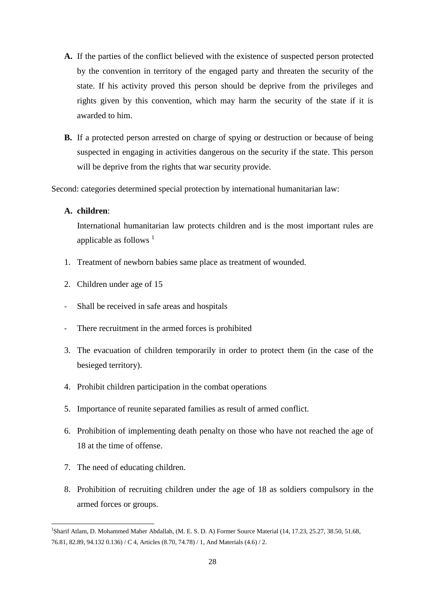- **A.** If the parties of the conflict believed with the existence of suspected person protected by the convention in territory of the engaged party and threaten the security of the state. If his activity proved this person should be deprive from the privileges and rights given by this convention, which may harm the security of the state if it is awarded to him.
- **B.** If a protected person arrested on charge of spying or destruction or because of being suspected in engaging in activities dangerous on the security if the state. This person will be deprive from the rights that war security provide.

Second: categories determined special protection by international humanitarian law:

## **A. children**:

International humanitarian law protects children and is the most important rules are applicable as follows  $<sup>1</sup>$ </sup>

- 1. Treatment of newborn babies same place as treatment of wounded.
- 2. Children under age of 15
- Shall be received in safe areas and hospitals
- There recruitment in the armed forces is prohibited
- 3. The evacuation of children temporarily in order to protect them (in the case of the besieged territory).
- 4. Prohibit children participation in the combat operations
- 5. Importance of reunite separated families as result of armed conflict.
- 6. Prohibition of implementing death penalty on those who have not reached the age of 18 at the time of offense.
- 7. The need of educating children.

-

8. Prohibition of recruiting children under the age of 18 as soldiers compulsory in the armed forces or groups.

<sup>1</sup> Sharif Atlam, D. Mohammed Maher Abdallah, (M. E. S. D. A) Former Source Material (14, 17.23, 25.27, 38.50, 51.68, 76.81, 82.89, 94.132 0.136) / C 4, Articles (8.70, 74.78) / 1, And Materials (4.6) / 2.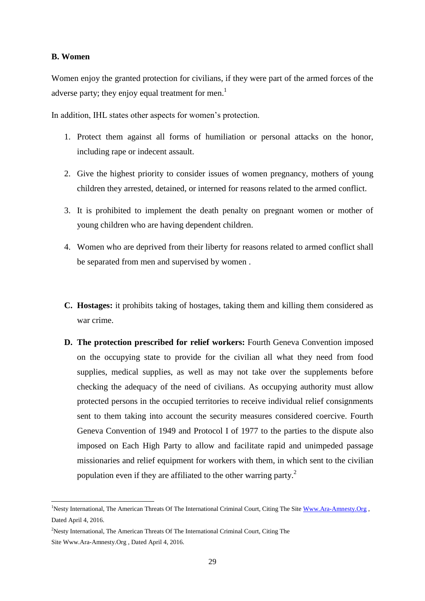### **B. Women**

-

Women enjoy the granted protection for civilians, if they were part of the armed forces of the adverse party; they enjoy equal treatment for men.<sup>1</sup>

In addition, IHL states other aspects for women's protection.

- 1. Protect them against all forms of humiliation or personal attacks on the honor, including rape or indecent assault.
- 2. Give the highest priority to consider issues of women pregnancy, mothers of young children they arrested, detained, or interned for reasons related to the armed conflict.
- 3. It is prohibited to implement the death penalty on pregnant women or mother of young children who are having dependent children.
- 4. Women who are deprived from their liberty for reasons related to armed conflict shall be separated from men and supervised by women .
- **C. Hostages:** it prohibits taking of hostages, taking them and killing them considered as war crime.
- **D. The protection prescribed for relief workers:** Fourth Geneva Convention imposed on the occupying state to provide for the civilian all what they need from food supplies, medical supplies, as well as may not take over the supplements before checking the adequacy of the need of civilians. As occupying authority must allow protected persons in the occupied territories to receive individual relief consignments sent to them taking into account the security measures considered coercive. Fourth Geneva Convention of 1949 and Protocol I of 1977 to the parties to the dispute also imposed on Each High Party to allow and facilitate rapid and unimpeded passage missionaries and relief equipment for workers with them, in which sent to the civilian population even if they are affiliated to the other warring party.<sup>2</sup>

<sup>&</sup>lt;sup>1</sup>Nesty International, The American Threats Of The International Criminal Court, Citing The Sit[e Www.Ara-Amnesty.Org](http://www.ara-amnesty.org/). Dated April 4, 2016.

<sup>&</sup>lt;sup>2</sup>Nesty International, The American Threats Of The International Criminal Court, Citing The Site Www.Ara-Amnesty.Org , Dated April 4, 2016.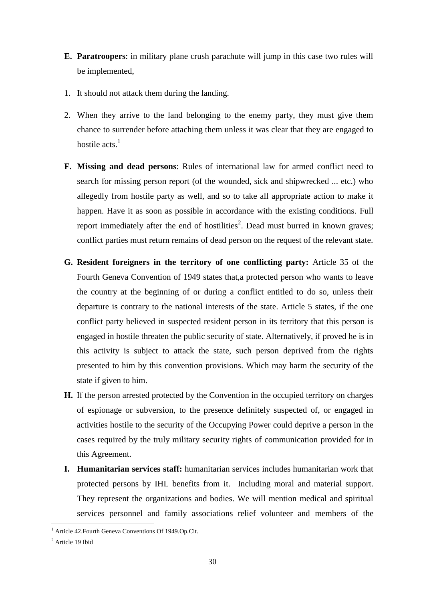- **E. Paratroopers**: in military plane crush parachute will jump in this case two rules will be implemented,
- 1. It should not attack them during the landing.
- 2. When they arrive to the land belonging to the enemy party, they must give them chance to surrender before attaching them unless it was clear that they are engaged to hostile  $\arctan^{-1}$
- **F. Missing and dead persons**: Rules of international law for armed conflict need to search for missing person report (of the wounded, sick and shipwrecked ... etc.) who allegedly from hostile party as well, and so to take all appropriate action to make it happen. Have it as soon as possible in accordance with the existing conditions. Full report immediately after the end of hostilities<sup>2</sup>. Dead must burred in known graves; conflict parties must return remains of dead person on the request of the relevant state.
- **G. Resident foreigners in the territory of one conflicting party:** Article 35 of the Fourth Geneva Convention of 1949 states that,a protected person who wants to leave the country at the beginning of or during a conflict entitled to do so, unless their departure is contrary to the national interests of the state. Article 5 states, if the one conflict party believed in suspected resident person in its territory that this person is engaged in hostile threaten the public security of state. Alternatively, if proved he is in this activity is subject to attack the state, such person deprived from the rights presented to him by this convention provisions. Which may harm the security of the state if given to him.
- **H.** If the person arrested protected by the Convention in the occupied territory on charges of espionage or subversion, to the presence definitely suspected of, or engaged in activities hostile to the security of the Occupying Power could deprive a person in the cases required by the truly military security rights of communication provided for in this Agreement.
- **I. Humanitarian services staff:** humanitarian services includes humanitarian work that protected persons by IHL benefits from it. Including moral and material support. They represent the organizations and bodies. We will mention medical and spiritual services personnel and family associations relief volunteer and members of the

<sup>&</sup>lt;sup>1</sup> Article 42. Fourth Geneva Conventions Of 1949. Op. Cit.

<sup>2</sup> Article 19 Ibid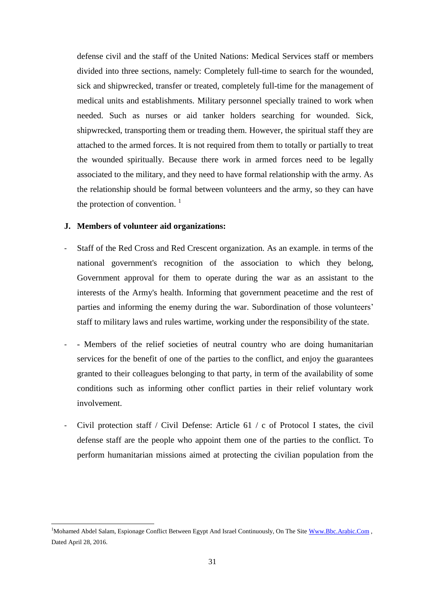defense civil and the staff of the United Nations: Medical Services staff or members divided into three sections, namely: Completely full-time to search for the wounded, sick and shipwrecked, transfer or treated, completely full-time for the management of medical units and establishments. Military personnel specially trained to work when needed. Such as nurses or aid tanker holders searching for wounded. Sick, shipwrecked, transporting them or treading them. However, the spiritual staff they are attached to the armed forces. It is not required from them to totally or partially to treat the wounded spiritually. Because there work in armed forces need to be legally associated to the military, and they need to have formal relationship with the army. As the relationship should be formal between volunteers and the army, so they can have the protection of convention.  $\frac{1}{1}$ 

#### **J. Members of volunteer aid organizations:**

- Staff of the Red Cross and Red Crescent organization. As an example. in terms of the national government's recognition of the association to which they belong, Government approval for them to operate during the war as an assistant to the interests of the Army's health. Informing that government peacetime and the rest of parties and informing the enemy during the war. Subordination of those volunteers' staff to military laws and rules wartime, working under the responsibility of the state.
- Members of the relief societies of neutral country who are doing humanitarian services for the benefit of one of the parties to the conflict, and enjoy the guarantees granted to their colleagues belonging to that party, in term of the availability of some conditions such as informing other conflict parties in their relief voluntary work involvement.
- Civil protection staff / Civil Defense: Article 61 / c of Protocol I states, the civil defense staff are the people who appoint them one of the parties to the conflict. To perform humanitarian missions aimed at protecting the civilian population from the

<sup>&</sup>lt;sup>1</sup>Mohamed Abdel Salam, Espionage Conflict Between Egypt And Israel Continuously, On The Sit[e Www.Bbc.Arabic.Com](http://www.bbc.arabic.com/), Dated April 28, 2016.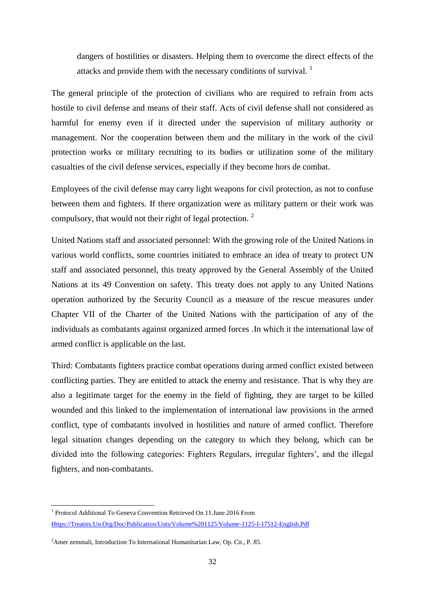dangers of hostilities or disasters. Helping them to overcome the direct effects of the attacks and provide them with the necessary conditions of survival. <sup>1</sup>

The general principle of the protection of civilians who are required to refrain from acts hostile to civil defense and means of their staff. Acts of civil defense shall not considered as harmful for enemy even if it directed under the supervision of military authority or management. Nor the cooperation between them and the military in the work of the civil protection works or military recruiting to its bodies or utilization some of the military casualties of the civil defense services, especially if they become hors de combat.

Employees of the civil defense may carry light weapons for civil protection, as not to confuse between them and fighters. If there organization were as military pattern or their work was compulsory, that would not their right of legal protection.<sup>2</sup>

United Nations staff and associated personnel: With the growing role of the United Nations in various world conflicts, some countries initiated to embrace an idea of treaty to protect UN staff and associated personnel, this treaty approved by the General Assembly of the United Nations at its 49 Convention on safety. This treaty does not apply to any United Nations operation authorized by the Security Council as a measure of the rescue measures under Chapter VII of the Charter of the United Nations with the participation of any of the individuals as combatants against organized armed forces .In which it the international law of armed conflict is applicable on the last.

Third: Combatants fighters practice combat operations during armed conflict existed between conflicting parties. They are entitled to attack the enemy and resistance. That is why they are also a legitimate target for the enemy in the field of fighting, they are target to be killed wounded and this linked to the implementation of international law provisions in the armed conflict, type of combatants involved in hostilities and nature of armed conflict. Therefore legal situation changes depending on the category to which they belong, which can be divided into the following categories: Fighters Regulars, irregular fighters', and the illegal fighters, and non-combatants.

 1 Protocol Additional To Geneva Convention Retrieved On 11.June.2016 From [Https://Treaties.Un.Org/Doc/Publication/Unts/Volume%201125/Volume-1125-I-17512-English.Pdf](https://treaties.un.org/doc/Publication/UNTS/Volume%201125/volume-1125-I-17512-English.pdf)

<sup>&</sup>lt;sup>2</sup>Amer zemmali, Introduction To International Humanitarian Law, Op. Cit., P. 85.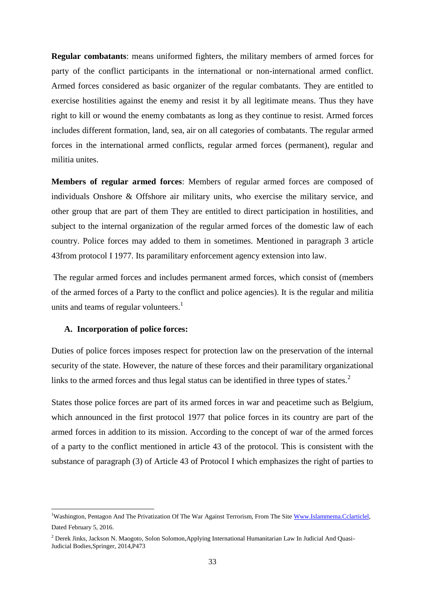**Regular combatants**: means uniformed fighters, the military members of armed forces for party of the conflict participants in the international or non-international armed conflict. Armed forces considered as basic organizer of the regular combatants. They are entitled to exercise hostilities against the enemy and resist it by all legitimate means. Thus they have right to kill or wound the enemy combatants as long as they continue to resist. Armed forces includes different formation, land, sea, air on all categories of combatants. The regular armed forces in the international armed conflicts, regular armed forces (permanent), regular and militia unites.

**Members of regular armed forces**: Members of regular armed forces are composed of individuals Onshore & Offshore air military units, who exercise the military service, and other group that are part of them They are entitled to direct participation in hostilities, and subject to the internal organization of the regular armed forces of the domestic law of each country. Police forces may added to them in sometimes. Mentioned in paragraph 3 article 43from protocol I 1977. Its paramilitary enforcement agency extension into law.

The regular armed forces and includes permanent armed forces, which consist of (members of the armed forces of a Party to the conflict and police agencies). It is the regular and militia units and teams of regular volunteers. $\frac{1}{1}$ 

#### **A. Incorporation of police forces:**

1

Duties of police forces imposes respect for protection law on the preservation of the internal security of the state. However, the nature of these forces and their paramilitary organizational links to the armed forces and thus legal status can be identified in three types of states.<sup>2</sup>

States those police forces are part of its armed forces in war and peacetime such as Belgium, which announced in the first protocol 1977 that police forces in its country are part of the armed forces in addition to its mission. According to the concept of war of the armed forces of a party to the conflict mentioned in article 43 of the protocol. This is consistent with the substance of paragraph (3) of Article 43 of Protocol I which emphasizes the right of parties to

<sup>&</sup>lt;sup>1</sup>Washington, Pentagon And The Privatization Of The War Against Terrorism, From The Sit[e Www.Islammema.Cclarticlel,](http://www.islammema.cclarticlel/) Dated February 5, 2016.

<sup>&</sup>lt;sup>2</sup> Derek Jinks, Jackson N. Maogoto, Solon Solomon, Applying International Humanitarian Law In Judicial And Quasi-Judicial Bodies,Springer, 2014,P473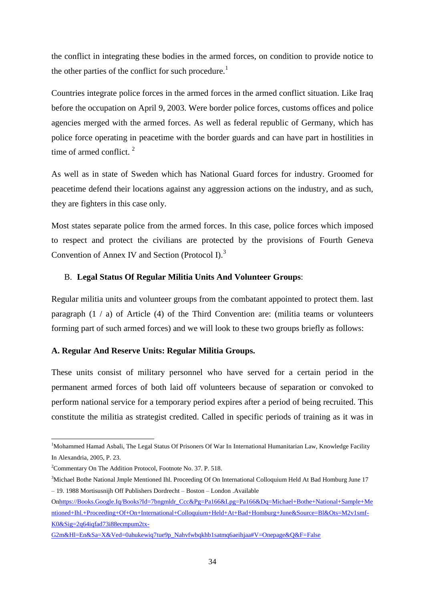the conflict in integrating these bodies in the armed forces, on condition to provide notice to the other parties of the conflict for such procedure.<sup>1</sup>

Countries integrate police forces in the armed forces in the armed conflict situation. Like Iraq before the occupation on April 9, 2003. Were border police forces, customs offices and police agencies merged with the armed forces. As well as federal republic of Germany, which has police force operating in peacetime with the border guards and can have part in hostilities in time of armed conflict.  $2^2$ 

As well as in state of Sweden which has National Guard forces for industry. Groomed for peacetime defend their locations against any aggression actions on the industry, and as such, they are fighters in this case only.

Most states separate police from the armed forces. In this case, police forces which imposed to respect and protect the civilians are protected by the provisions of Fourth Geneva Convention of Annex IV and Section (Protocol I). $3$ 

### B. **Legal Status Of Regular Militia Units And Volunteer Groups**:

Regular militia units and volunteer groups from the combatant appointed to protect them. last paragraph  $(1 / a)$  of Article  $(4)$  of the Third Convention are: (militia teams or volunteers forming part of such armed forces) and we will look to these two groups briefly as follows:

#### **A. Regular And Reserve Units: Regular Militia Groups.**

These units consist of military personnel who have served for a certain period in the permanent armed forces of both laid off volunteers because of separation or convoked to perform national service for a temporary period expires after a period of being recruited. This constitute the militia as strategist credited. Called in specific periods of training as it was in

<sup>&</sup>lt;sup>1</sup>Mohammed Hamad Asbali, The Legal Status Of Prisoners Of War In International Humanitarian Law, Knowledge Facility In Alexandria, 2005, P. 23.

<sup>2</sup>Commentary On The Addition Protocol, Footnote No. 37. P. 518.

<sup>&</sup>lt;sup>3</sup>Michael Bothe National Jmple Mentioned Ihl. Proceeding Of On International Colloquium Held At Bad Homburg June 17 – 19. 1988 Mortisusnijh Off Publishers Dordrecht – Boston – London .Available

O[nhttps://Books.Google.Iq/Books?Id=7bngmldr\\_Ccc&Pg=Pa166&Lpg=Pa166&Dq=Michael+Bothe+National+Sample+Me](https://books.google.iq/books?id=7Bngmldr_CcC&pg=PA166&lpg=PA166&dq=Michael+Bothe+National+Sample+mentioned+IHL.+Proceeding+of+on+international+colloquium+held+at+Bad+Homburg+June&source=bl&ots=M2V1SMf-k0&sig=2Q64iQfaD73I88ECMpum2tX-g2M&hl=en&sa=X&ved=0ahUKEwiq7tue9p_NAhVFwBQKHb1sATMQ6AEIHjAA#v=onepage&q&f=false) [ntioned+Ihl.+Proceeding+Of+On+International+Colloquium+Held+At+Bad+Homburg+June&Source=Bl&Ots=M2v1smf-](https://books.google.iq/books?id=7Bngmldr_CcC&pg=PA166&lpg=PA166&dq=Michael+Bothe+National+Sample+mentioned+IHL.+Proceeding+of+on+international+colloquium+held+at+Bad+Homburg+June&source=bl&ots=M2V1SMf-k0&sig=2Q64iQfaD73I88ECMpum2tX-g2M&hl=en&sa=X&ved=0ahUKEwiq7tue9p_NAhVFwBQKHb1sATMQ6AEIHjAA#v=onepage&q&f=false)[K0&Sig=2q64iqfad73i88ecmpum2tx-](https://books.google.iq/books?id=7Bngmldr_CcC&pg=PA166&lpg=PA166&dq=Michael+Bothe+National+Sample+mentioned+IHL.+Proceeding+of+on+international+colloquium+held+at+Bad+Homburg+June&source=bl&ots=M2V1SMf-k0&sig=2Q64iQfaD73I88ECMpum2tX-g2M&hl=en&sa=X&ved=0ahUKEwiq7tue9p_NAhVFwBQKHb1sATMQ6AEIHjAA#v=onepage&q&f=false)

[G2m&Hl=En&Sa=X&Ved=0ahukewiq7tue9p\\_Nahvfwbqkhb1satmq6aeihjaa#V=Onepage&Q&F=False](https://books.google.iq/books?id=7Bngmldr_CcC&pg=PA166&lpg=PA166&dq=Michael+Bothe+National+Sample+mentioned+IHL.+Proceeding+of+on+international+colloquium+held+at+Bad+Homburg+June&source=bl&ots=M2V1SMf-k0&sig=2Q64iQfaD73I88ECMpum2tX-g2M&hl=en&sa=X&ved=0ahUKEwiq7tue9p_NAhVFwBQKHb1sATMQ6AEIHjAA#v=onepage&q&f=false)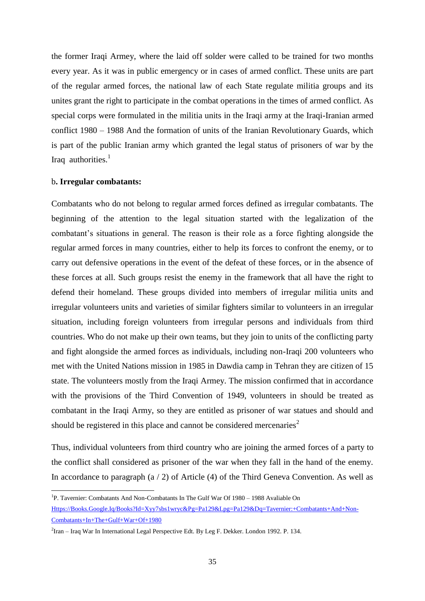the former Iraqi Armey, where the laid off solder were called to be trained for two months every year. As it was in public emergency or in cases of armed conflict. These units are part of the regular armed forces, the national law of each State regulate militia groups and its unites grant the right to participate in the combat operations in the times of armed conflict. As special corps were formulated in the militia units in the Iraqi army at the Iraqi-Iranian armed conflict 1980 – 1988 And the formation of units of the Iranian Revolutionary Guards, which is part of the public Iranian army which granted the legal status of prisoners of war by the Iraq authorities. $<sup>1</sup>$ </sup>

#### b**. Irregular combatants:**

1

Combatants who do not belong to regular armed forces defined as irregular combatants. The beginning of the attention to the legal situation started with the legalization of the combatant's situations in general. The reason is their role as a force fighting alongside the regular armed forces in many countries, either to help its forces to confront the enemy, or to carry out defensive operations in the event of the defeat of these forces, or in the absence of these forces at all. Such groups resist the enemy in the framework that all have the right to defend their homeland. These groups divided into members of irregular militia units and irregular volunteers units and varieties of similar fighters similar to volunteers in an irregular situation, including foreign volunteers from irregular persons and individuals from third countries. Who do not make up their own teams, but they join to units of the conflicting party and fight alongside the armed forces as individuals, including non-Iraqi 200 volunteers who met with the United Nations mission in 1985 in Dawdia camp in Tehran they are citizen of 15 state. The volunteers mostly from the Iraqi Armey. The mission confirmed that in accordance with the provisions of the Third Convention of 1949, volunteers in should be treated as combatant in the Iraqi Army, so they are entitled as prisoner of war statues and should and should be registered in this place and cannot be considered mercenaries<sup>2</sup>

Thus, individual volunteers from third country who are joining the armed forces of a party to the conflict shall considered as prisoner of the war when they fall in the hand of the enemy. In accordance to paragraph (a / 2) of Article (4) of the Third Geneva Convention. As well as

<sup>&</sup>lt;sup>1</sup>P. Tavernier: Combatants And Non-Combatants In The Gulf War Of 1980 - 1988 Avaliable On [Https://Books.Google.Iq/Books?Id=Xyy7sbs1wryc&Pg=Pa129&Lpg=Pa129&Dq=Tavernier:+Combatants+And+Non-](https://books.google.iq/books?id=xYy7sbS1wrYC&pg=PA129&lpg=PA129&dq=Tavernier:+Combatants+and+non-combatants+in+the+Gulf+war+of+1980)[Combatants+In+The+Gulf+War+Of+1980](https://books.google.iq/books?id=xYy7sbS1wrYC&pg=PA129&lpg=PA129&dq=Tavernier:+Combatants+and+non-combatants+in+the+Gulf+war+of+1980)

 $2$ Iran – Iraq War In International Legal Perspective Edt. By Leg F. Dekker. London 1992. P. 134.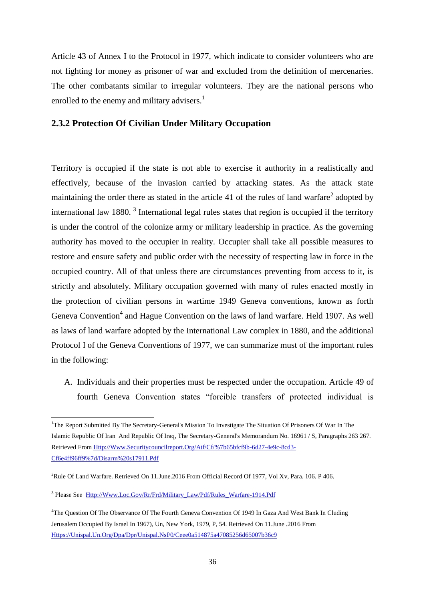Article 43 of Annex I to the Protocol in 1977, which indicate to consider volunteers who are not fighting for money as prisoner of war and excluded from the definition of mercenaries. The other combatants similar to irregular volunteers. They are the national persons who enrolled to the enemy and military advisers.<sup>1</sup>

## **2.3.2 Protection Of Civilian Under Military Occupation**

Territory is occupied if the state is not able to exercise it authority in a realistically and effectively, because of the invasion carried by attacking states. As the attack state maintaining the order there as stated in the article 41 of the rules of land warfare<sup>2</sup> adopted by international law 1880.<sup>3</sup> International legal rules states that region is occupied if the territory is under the control of the colonize army or military leadership in practice. As the governing authority has moved to the occupier in reality. Occupier shall take all possible measures to restore and ensure safety and public order with the necessity of respecting law in force in the occupied country. All of that unless there are circumstances preventing from access to it, is strictly and absolutely. Military occupation governed with many of rules enacted mostly in the protection of civilian persons in wartime 1949 Geneva conventions, known as forth Geneva Convention<sup>4</sup> and Hague Convention on the laws of land warfare. Held 1907. As well as laws of land warfare adopted by the International Law complex in 1880, and the additional Protocol I of the Geneva Conventions of 1977, we can summarize must of the important rules in the following:

A. Individuals and their properties must be respected under the occupation. Article 49 of fourth Geneva Convention states "forcible transfers of protected individual is

<sup>3</sup> Please See [Http://Www.Loc.Gov/Rr/Frd/Military\\_Law/Pdf/Rules\\_Warfare-1914.Pdf](http://www.loc.gov/rr/frd/Military_Law/pdf/rules_warfare-1914.pdf)

<sup>&</sup>lt;sup>1</sup>The Report Submitted By The Secretary-General's Mission To Investigate The Situation Of Prisoners Of War In The Islamic Republic Of Iran And Republic Of Iraq, The Secretary-General's Memorandum No. 16961 / S, Paragraphs 263 267. Retrieved From [Http://Www.Securitycouncilreport.Org/Atf/Cf/%7b65bfcf9b-6d27-4e9c-8cd3-](http://www.securitycouncilreport.org/atf/cf/%7B65BFCF9B-6D27-4E9C-8CD3-CF6E4FF96FF9%7D/Disarm%20S17911.pdf) [Cf6e4ff96ff9%7d/Disarm%20s17911.Pdf](http://www.securitycouncilreport.org/atf/cf/%7B65BFCF9B-6D27-4E9C-8CD3-CF6E4FF96FF9%7D/Disarm%20S17911.pdf)

<sup>2</sup>Rule Of Land Warfare. Retrieved On 11.June.2016 From Official Record Of 1977, Vol Xv, Para. 106. P 406.

<sup>4</sup>The Question Of The Observance Of The Fourth Geneva Convention Of 1949 In Gaza And West Bank In Cluding Jerusalem Occupied By Israel In 1967), Un, New York, 1979, P, 54. Retrieved On 11.June .2016 From [Https://Unispal.Un.Org/Dpa/Dpr/Unispal.Nsf/0/Ceee0a514875a47085256d65007b36c9](https://unispal.un.org/DPA/DPR/unispal.nsf/0/CEEE0A514875A47085256D65007B36C9)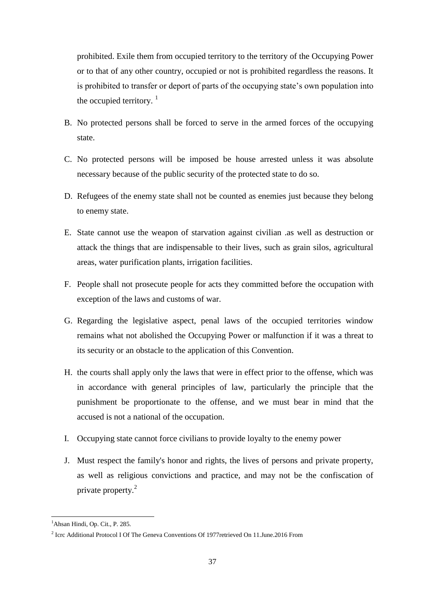prohibited. Exile them from occupied territory to the territory of the Occupying Power or to that of any other country, occupied or not is prohibited regardless the reasons. It is prohibited to transfer or deport of parts of the occupying state's own population into the occupied territory.  $\frac{1}{1}$ 

- B. No protected persons shall be forced to serve in the armed forces of the occupying state.
- C. No protected persons will be imposed be house arrested unless it was absolute necessary because of the public security of the protected state to do so.
- D. Refugees of the enemy state shall not be counted as enemies just because they belong to enemy state.
- E. State cannot use the weapon of starvation against civilian .as well as destruction or attack the things that are indispensable to their lives, such as grain silos, agricultural areas, water purification plants, irrigation facilities.
- F. People shall not prosecute people for acts they committed before the occupation with exception of the laws and customs of war.
- G. Regarding the legislative aspect, penal laws of the occupied territories window remains what not abolished the Occupying Power or malfunction if it was a threat to its security or an obstacle to the application of this Convention.
- H. the courts shall apply only the laws that were in effect prior to the offense, which was in accordance with general principles of law, particularly the principle that the punishment be proportionate to the offense, and we must bear in mind that the accused is not a national of the occupation.
- I. Occupying state cannot force civilians to provide loyalty to the enemy power
- J. Must respect the family's honor and rights, the lives of persons and private property, as well as religious convictions and practice, and may not be the confiscation of private property.<sup>2</sup>

<sup>&</sup>lt;sup>1</sup>Ahsan Hindi, Op. Cit., P. 285.

<sup>&</sup>lt;sup>2</sup> Icrc Additional Protocol I Of The Geneva Conventions Of 1977 retrieved On 11. June. 2016 From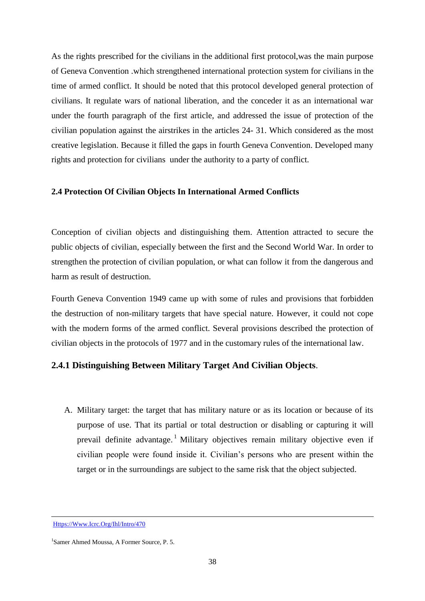As the rights prescribed for the civilians in the additional first protocol,was the main purpose of Geneva Convention .which strengthened international protection system for civilians in the time of armed conflict. It should be noted that this protocol developed general protection of civilians. It regulate wars of national liberation, and the conceder it as an international war under the fourth paragraph of the first article, and addressed the issue of protection of the civilian population against the airstrikes in the articles 24- 31. Which considered as the most creative legislation. Because it filled the gaps in fourth Geneva Convention. Developed many rights and protection for civilians under the authority to a party of conflict.

#### **2.4 Protection Of Civilian Objects In International Armed Conflicts**

Conception of civilian objects and distinguishing them. Attention attracted to secure the public objects of civilian, especially between the first and the Second World War. In order to strengthen the protection of civilian population, or what can follow it from the dangerous and harm as result of destruction.

Fourth Geneva Convention 1949 came up with some of rules and provisions that forbidden the destruction of non-military targets that have special nature. However, it could not cope with the modern forms of the armed conflict. Several provisions described the protection of civilian objects in the protocols of 1977 and in the customary rules of the international law.

## **2.4.1 Distinguishing Between Military Target And Civilian Objects**.

A. Military target: the target that has military nature or as its location or because of its purpose of use. That its partial or total destruction or disabling or capturing it will prevail definite advantage.<sup>1</sup> Military objectives remain military objective even if civilian people were found inside it. Civilian's persons who are present within the target or in the surroundings are subject to the same risk that the object subjected.

[Https://Www.Icrc.Org/Ihl/Intro/470](https://www.icrc.org/ihl/INTRO/470)

<sup>1</sup> Samer Ahmed Moussa, A Former Source, P. 5.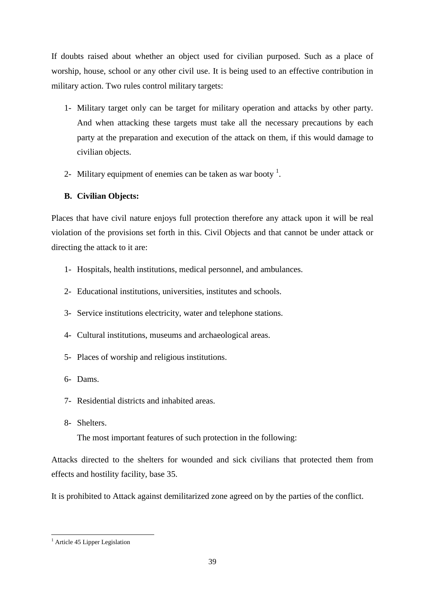If doubts raised about whether an object used for civilian purposed. Such as a place of worship, house, school or any other civil use. It is being used to an effective contribution in military action. Two rules control military targets:

- 1- Military target only can be target for military operation and attacks by other party. And when attacking these targets must take all the necessary precautions by each party at the preparation and execution of the attack on them, if this would damage to civilian objects.
- 2- Military equipment of enemies can be taken as war booty<sup>1</sup>.

# **B. Civilian Objects:**

Places that have civil nature enjoys full protection therefore any attack upon it will be real violation of the provisions set forth in this. Civil Objects and that cannot be under attack or directing the attack to it are:

- 1- Hospitals, health institutions, medical personnel, and ambulances.
- 2- Educational institutions, universities, institutes and schools.
- 3- Service institutions electricity, water and telephone stations.
- 4- Cultural institutions, museums and archaeological areas.
- 5- Places of worship and religious institutions.
- 6- Dams.
- 7- Residential districts and inhabited areas.
- 8- Shelters.

The most important features of such protection in the following:

Attacks directed to the shelters for wounded and sick civilians that protected them from effects and hostility facility, base 35.

It is prohibited to Attack against demilitarized zone agreed on by the parties of the conflict.

<sup>&</sup>lt;sup>1</sup> Article 45 Lipper Legislation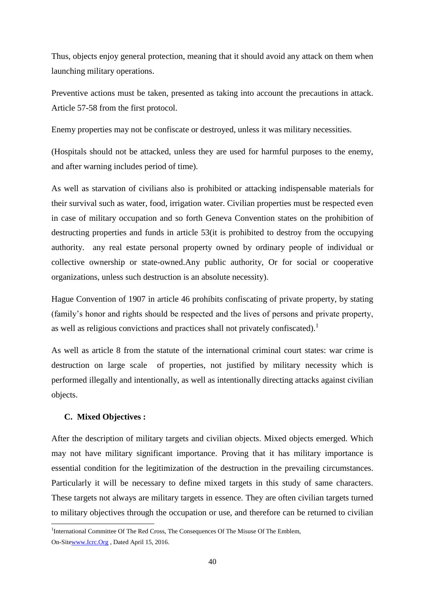Thus, objects enjoy general protection, meaning that it should avoid any attack on them when launching military operations.

Preventive actions must be taken, presented as taking into account the precautions in attack. Article 57-58 from the first protocol.

Enemy properties may not be confiscate or destroyed, unless it was military necessities.

(Hospitals should not be attacked, unless they are used for harmful purposes to the enemy, and after warning includes period of time).

As well as starvation of civilians also is prohibited or attacking indispensable materials for their survival such as water, food, irrigation water. Civilian properties must be respected even in case of military occupation and so forth Geneva Convention states on the prohibition of destructing properties and funds in article 53(it is prohibited to destroy from the occupying authority. any real estate personal property owned by ordinary people of individual or collective ownership or state-owned.Any public authority, Or for social or cooperative organizations, unless such destruction is an absolute necessity).

Hague Convention of 1907 in article 46 prohibits confiscating of private property, by stating (family's honor and rights should be respected and the lives of persons and private property, as well as religious convictions and practices shall not privately confiscated).<sup>1</sup>

As well as article 8 from the statute of the international criminal court states: war crime is destruction on large scale of properties, not justified by military necessity which is performed illegally and intentionally, as well as intentionally directing attacks against civilian objects.

# **C. Mixed Objectives :**

After the description of military targets and civilian objects. Mixed objects emerged. Which may not have military significant importance. Proving that it has military importance is essential condition for the legitimization of the destruction in the prevailing circumstances. Particularly it will be necessary to define mixed targets in this study of same characters. These targets not always are military targets in essence. They are often civilian targets turned to military objectives through the occupation or use, and therefore can be returned to civilian

<sup>-</sup><sup>1</sup>International Committee Of The Red Cross, The Consequences Of The Misuse Of The Emblem,

On-Sit[ewww.Icrc.Org](http://www.icrc.org/) , Dated April 15, 2016.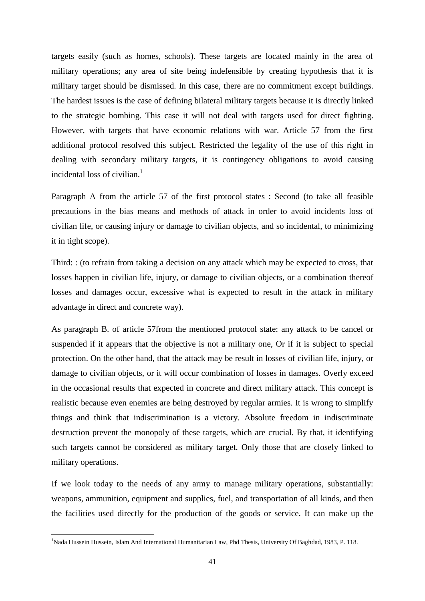targets easily (such as homes, schools). These targets are located mainly in the area of military operations; any area of site being indefensible by creating hypothesis that it is military target should be dismissed. In this case, there are no commitment except buildings. The hardest issues is the case of defining bilateral military targets because it is directly linked to the strategic bombing. This case it will not deal with targets used for direct fighting. However, with targets that have economic relations with war. Article 57 from the first additional protocol resolved this subject. Restricted the legality of the use of this right in dealing with secondary military targets, it is contingency obligations to avoid causing incidental loss of civilian. $<sup>1</sup>$ </sup>

Paragraph A from the article 57 of the first protocol states : Second (to take all feasible precautions in the bias means and methods of attack in order to avoid incidents loss of civilian life, or causing injury or damage to civilian objects, and so incidental, to minimizing it in tight scope).

Third: : (to refrain from taking a decision on any attack which may be expected to cross, that losses happen in civilian life, injury, or damage to civilian objects, or a combination thereof losses and damages occur, excessive what is expected to result in the attack in military advantage in direct and concrete way).

As paragraph B. of article 57from the mentioned protocol state: any attack to be cancel or suspended if it appears that the objective is not a military one, Or if it is subject to special protection. On the other hand, that the attack may be result in losses of civilian life, injury, or damage to civilian objects, or it will occur combination of losses in damages. Overly exceed in the occasional results that expected in concrete and direct military attack. This concept is realistic because even enemies are being destroyed by regular armies. It is wrong to simplify things and think that indiscrimination is a victory. Absolute freedom in indiscriminate destruction prevent the monopoly of these targets, which are crucial. By that, it identifying such targets cannot be considered as military target. Only those that are closely linked to military operations.

If we look today to the needs of any army to manage military operations, substantially: weapons, ammunition, equipment and supplies, fuel, and transportation of all kinds, and then the facilities used directly for the production of the goods or service. It can make up the

<sup>&</sup>lt;sup>1</sup>Nada Hussein Hussein, Islam And International Humanitarian Law, Phd Thesis, University Of Baghdad, 1983, P. 118.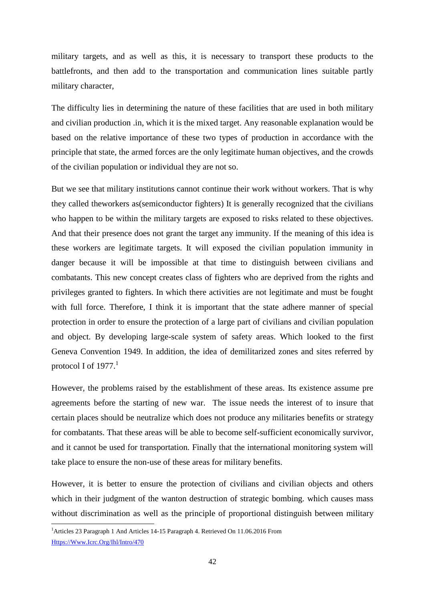military targets, and as well as this, it is necessary to transport these products to the battlefronts, and then add to the transportation and communication lines suitable partly military character,

The difficulty lies in determining the nature of these facilities that are used in both military and civilian production .in, which it is the mixed target. Any reasonable explanation would be based on the relative importance of these two types of production in accordance with the principle that state, the armed forces are the only legitimate human objectives, and the crowds of the civilian population or individual they are not so.

But we see that military institutions cannot continue their work without workers. That is why they called theworkers as(semiconductor fighters) It is generally recognized that the civilians who happen to be within the military targets are exposed to risks related to these objectives. And that their presence does not grant the target any immunity. If the meaning of this idea is these workers are legitimate targets. It will exposed the civilian population immunity in danger because it will be impossible at that time to distinguish between civilians and combatants. This new concept creates class of fighters who are deprived from the rights and privileges granted to fighters. In which there activities are not legitimate and must be fought with full force. Therefore, I think it is important that the state adhere manner of special protection in order to ensure the protection of a large part of civilians and civilian population and object. By developing large-scale system of safety areas. Which looked to the first Geneva Convention 1949. In addition, the idea of demilitarized zones and sites referred by protocol I of  $1977<sup>1</sup>$ 

However, the problems raised by the establishment of these areas. Its existence assume pre agreements before the starting of new war. The issue needs the interest of to insure that certain places should be neutralize which does not produce any militaries benefits or strategy for combatants. That these areas will be able to become self-sufficient economically survivor, and it cannot be used for transportation. Finally that the international monitoring system will take place to ensure the non-use of these areas for military benefits.

However, it is better to ensure the protection of civilians and civilian objects and others which in their judgment of the wanton destruction of strategic bombing. which causes mass without discrimination as well as the principle of proportional distinguish between military

<sup>&</sup>lt;sup>1</sup> Articles 23 Paragraph 1 And Articles 14-15 Paragraph 4. Retrieved On 11.06.2016 From [Https://Www.Icrc.Org/Ihl/Intro/470](https://www.icrc.org/ihl/INTRO/470)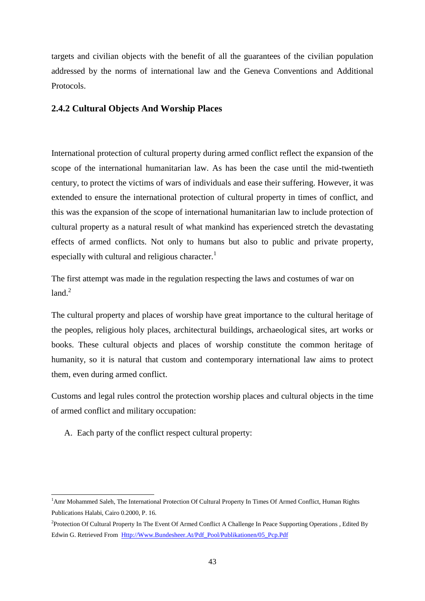targets and civilian objects with the benefit of all the guarantees of the civilian population addressed by the norms of international law and the Geneva Conventions and Additional Protocols.

## **2.4.2 Cultural Objects And Worship Places**

International protection of cultural property during armed conflict reflect the expansion of the scope of the international humanitarian law. As has been the case until the mid-twentieth century, to protect the victims of wars of individuals and ease their suffering. However, it was extended to ensure the international protection of cultural property in times of conflict, and this was the expansion of the scope of international humanitarian law to include protection of cultural property as a natural result of what mankind has experienced stretch the devastating effects of armed conflicts. Not only to humans but also to public and private property, especially with cultural and religious character.<sup>1</sup>

The first attempt was made in the regulation respecting the laws and costumes of war on  $1$ and $^2$ 

The cultural property and places of worship have great importance to the cultural heritage of the peoples, religious holy places, architectural buildings, archaeological sites, art works or books. These cultural objects and places of worship constitute the common heritage of humanity, so it is natural that custom and contemporary international law aims to protect them, even during armed conflict.

Customs and legal rules control the protection worship places and cultural objects in the time of armed conflict and military occupation:

A. Each party of the conflict respect cultural property:

1

<sup>&</sup>lt;sup>1</sup>Amr Mohammed Saleh, The International Protection Of Cultural Property In Times Of Armed Conflict, Human Rights Publications Halabi, Cairo 0.2000, P. 16.

<sup>&</sup>lt;sup>2</sup>Protection Of Cultural Property In The Event Of Armed Conflict A Challenge In Peace Supporting Operations, Edited By Edwin G. Retrieved From [Http://Www.Bundesheer.At/Pdf\\_Pool/Publikationen/05\\_Pcp.Pdf](http://www.bundesheer.at/pdf_pool/publikationen/05_pcp.pdf)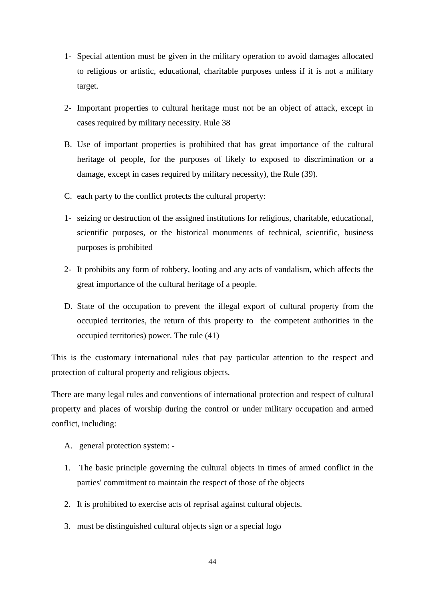- 1- Special attention must be given in the military operation to avoid damages allocated to religious or artistic, educational, charitable purposes unless if it is not a military target.
- 2- Important properties to cultural heritage must not be an object of attack, except in cases required by military necessity. Rule 38
- B. Use of important properties is prohibited that has great importance of the cultural heritage of people, for the purposes of likely to exposed to discrimination or a damage, except in cases required by military necessity), the Rule (39).
- C. each party to the conflict protects the cultural property:
- 1- seizing or destruction of the assigned institutions for religious, charitable, educational, scientific purposes, or the historical monuments of technical, scientific, business purposes is prohibited
- 2- It prohibits any form of robbery, looting and any acts of vandalism, which affects the great importance of the cultural heritage of a people.
- D. State of the occupation to prevent the illegal export of cultural property from the occupied territories, the return of this property to the competent authorities in the occupied territories) power. The rule (41)

This is the customary international rules that pay particular attention to the respect and protection of cultural property and religious objects.

There are many legal rules and conventions of international protection and respect of cultural property and places of worship during the control or under military occupation and armed conflict, including:

- A. general protection system: -
- 1. The basic principle governing the cultural objects in times of armed conflict in the parties' commitment to maintain the respect of those of the objects
- 2. It is prohibited to exercise acts of reprisal against cultural objects.
- 3. must be distinguished cultural objects sign or a special logo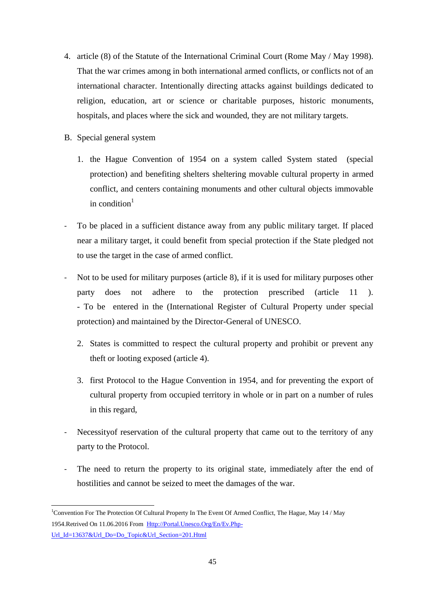- 4. article (8) of the Statute of the International Criminal Court (Rome May / May 1998). That the war crimes among in both international armed conflicts, or conflicts not of an international character. Intentionally directing attacks against buildings dedicated to religion, education, art or science or charitable purposes, historic monuments, hospitals, and places where the sick and wounded, they are not military targets.
- B. Special general system
	- 1. the Hague Convention of 1954 on a system called System stated (special protection) and benefiting shelters sheltering movable cultural property in armed conflict, and centers containing monuments and other cultural objects immovable in condition $1$
- To be placed in a sufficient distance away from any public military target. If placed near a military target, it could benefit from special protection if the State pledged not to use the target in the case of armed conflict.
- Not to be used for military purposes (article 8), if it is used for military purposes other party does not adhere to the protection prescribed (article 11 ). - To be entered in the (International Register of Cultural Property under special protection) and maintained by the Director-General of UNESCO.
	- 2. States is committed to respect the cultural property and prohibit or prevent any theft or looting exposed (article 4).
	- 3. first Protocol to the Hague Convention in 1954, and for preventing the export of cultural property from occupied territory in whole or in part on a number of rules in this regard,
- Necessity of reservation of the cultural property that came out to the territory of any party to the Protocol.
- The need to return the property to its original state, immediately after the end of hostilities and cannot be seized to meet the damages of the war.

<sup>1</sup> <sup>1</sup>Convention For The Protection Of Cultural Property In The Event Of Armed Conflict, The Hague, May 14 / May 1954.Retrived On 11.06.2016 From [Http://Portal.Unesco.Org/En/Ev.Php-](http://portal.unesco.org/en/ev.php-URL_ID=13637&URL_DO=DO_TOPIC&URL_SECTION=201.html)[Url\\_Id=13637&Url\\_Do=Do\\_Topic&Url\\_Section=201.Html](http://portal.unesco.org/en/ev.php-URL_ID=13637&URL_DO=DO_TOPIC&URL_SECTION=201.html)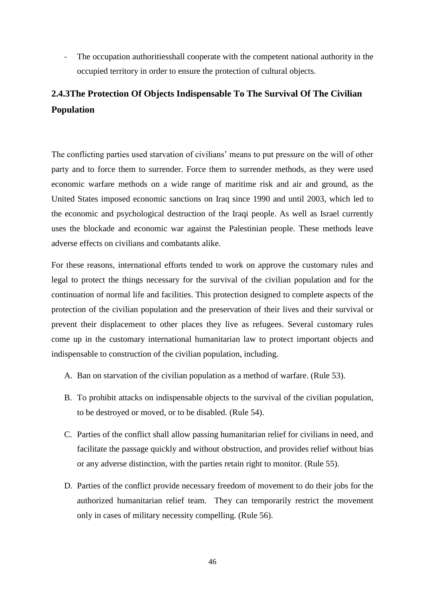- The occupation authoritiesshall cooperate with the competent national authority in the occupied territory in order to ensure the protection of cultural objects.

# **2.4.3The Protection Of Objects Indispensable To The Survival Of The Civilian Population**

The conflicting parties used starvation of civilians' means to put pressure on the will of other party and to force them to surrender. Force them to surrender methods, as they were used economic warfare methods on a wide range of maritime risk and air and ground, as the United States imposed economic sanctions on Iraq since 1990 and until 2003, which led to the economic and psychological destruction of the Iraqi people. As well as Israel currently uses the blockade and economic war against the Palestinian people. These methods leave adverse effects on civilians and combatants alike.

For these reasons, international efforts tended to work on approve the customary rules and legal to protect the things necessary for the survival of the civilian population and for the continuation of normal life and facilities. This protection designed to complete aspects of the protection of the civilian population and the preservation of their lives and their survival or prevent their displacement to other places they live as refugees. Several customary rules come up in the customary international humanitarian law to protect important objects and indispensable to construction of the civilian population, including.

- A. Ban on starvation of the civilian population as a method of warfare. (Rule 53).
- B. To prohibit attacks on indispensable objects to the survival of the civilian population, to be destroyed or moved, or to be disabled. (Rule 54).
- C. Parties of the conflict shall allow passing humanitarian relief for civilians in need, and facilitate the passage quickly and without obstruction, and provides relief without bias or any adverse distinction, with the parties retain right to monitor. (Rule 55).
- D. Parties of the conflict provide necessary freedom of movement to do their jobs for the authorized humanitarian relief team. They can temporarily restrict the movement only in cases of military necessity compelling. (Rule 56).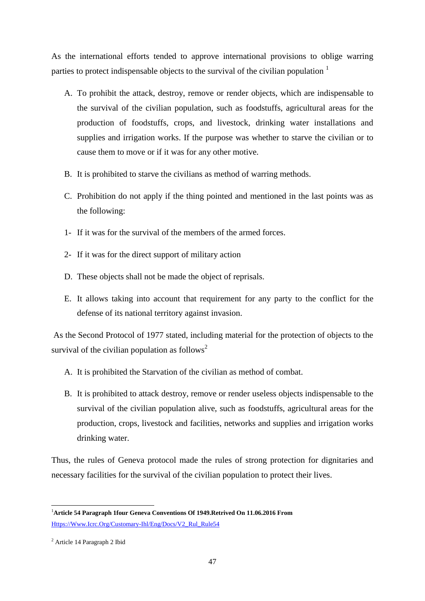As the international efforts tended to approve international provisions to oblige warring parties to protect indispensable objects to the survival of the civilian population  $<sup>1</sup>$ </sup>

- A. To prohibit the attack, destroy, remove or render objects, which are indispensable to the survival of the civilian population, such as foodstuffs, agricultural areas for the production of foodstuffs, crops, and livestock, drinking water installations and supplies and irrigation works. If the purpose was whether to starve the civilian or to cause them to move or if it was for any other motive.
- B. It is prohibited to starve the civilians as method of warring methods.
- C. Prohibition do not apply if the thing pointed and mentioned in the last points was as the following:
- 1- If it was for the survival of the members of the armed forces.
- 2- If it was for the direct support of military action
- D. These objects shall not be made the object of reprisals.
- E. It allows taking into account that requirement for any party to the conflict for the defense of its national territory against invasion.

As the Second Protocol of 1977 stated, including material for the protection of objects to the survival of the civilian population as follows<sup>2</sup>

- A. It is prohibited the Starvation of the civilian as method of combat.
- B. It is prohibited to attack destroy, remove or render useless objects indispensable to the survival of the civilian population alive, such as foodstuffs, agricultural areas for the production, crops, livestock and facilities, networks and supplies and irrigation works drinking water.

Thus, the rules of Geneva protocol made the rules of strong protection for dignitaries and necessary facilities for the survival of the civilian population to protect their lives.

<sup>1</sup> <sup>1</sup>**Article 54 Paragraph 1four Geneva Conventions Of 1949.Retrived On 11.06.2016 From**  [Https://Www.Icrc.Org/Customary-Ihl/Eng/Docs/V2\\_Rul\\_Rule54](https://www.icrc.org/customary-ihl/eng/docs/v2_rul_rule54)

<sup>2</sup> Article 14 Paragraph 2 Ibid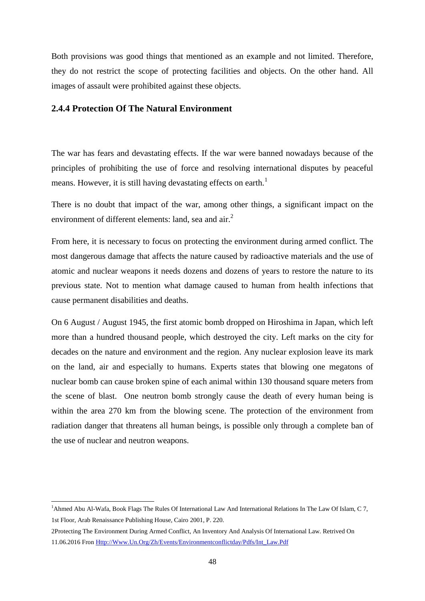Both provisions was good things that mentioned as an example and not limited. Therefore, they do not restrict the scope of protecting facilities and objects. On the other hand. All images of assault were prohibited against these objects.

## **2.4.4 Protection Of The Natural Environment**

The war has fears and devastating effects. If the war were banned nowadays because of the principles of prohibiting the use of force and resolving international disputes by peaceful means. However, it is still having devastating effects on earth.<sup>1</sup>

There is no doubt that impact of the war, among other things, a significant impact on the environment of different elements: land, sea and  $air<sup>2</sup>$ .

From here, it is necessary to focus on protecting the environment during armed conflict. The most dangerous damage that affects the nature caused by radioactive materials and the use of atomic and nuclear weapons it needs dozens and dozens of years to restore the nature to its previous state. Not to mention what damage caused to human from health infections that cause permanent disabilities and deaths.

On 6 August / August 1945, the first atomic bomb dropped on Hiroshima in Japan, which left more than a hundred thousand people, which destroyed the city. Left marks on the city for decades on the nature and environment and the region. Any nuclear explosion leave its mark on the land, air and especially to humans. Experts states that blowing one megatons of nuclear bomb can cause broken spine of each animal within 130 thousand square meters from the scene of blast. One neutron bomb strongly cause the death of every human being is within the area 270 km from the blowing scene. The protection of the environment from radiation danger that threatens all human beings, is possible only through a complete ban of the use of nuclear and neutron weapons.

<sup>&</sup>lt;sup>1</sup>Ahmed Abu Al-Wafa, Book Flags The Rules Of International Law And International Relations In The Law Of Islam, C 7, 1st Floor, Arab Renaissance Publishing House, Cairo 2001, P. 220.

<sup>2</sup>Protecting The Environment During Armed Conflict, An Inventory And Analysis Of International Law. Retrived On 11.06.2016 Fron [Http://Www.Un.Org/Zh/Events/Environmentconflictday/Pdfs/Int\\_Law.Pdf](http://www.un.org/zh/events/environmentconflictday/pdfs/int_law.pdf)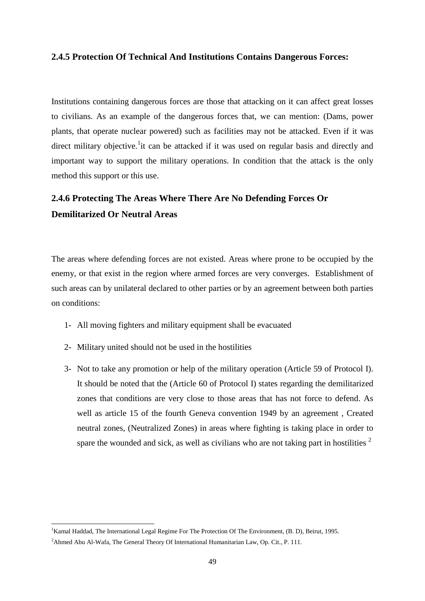## **2.4.5 Protection Of Technical And Institutions Contains Dangerous Forces:**

Institutions containing dangerous forces are those that attacking on it can affect great losses to civilians. As an example of the dangerous forces that, we can mention: (Dams, power plants, that operate nuclear powered) such as facilities may not be attacked. Even if it was direct military objective.<sup>1</sup> it can be attacked if it was used on regular basis and directly and important way to support the military operations. In condition that the attack is the only method this support or this use.

# **2.4.6 Protecting The Areas Where There Are No Defending Forces Or Demilitarized Or Neutral Areas**

The areas where defending forces are not existed. Areas where prone to be occupied by the enemy, or that exist in the region where armed forces are very converges. Establishment of such areas can by unilateral declared to other parties or by an agreement between both parties on conditions:

- 1- All moving fighters and military equipment shall be evacuated
- 2- Military united should not be used in the hostilities
- 3- Not to take any promotion or help of the military operation (Article 59 of Protocol I). It should be noted that the (Article 60 of Protocol I) states regarding the demilitarized zones that conditions are very close to those areas that has not force to defend. As well as article 15 of the fourth Geneva convention 1949 by an agreement , Created neutral zones, (Neutralized Zones) in areas where fighting is taking place in order to spare the wounded and sick, as well as civilians who are not taking part in hostilities  $2^2$

<sup>&</sup>lt;sup>1</sup>Kamal Haddad, The International Legal Regime For The Protection Of The Environment, (B. D), Beirut, 1995.

<sup>&</sup>lt;sup>2</sup>Ahmed Abu Al-Wafa, The General Theory Of International Humanitarian Law, Op. Cit., P. 111.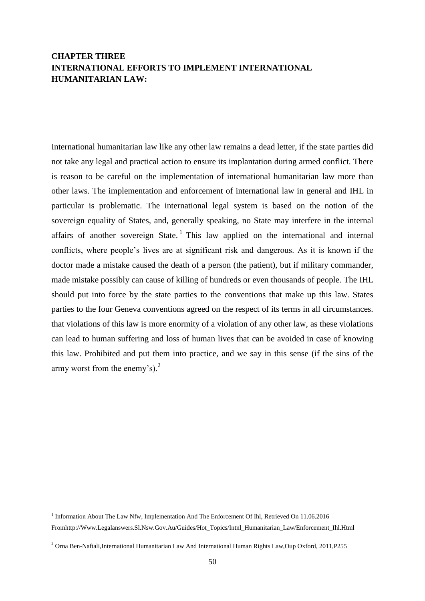# **CHAPTER THREE INTERNATIONAL EFFORTS TO IMPLEMENT INTERNATIONAL HUMANITARIAN LAW:**

International humanitarian law like any other law remains a dead letter, if the state parties did not take any legal and practical action to ensure its implantation during armed conflict. There is reason to be careful on the implementation of international humanitarian law more than other laws. The implementation and enforcement of international law in general and IHL in particular is problematic. The international legal system is based on the notion of the sovereign equality of States, and, generally speaking, no State may interfere in the internal affairs of another sovereign State.<sup>1</sup> This law applied on the international and internal conflicts, where people's lives are at significant risk and dangerous. As it is known if the doctor made a mistake caused the death of a person (the patient), but if military commander, made mistake possibly can cause of killing of hundreds or even thousands of people. The IHL should put into force by the state parties to the conventions that make up this law. States parties to the four Geneva conventions agreed on the respect of its terms in all circumstances. that violations of this law is more enormity of a violation of any other law, as these violations can lead to human suffering and loss of human lives that can be avoided in case of knowing this law. Prohibited and put them into practice, and we say in this sense (if the sins of the army worst from the enemy's). $^{2}$ 

<sup>1&</sup>lt;br>
Information About The Law Nfw, Implementation And The Enforcement Of Ihl, Retrieved On 11.06.2016 Fromhttp://Www.Legalanswers.Sl.Nsw.Gov.Au/Guides/Hot\_Topics/Intnl\_Humanitarian\_Law/Enforcement\_Ihl.Html

<sup>2</sup> Orna Ben-Naftali,International Humanitarian Law And International Human Rights Law,Oup Oxford, 2011,P255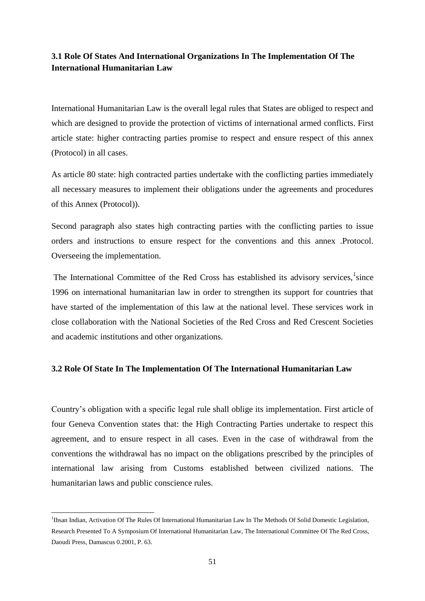## **3.1 Role Of States And International Organizations In The Implementation Of The International Humanitarian Law**

International Humanitarian Law is the overall legal rules that States are obliged to respect and which are designed to provide the protection of victims of international armed conflicts. First article state: higher contracting parties promise to respect and ensure respect of this annex (Protocol) in all cases.

As article 80 state: high contracted parties undertake with the conflicting parties immediately all necessary measures to implement their obligations under the agreements and procedures of this Annex (Protocol)).

Second paragraph also states high contracting parties with the conflicting parties to issue orders and instructions to ensure respect for the conventions and this annex .Protocol. Overseeing the implementation.

The International Committee of the Red Cross has established its advisory services,  $\frac{1}{1}$  since 1996 on international humanitarian law in order to strengthen its support for countries that have started of the implementation of this law at the national level. These services work in close collaboration with the National Societies of the Red Cross and Red Crescent Societies and academic institutions and other organizations.

## **3.2 Role Of State In The Implementation Of The International Humanitarian Law**

Country's obligation with a specific legal rule shall oblige its implementation. First article of four Geneva Convention states that: the High Contracting Parties undertake to respect this agreement, and to ensure respect in all cases. Even in the case of withdrawal from the conventions the withdrawal has no impact on the obligations prescribed by the principles of international law arising from Customs established between civilized nations. The humanitarian laws and public conscience rules.

<sup>&</sup>lt;sup>1</sup>Ihsan Indian, Activation Of The Rules Of International Humanitarian Law In The Methods Of Solid Domestic Legislation, Research Presented To A Symposium Of International Humanitarian Law, The International Committee Of The Red Cross, Daoudi Press, Damascus 0.2001, P. 63.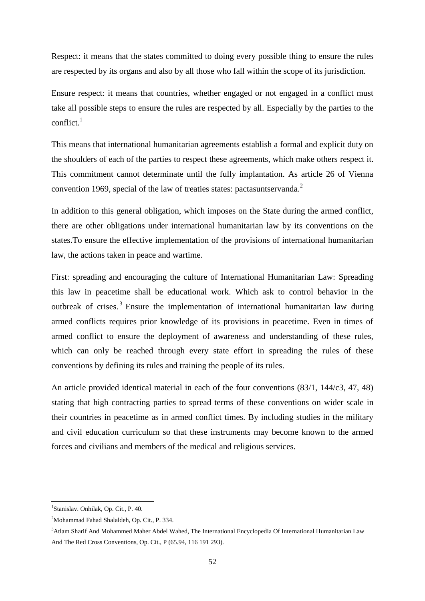Respect: it means that the states committed to doing every possible thing to ensure the rules are respected by its organs and also by all those who fall within the scope of its jurisdiction.

Ensure respect: it means that countries, whether engaged or not engaged in a conflict must take all possible steps to ensure the rules are respected by all. Especially by the parties to the conflict. $1$ 

This means that international humanitarian agreements establish a formal and explicit duty on the shoulders of each of the parties to respect these agreements, which make others respect it. This commitment cannot determinate until the fully implantation. As article 26 of Vienna convention 1969, special of the law of treaties states: pactasuntservanda.<sup>2</sup>

In addition to this general obligation, which imposes on the State during the armed conflict, there are other obligations under international humanitarian law by its conventions on the states.To ensure the effective implementation of the provisions of international humanitarian law, the actions taken in peace and wartime.

First: spreading and encouraging the culture of International Humanitarian Law: Spreading this law in peacetime shall be educational work. Which ask to control behavior in the outbreak of crises.<sup>3</sup> Ensure the implementation of international humanitarian law during armed conflicts requires prior knowledge of its provisions in peacetime. Even in times of armed conflict to ensure the deployment of awareness and understanding of these rules, which can only be reached through every state effort in spreading the rules of these conventions by defining its rules and training the people of its rules.

An article provided identical material in each of the four conventions (83/1, 144/c3, 47, 48) stating that high contracting parties to spread terms of these conventions on wider scale in their countries in peacetime as in armed conflict times. By including studies in the military and civil education curriculum so that these instruments may become known to the armed forces and civilians and members of the medical and religious services.

<sup>1</sup> Stanislav. Onhilak, Op. Cit., P. 40.

<sup>2</sup>Mohammad Fahad Shalaldeh, Op. Cit., P. 334.

<sup>3</sup>Atlam Sharif And Mohammed Maher Abdel Wahed, The International Encyclopedia Of International Humanitarian Law And The Red Cross Conventions, Op. Cit., P (65.94, 116 191 293).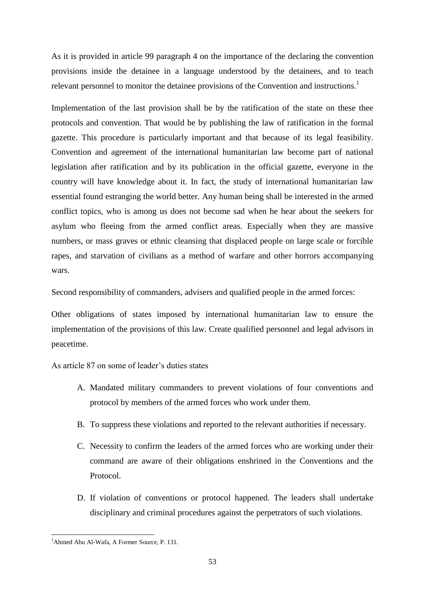As it is provided in article 99 paragraph 4 on the importance of the declaring the convention provisions inside the detainee in a language understood by the detainees, and to teach relevant personnel to monitor the detainee provisions of the Convention and instructions.<sup>1</sup>

Implementation of the last provision shall be by the ratification of the state on these thee protocols and convention. That would be by publishing the law of ratification in the formal gazette. This procedure is particularly important and that because of its legal feasibility. Convention and agreement of the international humanitarian law become part of national legislation after ratification and by its publication in the official gazette, everyone in the country will have knowledge about it. In fact, the study of international humanitarian law essential found estranging the world better. Any human being shall be interested in the armed conflict topics, who is among us does not become sad when he hear about the seekers for asylum who fleeing from the armed conflict areas. Especially when they are massive numbers, or mass graves or ethnic cleansing that displaced people on large scale or forcible rapes, and starvation of civilians as a method of warfare and other horrors accompanying wars.

Second responsibility of commanders, advisers and qualified people in the armed forces:

Other obligations of states imposed by international humanitarian law to ensure the implementation of the provisions of this law. Create qualified personnel and legal advisors in peacetime.

As article 87 on some of leader's duties states

- A. Mandated military commanders to prevent violations of four conventions and protocol by members of the armed forces who work under them.
- B. To suppress these violations and reported to the relevant authorities if necessary.
- C. Necessity to confirm the leaders of the armed forces who are working under their command are aware of their obligations enshrined in the Conventions and the Protocol.
- D. If violation of conventions or protocol happened. The leaders shall undertake disciplinary and criminal procedures against the perpetrators of such violations.

<sup>-</sup><sup>1</sup>Ahmed Abu Al-Wafa, A Former Source, P. 131.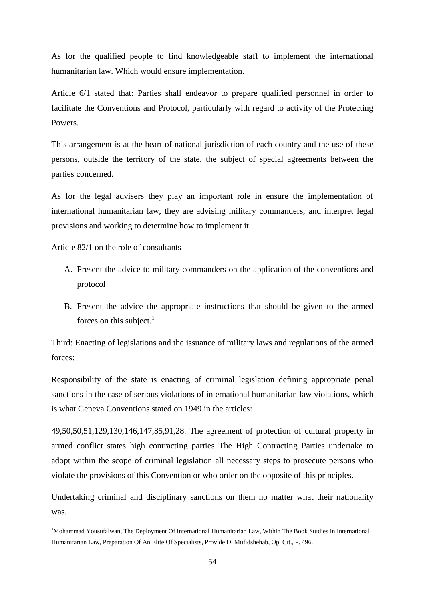As for the qualified people to find knowledgeable staff to implement the international humanitarian law. Which would ensure implementation.

Article 6/1 stated that: Parties shall endeavor to prepare qualified personnel in order to facilitate the Conventions and Protocol, particularly with regard to activity of the Protecting Powers.

This arrangement is at the heart of national jurisdiction of each country and the use of these persons, outside the territory of the state, the subject of special agreements between the parties concerned.

As for the legal advisers they play an important role in ensure the implementation of international humanitarian law, they are advising military commanders, and interpret legal provisions and working to determine how to implement it.

Article 82/1 on the role of consultants

-

- A. Present the advice to military commanders on the application of the conventions and protocol
- B. Present the advice the appropriate instructions that should be given to the armed forces on this subject. $<sup>1</sup>$ </sup>

Third: Enacting of legislations and the issuance of military laws and regulations of the armed forces:

Responsibility of the state is enacting of criminal legislation defining appropriate penal sanctions in the case of serious violations of international humanitarian law violations, which is what Geneva Conventions stated on 1949 in the articles:

49,50,50,51,129,130,146,147,85,91,28. The agreement of protection of cultural property in armed conflict states high contracting parties The High Contracting Parties undertake to adopt within the scope of criminal legislation all necessary steps to prosecute persons who violate the provisions of this Convention or who order on the opposite of this principles.

Undertaking criminal and disciplinary sanctions on them no matter what their nationality was.

<sup>&</sup>lt;sup>1</sup>Mohammad Yousufalwan, The Deployment Of International Humanitarian Law, Within The Book Studies In International Humanitarian Law, Preparation Of An Elite Of Specialists, Provide D. Mufidshehab, Op. Cit., P. 496.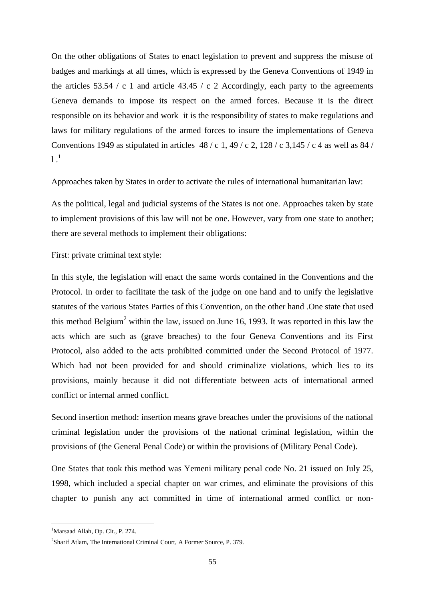On the other obligations of States to enact legislation to prevent and suppress the misuse of badges and markings at all times, which is expressed by the Geneva Conventions of 1949 in the articles 53.54 / c 1 and article 43.45 / c 2 Accordingly, each party to the agreements Geneva demands to impose its respect on the armed forces. Because it is the direct responsible on its behavior and work it is the responsibility of states to make regulations and laws for military regulations of the armed forces to insure the implementations of Geneva Conventions 1949 as stipulated in articles  $48 / c$  1, 49 / c 2, 128 / c 3, 145 / c 4 as well as 84 /  $1^{1}$ 

Approaches taken by States in order to activate the rules of international humanitarian law:

As the political, legal and judicial systems of the States is not one. Approaches taken by state to implement provisions of this law will not be one. However, vary from one state to another; there are several methods to implement their obligations:

First: private criminal text style:

In this style, the legislation will enact the same words contained in the Conventions and the Protocol. In order to facilitate the task of the judge on one hand and to unify the legislative statutes of the various States Parties of this Convention, on the other hand .One state that used this method Belgium<sup>2</sup> within the law, issued on June 16, 1993. It was reported in this law the acts which are such as (grave breaches) to the four Geneva Conventions and its First Protocol, also added to the acts prohibited committed under the Second Protocol of 1977. Which had not been provided for and should criminalize violations, which lies to its provisions, mainly because it did not differentiate between acts of international armed conflict or internal armed conflict.

Second insertion method: insertion means grave breaches under the provisions of the national criminal legislation under the provisions of the national criminal legislation, within the provisions of (the General Penal Code) or within the provisions of (Military Penal Code).

One States that took this method was Yemeni military penal code No. 21 issued on July 25, 1998, which included a special chapter on war crimes, and eliminate the provisions of this chapter to punish any act committed in time of international armed conflict or non-

<sup>&</sup>lt;sup>1</sup>Marsaad Allah, Op. Cit., P. 274.

<sup>&</sup>lt;sup>2</sup>Sharif Atlam, The International Criminal Court, A Former Source, P. 379.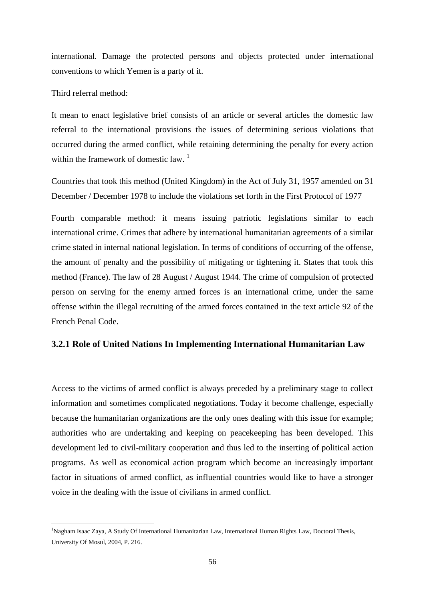international. Damage the protected persons and objects protected under international conventions to which Yemen is a party of it.

Third referral method:

-

It mean to enact legislative brief consists of an article or several articles the domestic law referral to the international provisions the issues of determining serious violations that occurred during the armed conflict, while retaining determining the penalty for every action within the framework of domestic law.  $1$ 

Countries that took this method (United Kingdom) in the Act of July 31, 1957 amended on 31 December / December 1978 to include the violations set forth in the First Protocol of 1977

Fourth comparable method: it means issuing patriotic legislations similar to each international crime. Crimes that adhere by international humanitarian agreements of a similar crime stated in internal national legislation. In terms of conditions of occurring of the offense, the amount of penalty and the possibility of mitigating or tightening it. States that took this method (France). The law of 28 August / August 1944. The crime of compulsion of protected person on serving for the enemy armed forces is an international crime, under the same offense within the illegal recruiting of the armed forces contained in the text article 92 of the French Penal Code.

#### **3.2.1 Role of United Nations In Implementing International Humanitarian Law**

Access to the victims of armed conflict is always preceded by a preliminary stage to collect information and sometimes complicated negotiations. Today it become challenge, especially because the humanitarian organizations are the only ones dealing with this issue for example; authorities who are undertaking and keeping on peacekeeping has been developed. This development led to civil-military cooperation and thus led to the inserting of political action programs. As well as economical action program which become an increasingly important factor in situations of armed conflict, as influential countries would like to have a stronger voice in the dealing with the issue of civilians in armed conflict.

<sup>&</sup>lt;sup>1</sup>Nagham Isaac Zaya, A Study Of International Humanitarian Law, International Human Rights Law, Doctoral Thesis, University Of Mosul, 2004, P. 216.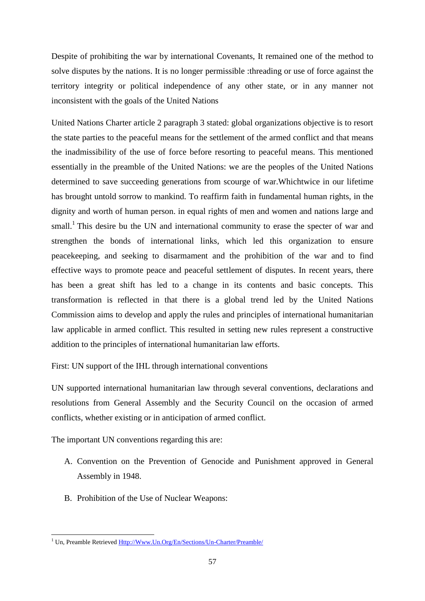Despite of prohibiting the war by international Covenants, It remained one of the method to solve disputes by the nations. It is no longer permissible :threading or use of force against the territory integrity or political independence of any other state, or in any manner not inconsistent with the goals of the United Nations

United Nations Charter article 2 paragraph 3 stated: global organizations objective is to resort the state parties to the peaceful means for the settlement of the armed conflict and that means the inadmissibility of the use of force before resorting to peaceful means. This mentioned essentially in the preamble of the United Nations: we are the peoples of the United Nations determined to save succeeding generations from scourge of war.Whichtwice in our lifetime has brought untold sorrow to mankind. To reaffirm faith in fundamental human rights, in the dignity and worth of human person. in equal rights of men and women and nations large and small.<sup>1</sup> This desire bu the UN and international community to erase the specter of war and strengthen the bonds of international links, which led this organization to ensure peacekeeping, and seeking to disarmament and the prohibition of the war and to find effective ways to promote peace and peaceful settlement of disputes. In recent years, there has been a great shift has led to a change in its contents and basic concepts. This transformation is reflected in that there is a global trend led by the United Nations Commission aims to develop and apply the rules and principles of international humanitarian law applicable in armed conflict. This resulted in setting new rules represent a constructive addition to the principles of international humanitarian law efforts.

First: UN support of the IHL through international conventions

UN supported international humanitarian law through several conventions, declarations and resolutions from General Assembly and the Security Council on the occasion of armed conflicts, whether existing or in anticipation of armed conflict.

The important UN conventions regarding this are:

- A. Convention on the Prevention of Genocide and Punishment approved in General Assembly in 1948.
- B. Prohibition of the Use of Nuclear Weapons:

<sup>-</sup><sup>1</sup> Un, Preamble Retrieved [Http://Www.Un.Org/En/Sections/Un-Charter/Preamble/](http://www.un.org/En/Sections/Un-Charter/Preamble/)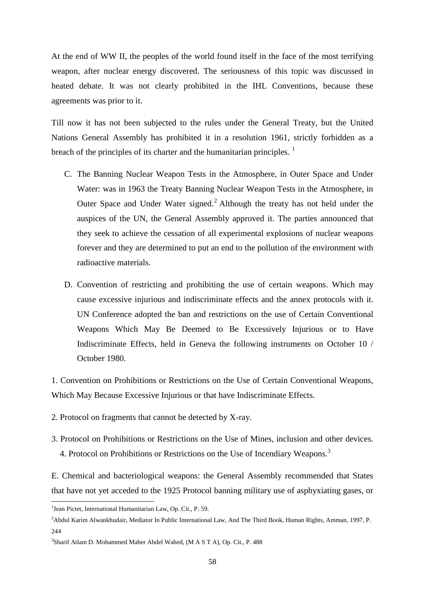At the end of WW II, the peoples of the world found itself in the face of the most terrifying weapon, after nuclear energy discovered. The seriousness of this topic was discussed in heated debate. It was not clearly prohibited in the IHL Conventions, because these agreements was prior to it.

Till now it has not been subjected to the rules under the General Treaty, but the United Nations General Assembly has prohibited it in a resolution 1961, strictly forbidden as a breach of the principles of its charter and the humanitarian principles.  $\frac{1}{1}$ 

- C. The Banning Nuclear Weapon Tests in the Atmosphere, in Outer Space and Under Water: was in 1963 the Treaty Banning Nuclear Weapon Tests in the Atmosphere, in Outer Space and Under Water signed.<sup>2</sup> Although the treaty has not held under the auspices of the UN, the General Assembly approved it. The parties announced that they seek to achieve the cessation of all experimental explosions of nuclear weapons forever and they are determined to put an end to the pollution of the environment with radioactive materials.
- D. Convention of restricting and prohibiting the use of certain weapons. Which may cause excessive injurious and indiscriminate effects and the annex protocols with it. UN Conference adopted the ban and restrictions on the use of Certain Conventional Weapons Which May Be Deemed to Be Excessively Injurious or to Have Indiscriminate Effects, held in Geneva the following instruments on October 10 / October 1980.

1. Convention on Prohibitions or Restrictions on the Use of Certain Conventional Weapons, Which May Because Excessive Injurious or that have Indiscriminate Effects.

- 2. Protocol on fragments that cannot be detected by X-ray.
- 3. Protocol on Prohibitions or Restrictions on the Use of Mines, inclusion and other devices. 4. Protocol on Prohibitions or Restrictions on the Use of Incendiary Weapons.<sup>3</sup>

E. Chemical and bacteriological weapons: the General Assembly recommended that States that have not yet acceded to the 1925 Protocol banning military use of asphyxiating gases, or

<sup>&</sup>lt;sup>1</sup> Jean Pictet, International Humanitarian Law, Op. Cit., P. 59.

<sup>&</sup>lt;sup>2</sup>Abdul Karim Alwankhudair, Mediator In Public International Law, And The Third Book, Human Rights, Amman, 1997, P. 244

<sup>&</sup>lt;sup>3</sup>Sharif Atlam D. Mohammed Maher Abdel Wahed, (M A S T A), Op. Cit., P. 488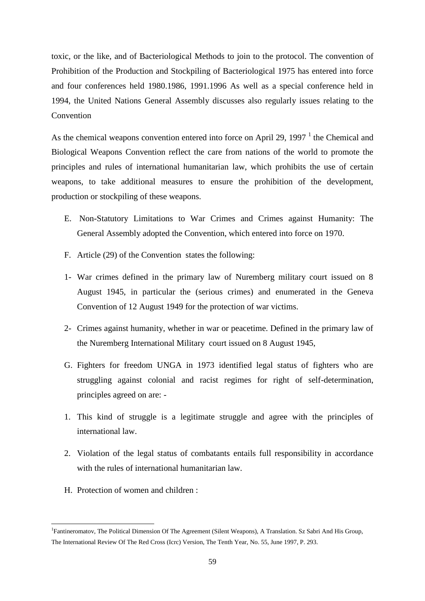toxic, or the like, and of Bacteriological Methods to join to the protocol. The convention of Prohibition of the Production and Stockpiling of Bacteriological 1975 has entered into force and four conferences held 1980.1986, 1991.1996 As well as a special conference held in 1994, the United Nations General Assembly discusses also regularly issues relating to the **Convention** 

As the chemical weapons convention entered into force on April 29, 1997 $<sup>1</sup>$  the Chemical and</sup> Biological Weapons Convention reflect the care from nations of the world to promote the principles and rules of international humanitarian law, which prohibits the use of certain weapons, to take additional measures to ensure the prohibition of the development, production or stockpiling of these weapons.

- E. Non-Statutory Limitations to War Crimes and Crimes against Humanity: The General Assembly adopted the Convention, which entered into force on 1970.
- F. Article (29) of the Convention states the following:
- 1- War crimes defined in the primary law of Nuremberg military court issued on 8 August 1945, in particular the (serious crimes) and enumerated in the Geneva Convention of 12 August 1949 for the protection of war victims.
- 2- Crimes against humanity, whether in war or peacetime. Defined in the primary law of the Nuremberg International Military court issued on 8 August 1945,
- G. Fighters for freedom UNGA in 1973 identified legal status of fighters who are struggling against colonial and racist regimes for right of self-determination, principles agreed on are: -
- 1. This kind of struggle is a legitimate struggle and agree with the principles of international law.
- 2. Violation of the legal status of combatants entails full responsibility in accordance with the rules of international humanitarian law.
- H. Protection of women and children :

<sup>&</sup>lt;sup>1</sup> Fantineromatov, The Political Dimension Of The Agreement (Silent Weapons), A Translation. Sz Sabri And His Group, The International Review Of The Red Cross (Icrc) Version, The Tenth Year, No. 55, June 1997, P. 293.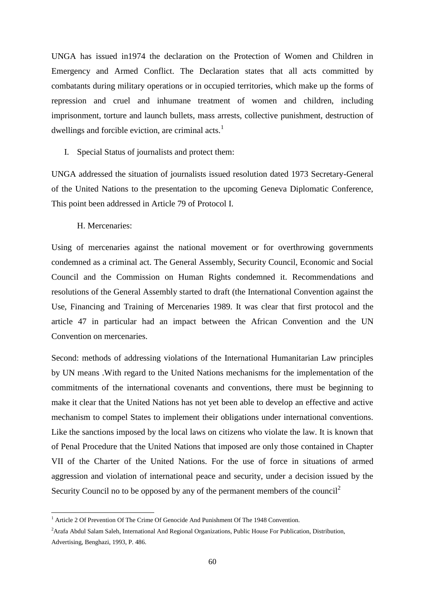UNGA has issued in1974 the declaration on the Protection of Women and Children in Emergency and Armed Conflict. The Declaration states that all acts committed by combatants during military operations or in occupied territories, which make up the forms of repression and cruel and inhumane treatment of women and children, including imprisonment, torture and launch bullets, mass arrests, collective punishment, destruction of dwellings and forcible eviction, are criminal acts.<sup>1</sup>

I. Special Status of journalists and protect them:

UNGA addressed the situation of journalists issued resolution dated 1973 Secretary-General of the United Nations to the presentation to the upcoming Geneva Diplomatic Conference, This point been addressed in Article 79 of Protocol I.

H. Mercenaries:

-

Using of mercenaries against the national movement or for overthrowing governments condemned as a criminal act. The General Assembly, Security Council, Economic and Social Council and the Commission on Human Rights condemned it. Recommendations and resolutions of the General Assembly started to draft (the International Convention against the Use, Financing and Training of Mercenaries 1989. It was clear that first protocol and the article 47 in particular had an impact between the African Convention and the UN Convention on mercenaries.

Second: methods of addressing violations of the International Humanitarian Law principles by UN means .With regard to the United Nations mechanisms for the implementation of the commitments of the international covenants and conventions, there must be beginning to make it clear that the United Nations has not yet been able to develop an effective and active mechanism to compel States to implement their obligations under international conventions. Like the sanctions imposed by the local laws on citizens who violate the law. It is known that of Penal Procedure that the United Nations that imposed are only those contained in Chapter VII of the Charter of the United Nations. For the use of force in situations of armed aggression and violation of international peace and security, under a decision issued by the Security Council no to be opposed by any of the permanent members of the council<sup>2</sup>

<sup>&</sup>lt;sup>1</sup> Article 2 Of Prevention Of The Crime Of Genocide And Punishment Of The 1948 Convention.

<sup>&</sup>lt;sup>2</sup> Arafa Abdul Salam Saleh, International And Regional Organizations, Public House For Publication, Distribution, Advertising, Benghazi, 1993, P. 486.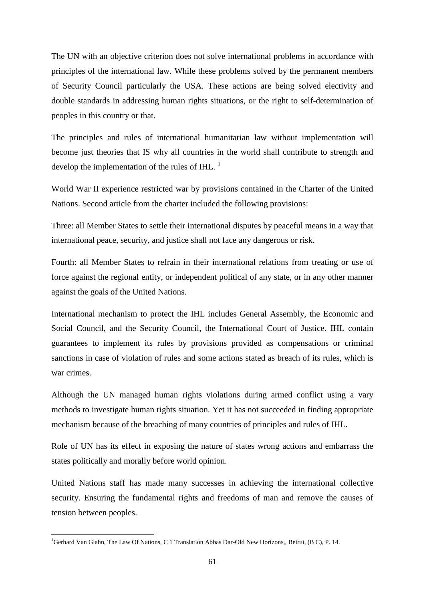The UN with an objective criterion does not solve international problems in accordance with principles of the international law. While these problems solved by the permanent members of Security Council particularly the USA. These actions are being solved electivity and double standards in addressing human rights situations, or the right to self-determination of peoples in this country or that.

The principles and rules of international humanitarian law without implementation will become just theories that IS why all countries in the world shall contribute to strength and develop the implementation of the rules of IHL.  $<sup>1</sup>$ </sup>

World War II experience restricted war by provisions contained in the Charter of the United Nations. Second article from the charter included the following provisions:

Three: all Member States to settle their international disputes by peaceful means in a way that international peace, security, and justice shall not face any dangerous or risk.

Fourth: all Member States to refrain in their international relations from treating or use of force against the regional entity, or independent political of any state, or in any other manner against the goals of the United Nations.

International mechanism to protect the IHL includes General Assembly, the Economic and Social Council, and the Security Council, the International Court of Justice. IHL contain guarantees to implement its rules by provisions provided as compensations or criminal sanctions in case of violation of rules and some actions stated as breach of its rules, which is war crimes.

Although the UN managed human rights violations during armed conflict using a vary methods to investigate human rights situation. Yet it has not succeeded in finding appropriate mechanism because of the breaching of many countries of principles and rules of IHL.

Role of UN has its effect in exposing the nature of states wrong actions and embarrass the states politically and morally before world opinion.

United Nations staff has made many successes in achieving the international collective security. Ensuring the fundamental rights and freedoms of man and remove the causes of tension between peoples.

<sup>&</sup>lt;sup>1</sup>Gerhard Van Glahn, The Law Of Nations, C 1 Translation Abbas Dar-Old New Horizons,, Beirut, (B C), P. 14.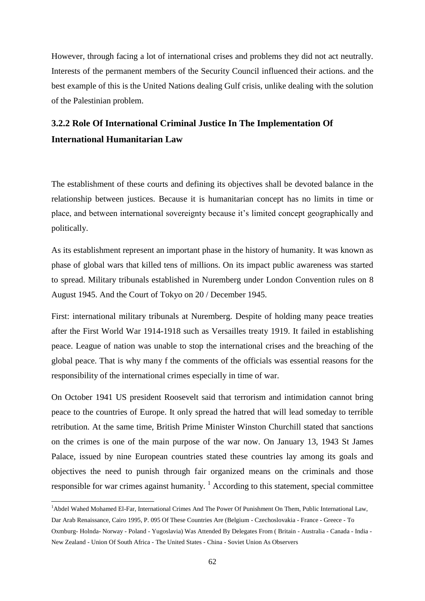However, through facing a lot of international crises and problems they did not act neutrally. Interests of the permanent members of the Security Council influenced their actions. and the best example of this is the United Nations dealing Gulf crisis, unlike dealing with the solution of the Palestinian problem.

# **3.2.2 Role Of International Criminal Justice In The Implementation Of International Humanitarian Law**

The establishment of these courts and defining its objectives shall be devoted balance in the relationship between justices. Because it is humanitarian concept has no limits in time or place, and between international sovereignty because it's limited concept geographically and politically.

As its establishment represent an important phase in the history of humanity. It was known as phase of global wars that killed tens of millions. On its impact public awareness was started to spread. Military tribunals established in Nuremberg under London Convention rules on 8 August 1945. And the Court of Tokyo on 20 / December 1945.

First: international military tribunals at Nuremberg. Despite of holding many peace treaties after the First World War 1914-1918 such as Versailles treaty 1919. It failed in establishing peace. League of nation was unable to stop the international crises and the breaching of the global peace. That is why many f the comments of the officials was essential reasons for the responsibility of the international crimes especially in time of war.

On October 1941 US president Roosevelt said that terrorism and intimidation cannot bring peace to the countries of Europe. It only spread the hatred that will lead someday to terrible retribution. At the same time, British Prime Minister Winston Churchill stated that sanctions on the crimes is one of the main purpose of the war now. On January 13, 1943 St James Palace, issued by nine European countries stated these countries lay among its goals and objectives the need to punish through fair organized means on the criminals and those responsible for war crimes against humanity.  $\frac{1}{1}$  According to this statement, special committee

<sup>&</sup>lt;sup>1</sup>Abdel Wahed Mohamed El-Far, International Crimes And The Power Of Punishment On Them, Public International Law,

Dar Arab Renaissance, Cairo 1995, P. 095 Of These Countries Are (Belgium - Czechoslovakia - France - Greece - To Oxmburg- Holnda- Norway - Poland - Yugoslavia) Was Attended By Delegates From ( Britain - Australia - Canada - India - New Zealand - Union Of South Africa - The United States - China - Soviet Union As Observers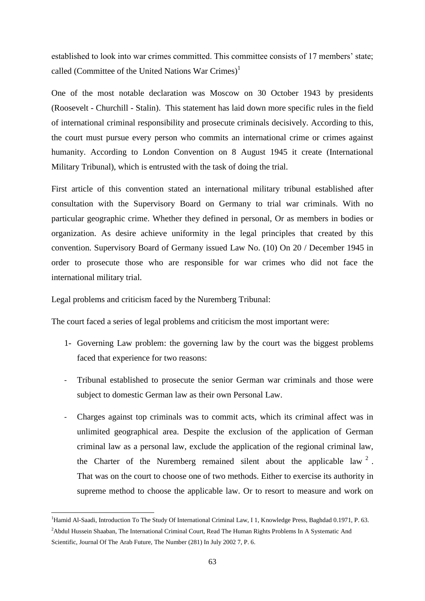established to look into war crimes committed. This committee consists of 17 members' state; called (Committee of the United Nations War Crimes)<sup>1</sup>

One of the most notable declaration was Moscow on 30 October 1943 by presidents (Roosevelt - Churchill - Stalin). This statement has laid down more specific rules in the field of international criminal responsibility and prosecute criminals decisively. According to this, the court must pursue every person who commits an international crime or crimes against humanity. According to London Convention on 8 August 1945 it create (International Military Tribunal), which is entrusted with the task of doing the trial.

First article of this convention stated an international military tribunal established after consultation with the Supervisory Board on Germany to trial war criminals. With no particular geographic crime. Whether they defined in personal, Or as members in bodies or organization. As desire achieve uniformity in the legal principles that created by this convention. Supervisory Board of Germany issued Law No. (10) On 20 / December 1945 in order to prosecute those who are responsible for war crimes who did not face the international military trial.

Legal problems and criticism faced by the Nuremberg Tribunal:

-

The court faced a series of legal problems and criticism the most important were:

- 1- Governing Law problem: the governing law by the court was the biggest problems faced that experience for two reasons:
- Tribunal established to prosecute the senior German war criminals and those were subject to domestic German law as their own Personal Law.
- Charges against top criminals was to commit acts, which its criminal affect was in unlimited geographical area. Despite the exclusion of the application of German criminal law as a personal law, exclude the application of the regional criminal law, the Charter of the Nuremberg remained silent about the applicable law  $2$ . That was on the court to choose one of two methods. Either to exercise its authority in supreme method to choose the applicable law. Or to resort to measure and work on

<sup>&</sup>lt;sup>1</sup>Hamid Al-Saadi, Introduction To The Study Of International Criminal Law, I 1, Knowledge Press, Baghdad 0.1971, P. 63.

<sup>&</sup>lt;sup>2</sup>Abdul Hussein Shaaban, The International Criminal Court, Read The Human Rights Problems In A Systematic And Scientific, Journal Of The Arab Future, The Number (281) In July 2002 7, P. 6.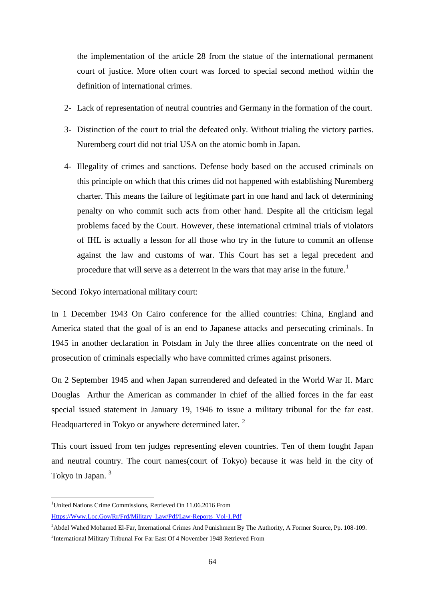the implementation of the article 28 from the statue of the international permanent court of justice. More often court was forced to special second method within the definition of international crimes.

- 2- Lack of representation of neutral countries and Germany in the formation of the court.
- 3- Distinction of the court to trial the defeated only. Without trialing the victory parties. Nuremberg court did not trial USA on the atomic bomb in Japan.
- 4- Illegality of crimes and sanctions. Defense body based on the accused criminals on this principle on which that this crimes did not happened with establishing Nuremberg charter. This means the failure of legitimate part in one hand and lack of determining penalty on who commit such acts from other hand. Despite all the criticism legal problems faced by the Court. However, these international criminal trials of violators of IHL is actually a lesson for all those who try in the future to commit an offense against the law and customs of war. This Court has set a legal precedent and procedure that will serve as a deterrent in the wars that may arise in the future.<sup>1</sup>

Second Tokyo international military court:

In 1 December 1943 On Cairo conference for the allied countries: China, England and America stated that the goal of is an end to Japanese attacks and persecuting criminals. In 1945 in another declaration in Potsdam in July the three allies concentrate on the need of prosecution of criminals especially who have committed crimes against prisoners.

On 2 September 1945 and when Japan surrendered and defeated in the World War II. Marc Douglas Arthur the American as commander in chief of the allied forces in the far east special issued statement in January 19, 1946 to issue a military tribunal for the far east. Headquartered in Tokyo or anywhere determined later.<sup>2</sup>

This court issued from ten judges representing eleven countries. Ten of them fought Japan and neutral country. The court names(court of Tokyo) because it was held in the city of Tokyo in Japan.<sup>3</sup>

1

<sup>&</sup>lt;sup>1</sup>United Nations Crime Commissions, Retrieved On 11.06.2016 From

[Https://Www.Loc.Gov/Rr/Frd/Military\\_Law/Pdf/Law-Reports\\_Vol-1.Pdf](https://www.loc.gov/rr/frd/Military_Law/pdf/Law-Reports_Vol-1.pdf)

<sup>&</sup>lt;sup>2</sup>Abdel Wahed Mohamed El-Far, International Crimes And Punishment By The Authority, A Former Source, Pp. 108-109. <sup>3</sup>International Military Tribunal For Far East Of 4 November 1948 Retrieved From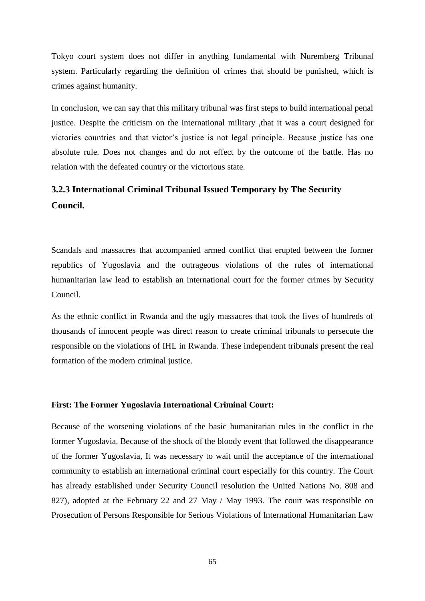Tokyo court system does not differ in anything fundamental with Nuremberg Tribunal system. Particularly regarding the definition of crimes that should be punished, which is crimes against humanity.

In conclusion, we can say that this military tribunal was first steps to build international penal justice. Despite the criticism on the international military ,that it was a court designed for victories countries and that victor's justice is not legal principle. Because justice has one absolute rule. Does not changes and do not effect by the outcome of the battle. Has no relation with the defeated country or the victorious state.

# **3.2.3 International Criminal Tribunal Issued Temporary by The Security Council.**

Scandals and massacres that accompanied armed conflict that erupted between the former republics of Yugoslavia and the outrageous violations of the rules of international humanitarian law lead to establish an international court for the former crimes by Security Council.

As the ethnic conflict in Rwanda and the ugly massacres that took the lives of hundreds of thousands of innocent people was direct reason to create criminal tribunals to persecute the responsible on the violations of IHL in Rwanda. These independent tribunals present the real formation of the modern criminal justice.

#### **First: The Former Yugoslavia International Criminal Court:**

Because of the worsening violations of the basic humanitarian rules in the conflict in the former Yugoslavia. Because of the shock of the bloody event that followed the disappearance of the former Yugoslavia, It was necessary to wait until the acceptance of the international community to establish an international criminal court especially for this country. The Court has already established under Security Council resolution the United Nations No. 808 and 827), adopted at the February 22 and 27 May / May 1993. The court was responsible on Prosecution of Persons Responsible for Serious Violations of International Humanitarian Law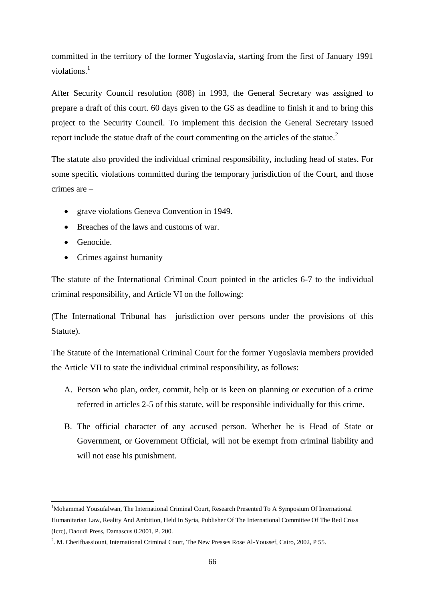committed in the territory of the former Yugoslavia, starting from the first of January 1991 violations $1$ 

After Security Council resolution (808) in 1993, the General Secretary was assigned to prepare a draft of this court. 60 days given to the GS as deadline to finish it and to bring this project to the Security Council. To implement this decision the General Secretary issued report include the statue draft of the court commenting on the articles of the statue.<sup>2</sup>

The statute also provided the individual criminal responsibility, including head of states. For some specific violations committed during the temporary jurisdiction of the Court, and those crimes are –

- grave violations Geneva Convention in 1949.
- Breaches of the laws and customs of war.
- **•** Genocide.
- Crimes against humanity

The statute of the International Criminal Court pointed in the articles 6-7 to the individual criminal responsibility, and Article VI on the following:

(The International Tribunal has jurisdiction over persons under the provisions of this Statute).

The Statute of the International Criminal Court for the former Yugoslavia members provided the Article VII to state the individual criminal responsibility, as follows:

- A. Person who plan, order, commit, help or is keen on planning or execution of a crime referred in articles 2-5 of this statute, will be responsible individually for this crime.
- B. The official character of any accused person. Whether he is Head of State or Government, or Government Official, will not be exempt from criminal liability and will not ease his punishment.

<sup>-</sup><sup>1</sup>Mohammad Yousufalwan, The International Criminal Court, Research Presented To A Symposium Of International Humanitarian Law, Reality And Ambition, Held In Syria, Publisher Of The International Committee Of The Red Cross (Icrc), Daoudi Press, Damascus 0.2001, P. 200.

<sup>&</sup>lt;sup>2</sup>. M. Cherifbassiouni, International Criminal Court, The New Presses Rose Al-Youssef, Cairo, 2002, P 55.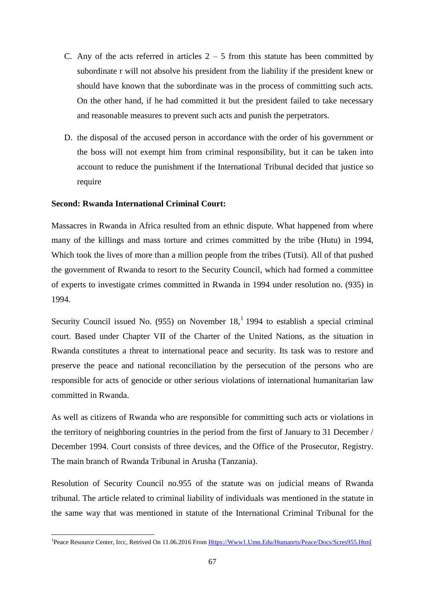- C. Any of the acts referred in articles  $2 5$  from this statute has been committed by subordinate r will not absolve his president from the liability if the president knew or should have known that the subordinate was in the process of committing such acts. On the other hand, if he had committed it but the president failed to take necessary and reasonable measures to prevent such acts and punish the perpetrators.
- D. the disposal of the accused person in accordance with the order of his government or the boss will not exempt him from criminal responsibility, but it can be taken into account to reduce the punishment if the International Tribunal decided that justice so require

### **Second: Rwanda International Criminal Court:**

-

Massacres in Rwanda in Africa resulted from an ethnic dispute. What happened from where many of the killings and mass torture and crimes committed by the tribe (Hutu) in 1994, Which took the lives of more than a million people from the tribes (Tutsi). All of that pushed the government of Rwanda to resort to the Security Council, which had formed a committee of experts to investigate crimes committed in Rwanda in 1994 under resolution no. (935) in 1994.

Security Council issued No. (955) on November  $18<sup>1</sup>$ , 1994 to establish a special criminal court. Based under Chapter VII of the Charter of the United Nations, as the situation in Rwanda constitutes a threat to international peace and security. Its task was to restore and preserve the peace and national reconciliation by the persecution of the persons who are responsible for acts of genocide or other serious violations of international humanitarian law committed in Rwanda.

As well as citizens of Rwanda who are responsible for committing such acts or violations in the territory of neighboring countries in the period from the first of January to 31 December / December 1994. Court consists of three devices, and the Office of the Prosecutor, Registry. The main branch of Rwanda Tribunal in Arusha (Tanzania).

Resolution of Security Council no.955 of the statute was on judicial means of Rwanda tribunal. The article related to criminal liability of individuals was mentioned in the statute in the same way that was mentioned in statute of the International Criminal Tribunal for the

<sup>&</sup>lt;sup>1</sup>Peace Resource Center, Ircc, Retrived On 11.06.2016 From [Https://Www1.Umn.Edu/Humanrts/Peace/Docs/Scres955.Html](https://www1.umn.edu/Humanrts/Peace/Docs/Scres955.Html)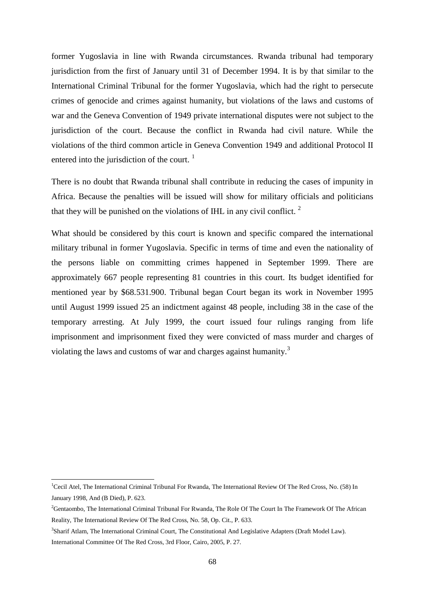former Yugoslavia in line with Rwanda circumstances. Rwanda tribunal had temporary jurisdiction from the first of January until 31 of December 1994. It is by that similar to the International Criminal Tribunal for the former Yugoslavia, which had the right to persecute crimes of genocide and crimes against humanity, but violations of the laws and customs of war and the Geneva Convention of 1949 private international disputes were not subject to the jurisdiction of the court. Because the conflict in Rwanda had civil nature. While the violations of the third common article in Geneva Convention 1949 and additional Protocol II entered into the jurisdiction of the court.  $1$ 

There is no doubt that Rwanda tribunal shall contribute in reducing the cases of impunity in Africa. Because the penalties will be issued will show for military officials and politicians that they will be punished on the violations of IHL in any civil conflict.  $2^{\circ}$ 

What should be considered by this court is known and specific compared the international military tribunal in former Yugoslavia. Specific in terms of time and even the nationality of the persons liable on committing crimes happened in September 1999. There are approximately 667 people representing 81 countries in this court. Its budget identified for mentioned year by \$68.531.900. Tribunal began Court began its work in November 1995 until August 1999 issued 25 an indictment against 48 people, including 38 in the case of the temporary arresting. At July 1999, the court issued four rulings ranging from life imprisonment and imprisonment fixed they were convicted of mass murder and charges of violating the laws and customs of war and charges against humanity.<sup>3</sup>

<sup>&</sup>lt;sup>1</sup>Cecil Atel, The International Criminal Tribunal For Rwanda, The International Review Of The Red Cross, No. (58) In January 1998, And (B Died), P. 623.

<sup>&</sup>lt;sup>2</sup>Gentaombo, The International Criminal Tribunal For Rwanda, The Role Of The Court In The Framework Of The African Reality, The International Review Of The Red Cross, No. 58, Op. Cit., P. 633.

<sup>3</sup> Sharif Atlam, The International Criminal Court, The Constitutional And Legislative Adapters (Draft Model Law). International Committee Of The Red Cross, 3rd Floor, Cairo, 2005, P. 27.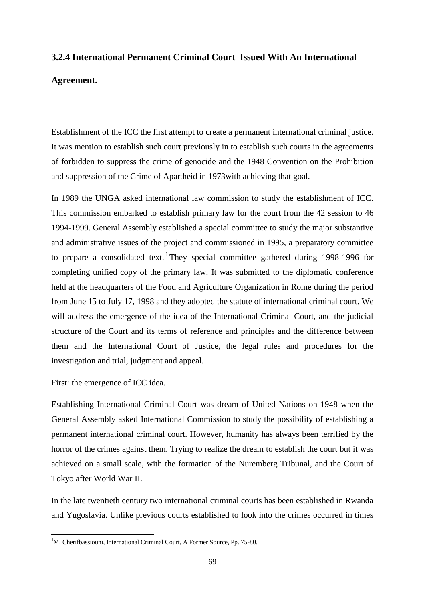# **3.2.4 International Permanent Criminal Court Issued With An International**

# **Agreement.**

Establishment of the ICC the first attempt to create a permanent international criminal justice. It was mention to establish such court previously in to establish such courts in the agreements of forbidden to suppress the crime of genocide and the 1948 Convention on the Prohibition and suppression of the Crime of Apartheid in 1973with achieving that goal.

In 1989 the UNGA asked international law commission to study the establishment of ICC. This commission embarked to establish primary law for the court from the 42 session to 46 1994-1999. General Assembly established a special committee to study the major substantive and administrative issues of the project and commissioned in 1995, a preparatory committee to prepare a consolidated text. They special committee gathered during 1998-1996 for completing unified copy of the primary law. It was submitted to the diplomatic conference held at the headquarters of the Food and Agriculture Organization in Rome during the period from June 15 to July 17, 1998 and they adopted the statute of international criminal court. We will address the emergence of the idea of the International Criminal Court, and the judicial structure of the Court and its terms of reference and principles and the difference between them and the International Court of Justice, the legal rules and procedures for the investigation and trial, judgment and appeal.

First: the emergence of ICC idea.

-

Establishing International Criminal Court was dream of United Nations on 1948 when the General Assembly asked International Commission to study the possibility of establishing a permanent international criminal court. However, humanity has always been terrified by the horror of the crimes against them. Trying to realize the dream to establish the court but it was achieved on a small scale, with the formation of the Nuremberg Tribunal, and the Court of Tokyo after World War II.

In the late twentieth century two international criminal courts has been established in Rwanda and Yugoslavia. Unlike previous courts established to look into the crimes occurred in times

<sup>&</sup>lt;sup>1</sup>M. Cherifbassiouni, International Criminal Court, A Former Source, Pp. 75-80.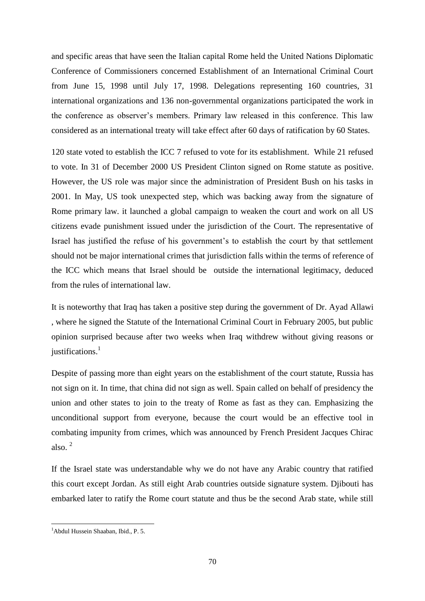and specific areas that have seen the Italian capital Rome held the United Nations Diplomatic Conference of Commissioners concerned Establishment of an International Criminal Court from June 15, 1998 until July 17, 1998. Delegations representing 160 countries, 31 international organizations and 136 non-governmental organizations participated the work in the conference as observer's members. Primary law released in this conference. This law considered as an international treaty will take effect after 60 days of ratification by 60 States.

120 state voted to establish the ICC 7 refused to vote for its establishment. While 21 refused to vote. In 31 of December 2000 US President Clinton signed on Rome statute as positive. However, the US role was major since the administration of President Bush on his tasks in 2001. In May, US took unexpected step, which was backing away from the signature of Rome primary law. it launched a global campaign to weaken the court and work on all US citizens evade punishment issued under the jurisdiction of the Court. The representative of Israel has justified the refuse of his government's to establish the court by that settlement should not be major international crimes that jurisdiction falls within the terms of reference of the ICC which means that Israel should be outside the international legitimacy, deduced from the rules of international law.

It is noteworthy that Iraq has taken a positive step during the government of Dr. Ayad Allawi , where he signed the Statute of the International Criminal Court in February 2005, but public opinion surprised because after two weeks when Iraq withdrew without giving reasons or justifications.<sup>1</sup>

Despite of passing more than eight years on the establishment of the court statute, Russia has not sign on it. In time, that china did not sign as well. Spain called on behalf of presidency the union and other states to join to the treaty of Rome as fast as they can. Emphasizing the unconditional support from everyone, because the court would be an effective tool in combating impunity from crimes, which was announced by French President Jacques Chirac also. $2$ 

If the Israel state was understandable why we do not have any Arabic country that ratified this court except Jordan. As still eight Arab countries outside signature system. Djibouti has embarked later to ratify the Rome court statute and thus be the second Arab state, while still

<sup>&</sup>lt;sup>1</sup>Abdul Hussein Shaaban, Ibid., P. 5.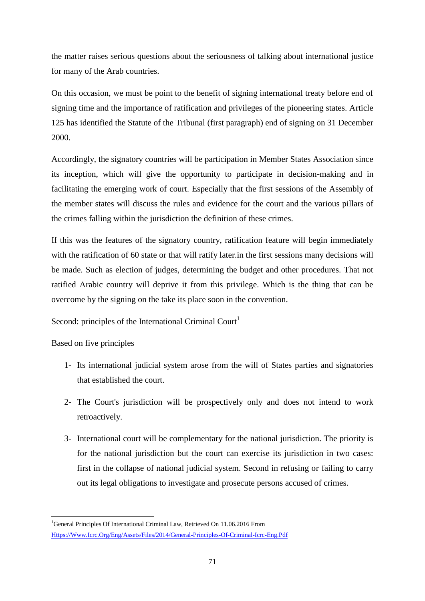the matter raises serious questions about the seriousness of talking about international justice for many of the Arab countries.

On this occasion, we must be point to the benefit of signing international treaty before end of signing time and the importance of ratification and privileges of the pioneering states. Article 125 has identified the Statute of the Tribunal (first paragraph) end of signing on 31 December 2000.

Accordingly, the signatory countries will be participation in Member States Association since its inception, which will give the opportunity to participate in decision-making and in facilitating the emerging work of court. Especially that the first sessions of the Assembly of the member states will discuss the rules and evidence for the court and the various pillars of the crimes falling within the jurisdiction the definition of these crimes.

If this was the features of the signatory country, ratification feature will begin immediately with the ratification of 60 state or that will ratify later.in the first sessions many decisions will be made. Such as election of judges, determining the budget and other procedures. That not ratified Arabic country will deprive it from this privilege. Which is the thing that can be overcome by the signing on the take its place soon in the convention.

Second: principles of the International Criminal Court<sup>1</sup>

Based on five principles

- 1- Its international judicial system arose from the will of States parties and signatories that established the court.
- 2- The Court's jurisdiction will be prospectively only and does not intend to work retroactively.
- 3- International court will be complementary for the national jurisdiction. The priority is for the national jurisdiction but the court can exercise its jurisdiction in two cases: first in the collapse of national judicial system. Second in refusing or failing to carry out its legal obligations to investigate and prosecute persons accused of crimes.

<sup>&</sup>lt;sup>1</sup>General Principles Of International Criminal Law, Retrieved On 11.06.2016 From [Https://Www.Icrc.Org/Eng/Assets/Files/2014/General-Principles-Of-Criminal-Icrc-Eng.Pdf](https://www.icrc.org/eng/assets/files/2014/general-principles-of-criminal-icrc-eng.pdf)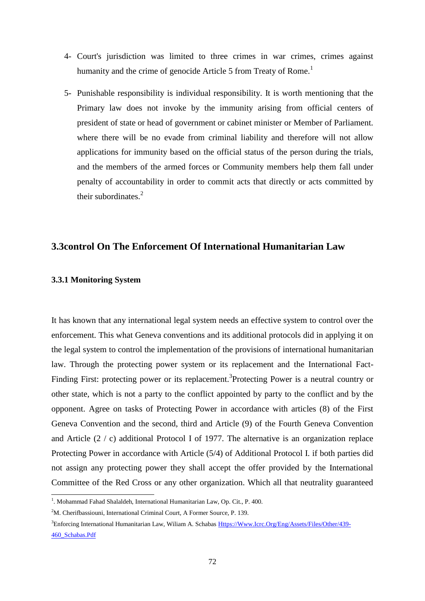- 4- Court's jurisdiction was limited to three crimes in war crimes, crimes against humanity and the crime of genocide Article 5 from Treaty of Rome.<sup>1</sup>
- 5- Punishable responsibility is individual responsibility. It is worth mentioning that the Primary law does not invoke by the immunity arising from official centers of president of state or head of government or cabinet minister or Member of Parliament. where there will be no evade from criminal liability and therefore will not allow applications for immunity based on the official status of the person during the trials, and the members of the armed forces or Community members help them fall under penalty of accountability in order to commit acts that directly or acts committed by their subordinates.<sup>2</sup>

# **3.3control On The Enforcement Of International Humanitarian Law**

#### **3.3.1 Monitoring System**

1

It has known that any international legal system needs an effective system to control over the enforcement. This what Geneva conventions and its additional protocols did in applying it on the legal system to control the implementation of the provisions of international humanitarian law. Through the protecting power system or its replacement and the International Fact-Finding First: protecting power or its replacement.<sup>3</sup>Protecting Power is a neutral country or other state, which is not a party to the conflict appointed by party to the conflict and by the opponent. Agree on tasks of Protecting Power in accordance with articles (8) of the First Geneva Convention and the second, third and Article (9) of the Fourth Geneva Convention and Article (2 / c) additional Protocol I of 1977. The alternative is an organization replace Protecting Power in accordance with Article (5/4) of Additional Protocol I. if both parties did not assign any protecting power they shall accept the offer provided by the International Committee of the Red Cross or any other organization. Which all that neutrality guaranteed

<sup>&</sup>lt;sup>1</sup>. Mohammad Fahad Shalaldeh, International Humanitarian Law, Op. Cit., P. 400.

<sup>&</sup>lt;sup>2</sup>M. Cherifbassiouni, International Criminal Court, A Former Source, P. 139.

<sup>3</sup>Enforcing International Humanitarian Law, Wiliam A. Schaba[s Https://Www.Icrc.Org/Eng/Assets/Files/Other/439-](https://www.icrc.org/eng/assets/files/other/439-460_schabas.pdf) [460\\_Schabas.Pdf](https://www.icrc.org/eng/assets/files/other/439-460_schabas.pdf)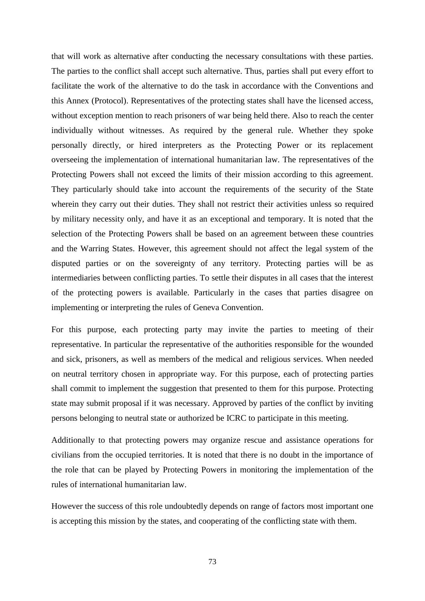that will work as alternative after conducting the necessary consultations with these parties. The parties to the conflict shall accept such alternative. Thus, parties shall put every effort to facilitate the work of the alternative to do the task in accordance with the Conventions and this Annex (Protocol). Representatives of the protecting states shall have the licensed access, without exception mention to reach prisoners of war being held there. Also to reach the center individually without witnesses. As required by the general rule. Whether they spoke personally directly, or hired interpreters as the Protecting Power or its replacement overseeing the implementation of international humanitarian law. The representatives of the Protecting Powers shall not exceed the limits of their mission according to this agreement. They particularly should take into account the requirements of the security of the State wherein they carry out their duties. They shall not restrict their activities unless so required by military necessity only, and have it as an exceptional and temporary. It is noted that the selection of the Protecting Powers shall be based on an agreement between these countries and the Warring States. However, this agreement should not affect the legal system of the disputed parties or on the sovereignty of any territory. Protecting parties will be as intermediaries between conflicting parties. To settle their disputes in all cases that the interest of the protecting powers is available. Particularly in the cases that parties disagree on implementing or interpreting the rules of Geneva Convention.

For this purpose, each protecting party may invite the parties to meeting of their representative. In particular the representative of the authorities responsible for the wounded and sick, prisoners, as well as members of the medical and religious services. When needed on neutral territory chosen in appropriate way. For this purpose, each of protecting parties shall commit to implement the suggestion that presented to them for this purpose. Protecting state may submit proposal if it was necessary. Approved by parties of the conflict by inviting persons belonging to neutral state or authorized be ICRC to participate in this meeting.

Additionally to that protecting powers may organize rescue and assistance operations for civilians from the occupied territories. It is noted that there is no doubt in the importance of the role that can be played by Protecting Powers in monitoring the implementation of the rules of international humanitarian law.

However the success of this role undoubtedly depends on range of factors most important one is accepting this mission by the states, and cooperating of the conflicting state with them.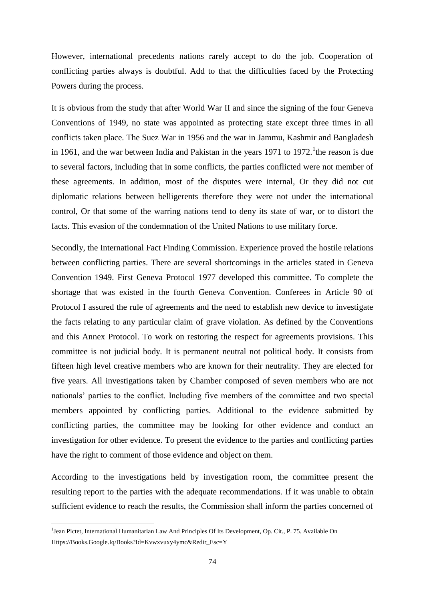However, international precedents nations rarely accept to do the job. Cooperation of conflicting parties always is doubtful. Add to that the difficulties faced by the Protecting Powers during the process.

It is obvious from the study that after World War II and since the signing of the four Geneva Conventions of 1949, no state was appointed as protecting state except three times in all conflicts taken place. The Suez War in 1956 and the war in Jammu, Kashmir and Bangladesh in 1961, and the war between India and Pakistan in the years 1971 to 1972. <sup>1</sup> the reason is due to several factors, including that in some conflicts, the parties conflicted were not member of these agreements. In addition, most of the disputes were internal, Or they did not cut diplomatic relations between belligerents therefore they were not under the international control, Or that some of the warring nations tend to deny its state of war, or to distort the facts. This evasion of the condemnation of the United Nations to use military force.

Secondly, the International Fact Finding Commission. Experience proved the hostile relations between conflicting parties. There are several shortcomings in the articles stated in Geneva Convention 1949. First Geneva Protocol 1977 developed this committee. To complete the shortage that was existed in the fourth Geneva Convention. Conferees in Article 90 of Protocol I assured the rule of agreements and the need to establish new device to investigate the facts relating to any particular claim of grave violation. As defined by the Conventions and this Annex Protocol. To work on restoring the respect for agreements provisions. This committee is not judicial body. It is permanent neutral not political body. It consists from fifteen high level creative members who are known for their neutrality. They are elected for five years. All investigations taken by Chamber composed of seven members who are not nationals' parties to the conflict. Including five members of the committee and two special members appointed by conflicting parties. Additional to the evidence submitted by conflicting parties, the committee may be looking for other evidence and conduct an investigation for other evidence. To present the evidence to the parties and conflicting parties have the right to comment of those evidence and object on them.

According to the investigations held by investigation room, the committee present the resulting report to the parties with the adequate recommendations. If it was unable to obtain sufficient evidence to reach the results, the Commission shall inform the parties concerned of

<sup>&</sup>lt;sup>1</sup>Jean Pictet, International Humanitarian Law And Principles Of Its Development, Op. Cit., P. 75. Available On [Https://Books.Google.Iq/Books?Id=Kvwxvuxy4ymc&Redir\\_Esc=Y](https://books.google.iq/books?id=KVWxvUxy4YMC&redir_esc=y)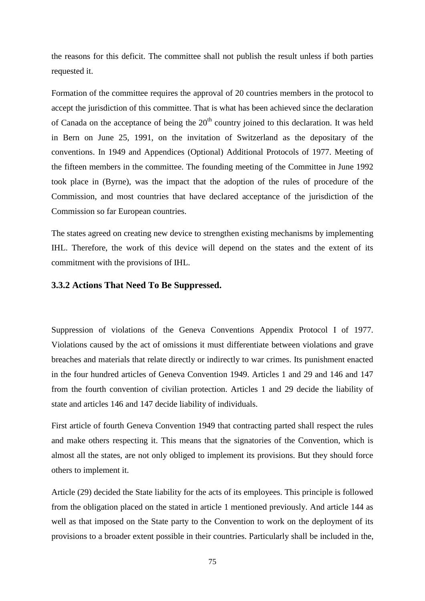the reasons for this deficit. The committee shall not publish the result unless if both parties requested it.

Formation of the committee requires the approval of 20 countries members in the protocol to accept the jurisdiction of this committee. That is what has been achieved since the declaration of Canada on the acceptance of being the  $20<sup>th</sup>$  country joined to this declaration. It was held in Bern on June 25, 1991, on the invitation of Switzerland as the depositary of the conventions. In 1949 and Appendices (Optional) Additional Protocols of 1977. Meeting of the fifteen members in the committee. The founding meeting of the Committee in June 1992 took place in (Byrne), was the impact that the adoption of the rules of procedure of the Commission, and most countries that have declared acceptance of the jurisdiction of the Commission so far European countries.

The states agreed on creating new device to strengthen existing mechanisms by implementing IHL. Therefore, the work of this device will depend on the states and the extent of its commitment with the provisions of IHL.

# **3.3.2 Actions That Need To Be Suppressed.**

Suppression of violations of the Geneva Conventions Appendix Protocol I of 1977. Violations caused by the act of omissions it must differentiate between violations and grave breaches and materials that relate directly or indirectly to war crimes. Its punishment enacted in the four hundred articles of Geneva Convention 1949. Articles 1 and 29 and 146 and 147 from the fourth convention of civilian protection. Articles 1 and 29 decide the liability of state and articles 146 and 147 decide liability of individuals.

First article of fourth Geneva Convention 1949 that contracting parted shall respect the rules and make others respecting it. This means that the signatories of the Convention, which is almost all the states, are not only obliged to implement its provisions. But they should force others to implement it.

Article (29) decided the State liability for the acts of its employees. This principle is followed from the obligation placed on the stated in article 1 mentioned previously. And article 144 as well as that imposed on the State party to the Convention to work on the deployment of its provisions to a broader extent possible in their countries. Particularly shall be included in the,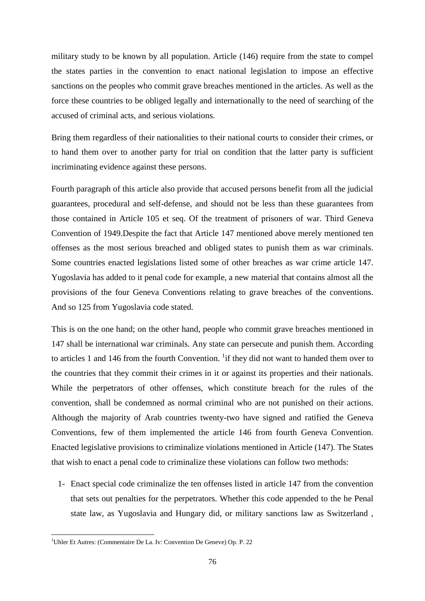military study to be known by all population. Article (146) require from the state to compel the states parties in the convention to enact national legislation to impose an effective sanctions on the peoples who commit grave breaches mentioned in the articles. As well as the force these countries to be obliged legally and internationally to the need of searching of the accused of criminal acts, and serious violations.

Bring them regardless of their nationalities to their national courts to consider their crimes, or to hand them over to another party for trial on condition that the latter party is sufficient incriminating evidence against these persons.

Fourth paragraph of this article also provide that accused persons benefit from all the judicial guarantees, procedural and self-defense, and should not be less than these guarantees from those contained in Article 105 et seq. Of the treatment of prisoners of war. Third Geneva Convention of 1949.Despite the fact that Article 147 mentioned above merely mentioned ten offenses as the most serious breached and obliged states to punish them as war criminals. Some countries enacted legislations listed some of other breaches as war crime article 147. Yugoslavia has added to it penal code for example, a new material that contains almost all the provisions of the four Geneva Conventions relating to grave breaches of the conventions. And so 125 from Yugoslavia code stated.

This is on the one hand; on the other hand, people who commit grave breaches mentioned in 147 shall be international war criminals. Any state can persecute and punish them. According to articles 1 and 146 from the fourth Convention.  $\frac{1}{1}$  if they did not want to handed them over to the countries that they commit their crimes in it or against its properties and their nationals. While the perpetrators of other offenses, which constitute breach for the rules of the convention, shall be condemned as normal criminal who are not punished on their actions. Although the majority of Arab countries twenty-two have signed and ratified the Geneva Conventions, few of them implemented the article 146 from fourth Geneva Convention. Enacted legislative provisions to criminalize violations mentioned in Article (147). The States that wish to enact a penal code to criminalize these violations can follow two methods:

1- Enact special code criminalize the ten offenses listed in article 147 from the convention that sets out penalties for the perpetrators. Whether this code appended to the he Penal state law, as Yugoslavia and Hungary did, or military sanctions law as Switzerland ,

<sup>&</sup>lt;sup>1</sup>Uhler Et Autres: (Commentaire De La. Iv: Convention De Geneve) Op. P. 22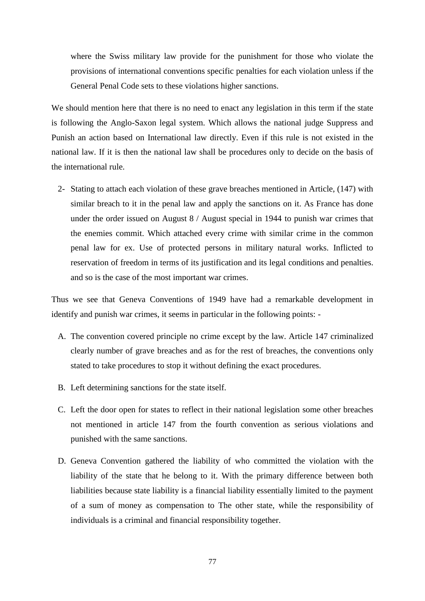where the Swiss military law provide for the punishment for those who violate the provisions of international conventions specific penalties for each violation unless if the General Penal Code sets to these violations higher sanctions.

We should mention here that there is no need to enact any legislation in this term if the state is following the Anglo-Saxon legal system. Which allows the national judge Suppress and Punish an action based on International law directly. Even if this rule is not existed in the national law. If it is then the national law shall be procedures only to decide on the basis of the international rule.

2- Stating to attach each violation of these grave breaches mentioned in Article, (147) with similar breach to it in the penal law and apply the sanctions on it. As France has done under the order issued on August 8 / August special in 1944 to punish war crimes that the enemies commit. Which attached every crime with similar crime in the common penal law for ex. Use of protected persons in military natural works. Inflicted to reservation of freedom in terms of its justification and its legal conditions and penalties. and so is the case of the most important war crimes.

Thus we see that Geneva Conventions of 1949 have had a remarkable development in identify and punish war crimes, it seems in particular in the following points: -

- A. The convention covered principle no crime except by the law. Article 147 criminalized clearly number of grave breaches and as for the rest of breaches, the conventions only stated to take procedures to stop it without defining the exact procedures.
- B. Left determining sanctions for the state itself.
- C. Left the door open for states to reflect in their national legislation some other breaches not mentioned in article 147 from the fourth convention as serious violations and punished with the same sanctions.
- D. Geneva Convention gathered the liability of who committed the violation with the liability of the state that he belong to it. With the primary difference between both liabilities because state liability is a financial liability essentially limited to the payment of a sum of money as compensation to The other state, while the responsibility of individuals is a criminal and financial responsibility together.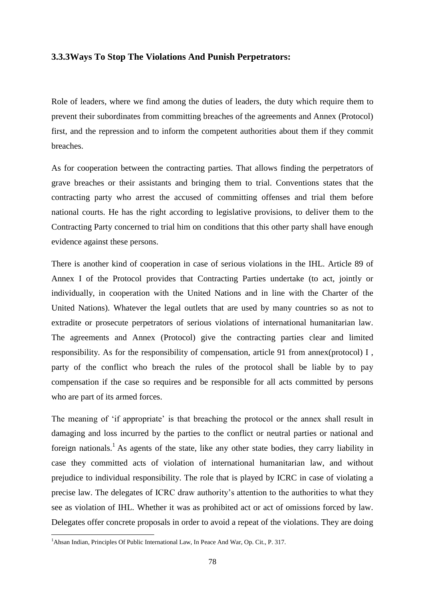#### **3.3.3Ways To Stop The Violations And Punish Perpetrators:**

Role of leaders, where we find among the duties of leaders, the duty which require them to prevent their subordinates from committing breaches of the agreements and Annex (Protocol) first, and the repression and to inform the competent authorities about them if they commit breaches.

As for cooperation between the contracting parties. That allows finding the perpetrators of grave breaches or their assistants and bringing them to trial. Conventions states that the contracting party who arrest the accused of committing offenses and trial them before national courts. He has the right according to legislative provisions, to deliver them to the Contracting Party concerned to trial him on conditions that this other party shall have enough evidence against these persons.

There is another kind of cooperation in case of serious violations in the IHL. Article 89 of Annex I of the Protocol provides that Contracting Parties undertake (to act, jointly or individually, in cooperation with the United Nations and in line with the Charter of the United Nations). Whatever the legal outlets that are used by many countries so as not to extradite or prosecute perpetrators of serious violations of international humanitarian law. The agreements and Annex (Protocol) give the contracting parties clear and limited responsibility. As for the responsibility of compensation, article 91 from annex(protocol) I , party of the conflict who breach the rules of the protocol shall be liable by to pay compensation if the case so requires and be responsible for all acts committed by persons who are part of its armed forces.

The meaning of 'if appropriate' is that breaching the protocol or the annex shall result in damaging and loss incurred by the parties to the conflict or neutral parties or national and foreign nationals.<sup>1</sup> As agents of the state, like any other state bodies, they carry liability in case they committed acts of violation of international humanitarian law, and without prejudice to individual responsibility. The role that is played by ICRC in case of violating a precise law. The delegates of ICRC draw authority's attention to the authorities to what they see as violation of IHL. Whether it was as prohibited act or act of omissions forced by law. Delegates offer concrete proposals in order to avoid a repeat of the violations. They are doing

<sup>&</sup>lt;sup>1</sup>Ahsan Indian, Principles Of Public International Law, In Peace And War, Op. Cit., P. 317.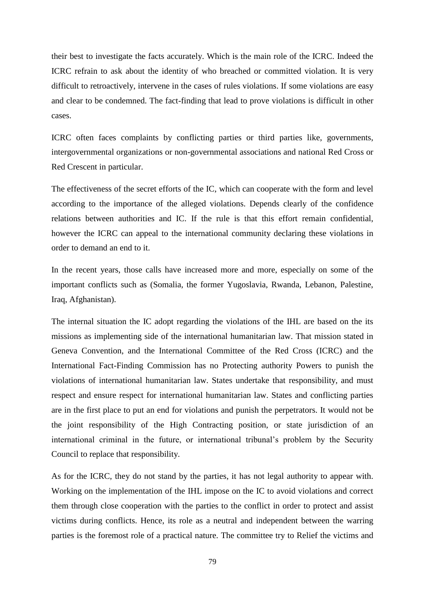their best to investigate the facts accurately. Which is the main role of the ICRC. Indeed the ICRC refrain to ask about the identity of who breached or committed violation. It is very difficult to retroactively, intervene in the cases of rules violations. If some violations are easy and clear to be condemned. The fact-finding that lead to prove violations is difficult in other cases.

ICRC often faces complaints by conflicting parties or third parties like, governments, intergovernmental organizations or non-governmental associations and national Red Cross or Red Crescent in particular.

The effectiveness of the secret efforts of the IC, which can cooperate with the form and level according to the importance of the alleged violations. Depends clearly of the confidence relations between authorities and IC. If the rule is that this effort remain confidential, however the ICRC can appeal to the international community declaring these violations in order to demand an end to it.

In the recent years, those calls have increased more and more, especially on some of the important conflicts such as (Somalia, the former Yugoslavia, Rwanda, Lebanon, Palestine, Iraq, Afghanistan).

The internal situation the IC adopt regarding the violations of the IHL are based on the its missions as implementing side of the international humanitarian law. That mission stated in Geneva Convention, and the International Committee of the Red Cross (ICRC) and the International Fact-Finding Commission has no Protecting authority Powers to punish the violations of international humanitarian law. States undertake that responsibility, and must respect and ensure respect for international humanitarian law. States and conflicting parties are in the first place to put an end for violations and punish the perpetrators. It would not be the joint responsibility of the High Contracting position, or state jurisdiction of an international criminal in the future, or international tribunal's problem by the Security Council to replace that responsibility.

As for the ICRC, they do not stand by the parties, it has not legal authority to appear with. Working on the implementation of the IHL impose on the IC to avoid violations and correct them through close cooperation with the parties to the conflict in order to protect and assist victims during conflicts. Hence, its role as a neutral and independent between the warring parties is the foremost role of a practical nature. The committee try to Relief the victims and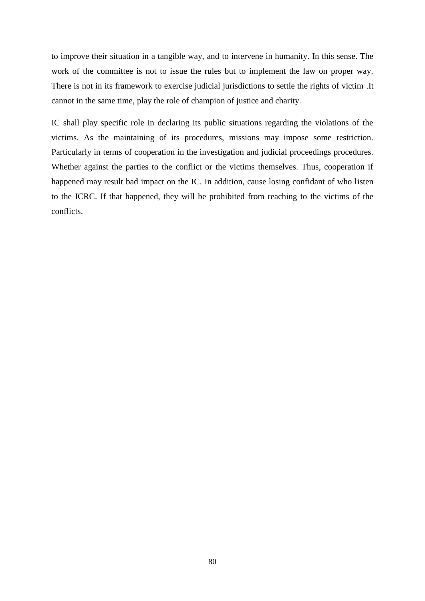to improve their situation in a tangible way, and to intervene in humanity. In this sense. The work of the committee is not to issue the rules but to implement the law on proper way. There is not in its framework to exercise judicial jurisdictions to settle the rights of victim .It cannot in the same time, play the role of champion of justice and charity.

IC shall play specific role in declaring its public situations regarding the violations of the victims. As the maintaining of its procedures, missions may impose some restriction. Particularly in terms of cooperation in the investigation and judicial proceedings procedures. Whether against the parties to the conflict or the victims themselves. Thus, cooperation if happened may result bad impact on the IC. In addition, cause losing confidant of who listen to the ICRC. If that happened, they will be prohibited from reaching to the victims of the conflicts.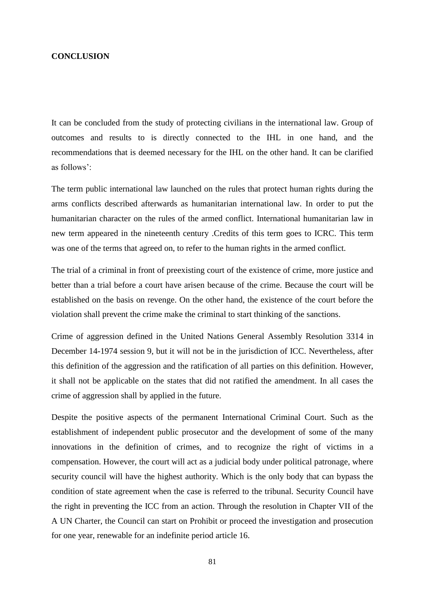#### **CONCLUSION**

It can be concluded from the study of protecting civilians in the international law. Group of outcomes and results to is directly connected to the IHL in one hand, and the recommendations that is deemed necessary for the IHL on the other hand. It can be clarified as follows':

The term public international law launched on the rules that protect human rights during the arms conflicts described afterwards as humanitarian international law. In order to put the humanitarian character on the rules of the armed conflict. International humanitarian law in new term appeared in the nineteenth century .Credits of this term goes to ICRC. This term was one of the terms that agreed on, to refer to the human rights in the armed conflict.

The trial of a criminal in front of preexisting court of the existence of crime, more justice and better than a trial before a court have arisen because of the crime. Because the court will be established on the basis on revenge. On the other hand, the existence of the court before the violation shall prevent the crime make the criminal to start thinking of the sanctions.

Crime of aggression defined in the United Nations General Assembly Resolution 3314 in December 14-1974 session 9, but it will not be in the jurisdiction of ICC. Nevertheless, after this definition of the aggression and the ratification of all parties on this definition. However, it shall not be applicable on the states that did not ratified the amendment. In all cases the crime of aggression shall by applied in the future.

Despite the positive aspects of the permanent International Criminal Court. Such as the establishment of independent public prosecutor and the development of some of the many innovations in the definition of crimes, and to recognize the right of victims in a compensation. However, the court will act as a judicial body under political patronage, where security council will have the highest authority. Which is the only body that can bypass the condition of state agreement when the case is referred to the tribunal. Security Council have the right in preventing the ICC from an action. Through the resolution in Chapter VII of the A UN Charter, the Council can start on Prohibit or proceed the investigation and prosecution for one year, renewable for an indefinite period article 16.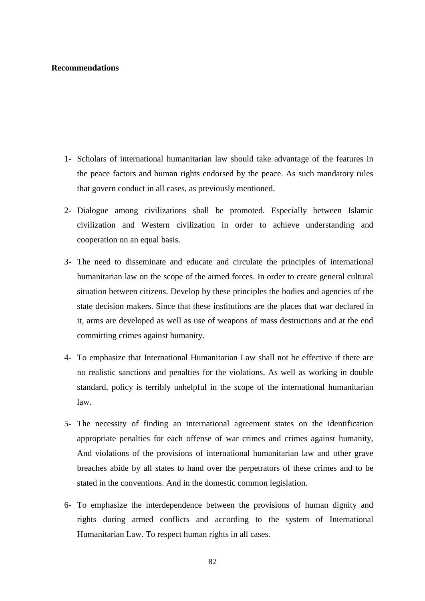### **Recommendations**

- 1- Scholars of international humanitarian law should take advantage of the features in the peace factors and human rights endorsed by the peace. As such mandatory rules that govern conduct in all cases, as previously mentioned.
- 2- Dialogue among civilizations shall be promoted. Especially between Islamic civilization and Western civilization in order to achieve understanding and cooperation on an equal basis.
- 3- The need to disseminate and educate and circulate the principles of international humanitarian law on the scope of the armed forces. In order to create general cultural situation between citizens. Develop by these principles the bodies and agencies of the state decision makers. Since that these institutions are the places that war declared in it, arms are developed as well as use of weapons of mass destructions and at the end committing crimes against humanity.
- 4- To emphasize that International Humanitarian Law shall not be effective if there are no realistic sanctions and penalties for the violations. As well as working in double standard, policy is terribly unhelpful in the scope of the international humanitarian law.
- 5- The necessity of finding an international agreement states on the identification appropriate penalties for each offense of war crimes and crimes against humanity, And violations of the provisions of international humanitarian law and other grave breaches abide by all states to hand over the perpetrators of these crimes and to be stated in the conventions. And in the domestic common legislation.
- 6- To emphasize the interdependence between the provisions of human dignity and rights during armed conflicts and according to the system of International Humanitarian Law. To respect human rights in all cases.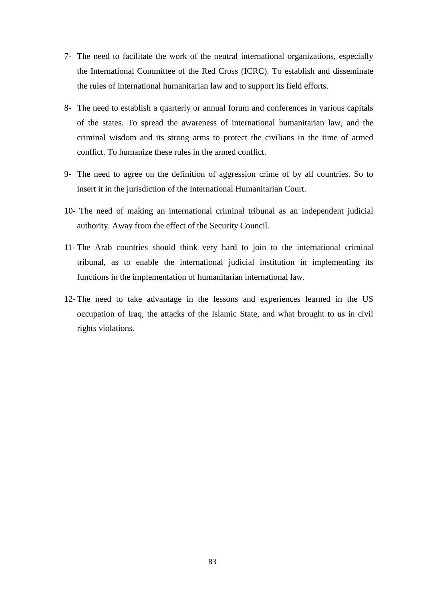- 7- The need to facilitate the work of the neutral international organizations, especially the International Committee of the Red Cross (ICRC). To establish and disseminate the rules of international humanitarian law and to support its field efforts.
- 8- The need to establish a quarterly or annual forum and conferences in various capitals of the states. To spread the awareness of international humanitarian law, and the criminal wisdom and its strong arms to protect the civilians in the time of armed conflict. To humanize these rules in the armed conflict.
- 9- The need to agree on the definition of aggression crime of by all countries. So to insert it in the jurisdiction of the International Humanitarian Court.
- 10- The need of making an international criminal tribunal as an independent judicial authority. Away from the effect of the Security Council.
- 11- The Arab countries should think very hard to join to the international criminal tribunal, as to enable the international judicial institution in implementing its functions in the implementation of humanitarian international law.
- 12- The need to take advantage in the lessons and experiences learned in the US occupation of Iraq, the attacks of the Islamic State, and what brought to us in civil rights violations.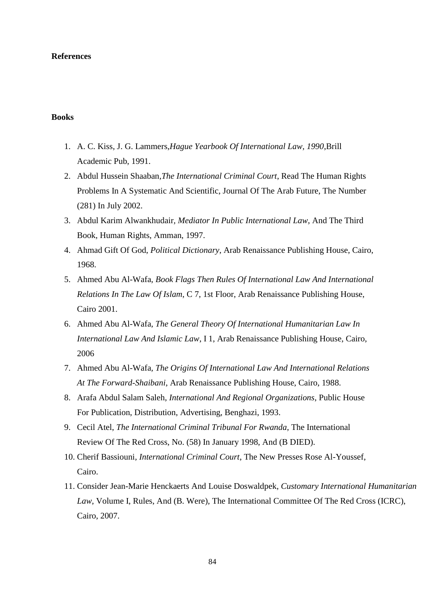#### **References**

# **Books**

- 1. A. C. Kiss, J. G. Lammers,*Hague Yearbook Of International Law, 1990*,Brill Academic Pub, 1991.
- 2. Abdul Hussein Shaaban*,The International Criminal Court*, Read The Human Rights Problems In A Systematic And Scientific, Journal Of The Arab Future, The Number (281) In July 2002.
- 3. Abdul Karim Alwankhudair*, Mediator In Public International Law*, And The Third Book, Human Rights, Amman, 1997.
- 4. Ahmad Gift Of God, *Political Dictionary*, Arab Renaissance Publishing House, Cairo, 1968.
- 5. Ahmed Abu Al-Wafa, *Book Flags Then Rules Of International Law And International Relations In The Law Of Islam*, C 7, 1st Floor, Arab Renaissance Publishing House, Cairo 2001.
- 6. Ahmed Abu Al-Wafa, *The General Theory Of International Humanitarian Law In International Law And Islamic Law*, I 1, Arab Renaissance Publishing House, Cairo, 2006
- 7. Ahmed Abu Al-Wafa*, The Origins Of International Law And International Relations At The Forward-Shaibani*, Arab Renaissance Publishing House, Cairo, 1988.
- 8. Arafa Abdul Salam Saleh, *International And Regional Organizations*, Public House For Publication, Distribution, Advertising, Benghazi, 1993.
- 9. Cecil Atel, *The International Criminal Tribunal For Rwanda*, The International Review Of The Red Cross, No. (58) In January 1998, And (B DIED).
- 10. Cherif Bassiouni*, International Criminal Court*, The New Presses Rose Al-Youssef, Cairo.
- 11. Consider Jean-Marie Henckaerts And Louise Doswaldpek, *Customary International Humanitarian Law*, Volume I, Rules, And (B. Were), The International Committee Of The Red Cross (ICRC), Cairo, 2007.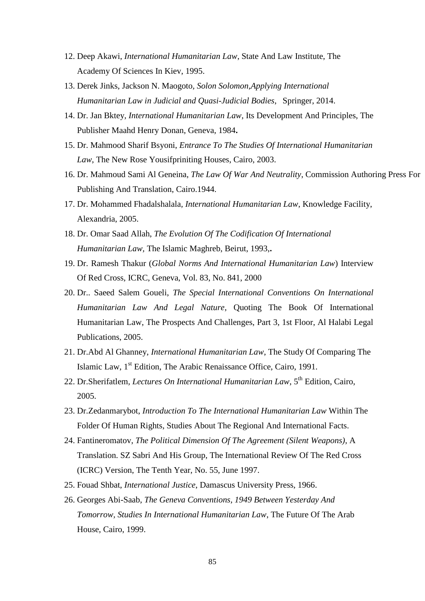- 12. Deep Akawi, *International Humanitarian Law*, State And Law Institute, The Academy Of Sciences In Kiev, 1995.
- 13. Derek Jinks, Jackson N. Maogoto*, Solon Solomon,Applying International Humanitarian Law in Judicial and Quasi-Judicial Bodies*, Springer, 2014.
- 14. Dr. Jan Bktey*, International Humanitarian Law*, Its Development And Principles, The Publisher Maahd Henry Donan, Geneva, 1984**.**
- 15. Dr. Mahmood Sharif Bsyoni, *Entrance To The Studies Of International Humanitarian Law*, The New Rose Yousifpriniting Houses, Cairo, 2003.
- 16. Dr. Mahmoud Sami Al Geneina, *The Law Of War And Neutrality*, Commission Authoring Press For Publishing And Translation, Cairo.1944.
- 17. Dr. Mohammed Fhadalshalala*, International Humanitarian Law*, Knowledge Facility, Alexandria, 2005.
- 18. Dr. Omar Saad Allah, *The Evolution Of The Codification Of International Humanitarian Law,* The Islamic Maghreb, Beirut, 1993,**.**
- 19. Dr. Ramesh Thakur (*Global Norms And International Humanitarian Law*) Interview Of Red Cross, ICRC, Geneva, Vol. 83, No. 841, 2000
- 20. Dr.. Saeed Salem Goueli, *The Special International Conventions On International Humanitarian Law And Legal Nature*, Quoting The Book Of International Humanitarian Law, The Prospects And Challenges, Part 3, 1st Floor, Al Halabi Legal Publications, 2005.
- 21. Dr.Abd Al Ghanney, *International Humanitarian Law*, The Study Of Comparing The Islamic Law, 1<sup>st</sup> Edition, The Arabic Renaissance Office, Cairo, 1991.
- 22. Dr.Sherifatlem, Lectures On International Humanitarian Law, 5<sup>th</sup> Edition, Cairo, 2005.
- 23. Dr.Zedanmarybot, *Introduction To The International Humanitarian Law* Within The Folder Of Human Rights, Studies About The Regional And International Facts.
- 24. Fantineromatov, *The Political Dimension Of The Agreement (Silent Weapons)*, A Translation. SZ Sabri And His Group, The International Review Of The Red Cross (ICRC) Version, The Tenth Year, No. 55, June 1997.
- 25. Fouad Shbat, *International Justice*, Damascus University Press, 1966.
- 26. Georges Abi-Saab, *The Geneva Conventions, 1949 Between Yesterday And Tomorrow, Studies In International Humanitarian Law*, The Future Of The Arab House, Cairo, 1999.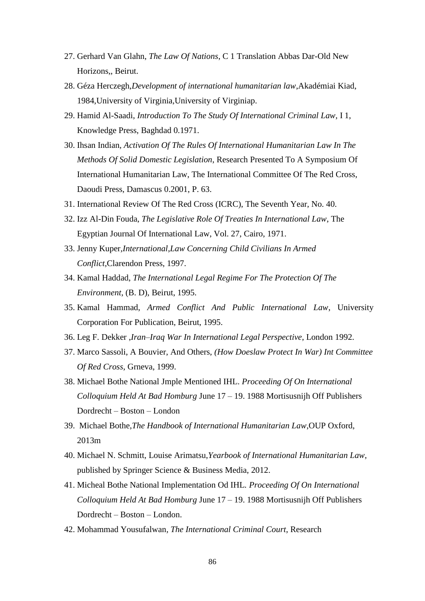- 27. Gerhard Van Glahn, *The Law Of Nations*, C 1 Translation Abbas Dar-Old New Horizons,, Beirut.
- 28. Géza Herczegh,*Development of international humanitarian law*,Akadémiai Kiad, 1984,University of Virginia,University of Virginiap.
- 29. Hamid Al-Saadi, *Introduction To The Study Of International Criminal Law*, I 1, Knowledge Press, Baghdad 0.1971.
- 30. Ihsan Indian*, Activation Of The Rules Of International Humanitarian Law In The Methods Of Solid Domestic Legislation*, Research Presented To A Symposium Of International Humanitarian Law, The International Committee Of The Red Cross, Daoudi Press, Damascus 0.2001, P. 63.
- 31. International Review Of The Red Cross (ICRC), The Seventh Year, No. 40.
- 32. Izz Al-Din Fouda, *The Legislative Role Of Treaties In International Law*, The Egyptian Journal Of International Law, Vol. 27, Cairo, 1971.
- 33. Jenny Kuper*,International*,*Law Concerning Child Civilians In Armed Conflict*,Clarendon Press, 1997.
- 34. Kamal Haddad, *The International Legal Regime For The Protection Of The Environment*, (B. D), Beirut, 1995.
- 35. Kamal Hammad, *Armed Conflict And Public International Law*, University Corporation For Publication, Beirut, 1995.
- 36. Leg F. Dekker ,*Iran–Iraq War In International Legal Perspective*, London 1992.
- 37. Marco Sassoli, A Bouvier, And Others, *(How Doeslaw Protect In War) Int Committee Of Red Cross*, Grneva, 1999.
- 38. Michael Bothe National Jmple Mentioned IHL. *Proceeding Of On International Colloquium Held At Bad Homburg* June 17 – 19. 1988 Mortisusnijh Off Publishers Dordrecht – Boston – London
- 39. Michael Bothe,*The Handbook of International Humanitarian Law*,OUP Oxford, 2013m
- 40. Michael N. Schmitt, Louise Arimatsu,*Yearbook of International Humanitarian Law*, published by Springer Science & Business Media, 2012.
- 41. Micheal Bothe National Implementation Od IHL*. Proceeding Of On International Colloquium Held At Bad Homburg* June 17 – 19. 1988 Mortisusnijh Off Publishers Dordrecht – Boston – London.
- 42. Mohammad Yousufalwan*, The International Criminal Court*, Research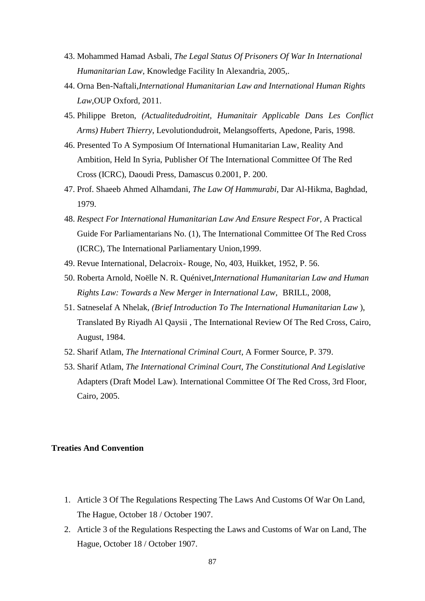- 43. Mohammed Hamad Asbali, *The Legal Status Of Prisoners Of War In International Humanitarian Law*, Knowledge Facility In Alexandria, 2005,.
- 44. Orna Ben-Naftali,*International Humanitarian Law and International Human Rights Law*,OUP Oxford, 2011.
- 45. Philippe Breton, *(Actualitedudroitint, Humanitair Applicable Dans Les Conflict Arms) Hubert Thierry*, Levolutiondudroit, Melangsofferts, Apedone, Paris, 1998.
- 46. Presented To A Symposium Of International Humanitarian Law, Reality And Ambition, Held In Syria, Publisher Of The International Committee Of The Red Cross (ICRC), Daoudi Press, Damascus 0.2001, P. 200.
- 47. Prof. Shaeeb Ahmed Alhamdani*, The Law Of Hammurabi*, Dar Al-Hikma, Baghdad, 1979.
- 48. *Respect For International Humanitarian Law And Ensure Respect For*, A Practical Guide For Parliamentarians No. (1), The International Committee Of The Red Cross (ICRC), The International Parliamentary Union,1999.
- 49. Revue International, Delacroix- Rouge, No, 403, Huikket, 1952, P. 56.
- 50. Roberta Arnold, Noëlle N. R. Quénivet,*International Humanitarian Law and Human Rights Law: Towards a New Merger in International Law*, BRILL, 2008,
- 51. Satneselaf A Nhelak, *(Brief Introduction To The International Humanitarian Law* ), Translated By Riyadh Al Qaysii , The International Review Of The Red Cross, Cairo, August, 1984.
- 52. Sharif Atlam*, The International Criminal Court*, A Former Source, P. 379.
- 53. Sharif Atlam, *The International Criminal Court, The Constitutional And Legislative*  Adapters (Draft Model Law). International Committee Of The Red Cross, 3rd Floor, Cairo, 2005.

#### **Treaties And Convention**

- 1. Article 3 Of The Regulations Respecting The Laws And Customs Of War On Land, The Hague, October 18 / October 1907.
- 2. Article 3 of the Regulations Respecting the Laws and Customs of War on Land, The Hague, October 18 / October 1907.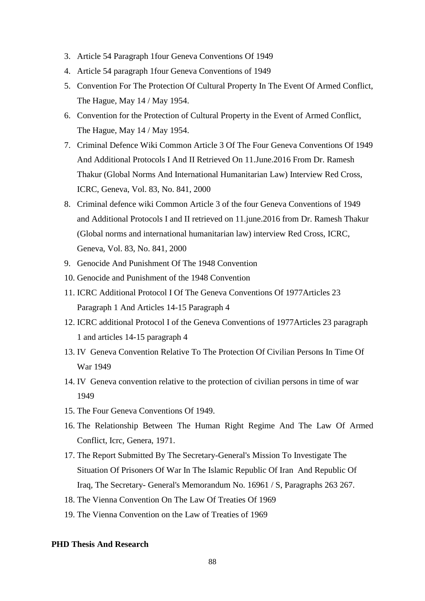- 3. Article 54 Paragraph 1four Geneva Conventions Of 1949
- 4. Article 54 paragraph 1four Geneva Conventions of 1949
- 5. Convention For The Protection Of Cultural Property In The Event Of Armed Conflict, The Hague, May 14 / May 1954.
- 6. Convention for the Protection of Cultural Property in the Event of Armed Conflict, The Hague, May 14 / May 1954.
- 7. Criminal Defence Wiki Common Article 3 Of The Four Geneva Conventions Of 1949 And Additional Protocols I And II Retrieved On 11.June.2016 From Dr. Ramesh Thakur (Global Norms And International Humanitarian Law) Interview Red Cross, ICRC, Geneva, Vol. 83, No. 841, 2000
- 8. Criminal defence wiki Common Article 3 of the four Geneva Conventions of 1949 and Additional Protocols I and II retrieved on 11.june.2016 from Dr. Ramesh Thakur (Global norms and international humanitarian law) interview Red Cross, ICRC, Geneva, Vol. 83, No. 841, 2000
- 9. Genocide And Punishment Of The 1948 Convention
- 10. Genocide and Punishment of the 1948 Convention
- 11. ICRC Additional Protocol I Of The Geneva Conventions Of 1977Articles 23 Paragraph 1 And Articles 14-15 Paragraph 4
- 12. ICRC additional Protocol I of the Geneva Conventions of 1977Articles 23 paragraph 1 and articles 14-15 paragraph 4
- 13. IV Geneva Convention Relative To The Protection Of Civilian Persons In Time Of War 1949
- 14. IV Geneva convention relative to the protection of civilian persons in time of war 1949
- 15. The Four Geneva Conventions Of 1949.
- 16. The Relationship Between The Human Right Regime And The Law Of Armed Conflict, Icrc, Genera, 1971.
- 17. The Report Submitted By The Secretary-General's Mission To Investigate The Situation Of Prisoners Of War In The Islamic Republic Of Iran And Republic Of Iraq, The Secretary- General's Memorandum No. 16961 / S, Paragraphs 263 267.
- 18. The Vienna Convention On The Law Of Treaties Of 1969
- 19. The Vienna Convention on the Law of Treaties of 1969

# **PHD Thesis And Research**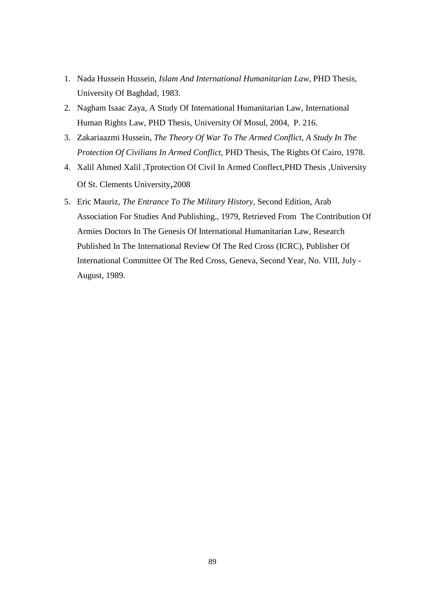- 1. Nada Hussein Hussein*, Islam And International Humanitarian Law*, PHD Thesis, University Of Baghdad, 1983.
- 2. Nagham Isaac Zaya, A Study Of International Humanitarian Law, International Human Rights Law, PHD Thesis, University Of Mosul, 2004, P. 216.
- 3. Zakariaazmi Hussein, *The Theory Of War To The Armed Conflict, A Study In The Protection Of Civilians In Armed Conflict,* PHD Thesis, The Rights Of Cairo, 1978.
- 4. Xalil Ahmed Xalil ,Tprotection Of Civil In Armed Conflect,PHD Thesis ,University Of St. Clements University,2008
- 5. Eric Mauriz, *The Entrance To The Military History*, Second Edition, Arab Association For Studies And Publishing., 1979, Retrieved From The Contribution Of Armies Doctors In The Genesis Of International Humanitarian Law, Research Published In The International Review Of The Red Cross (ICRC), Publisher Of International Committee Of The Red Cross, Geneva, Second Year, No. VIII, July - August, 1989.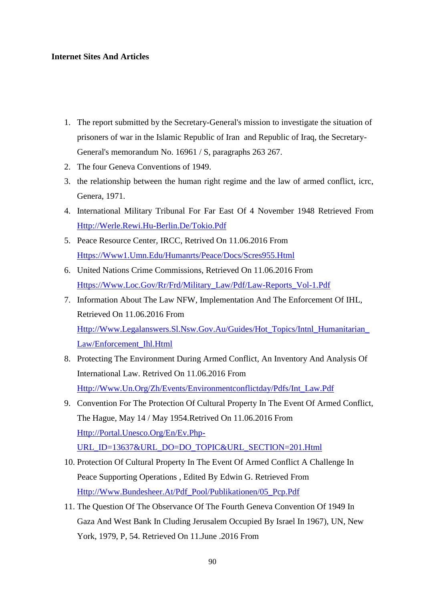# **Internet Sites And Articles**

- 1. The report submitted by the Secretary-General's mission to investigate the situation of prisoners of war in the Islamic Republic of Iran and Republic of Iraq, the Secretary-General's memorandum No. 16961 / S, paragraphs 263 267.
- 2. The four Geneva Conventions of 1949.
- 3. the relationship between the human right regime and the law of armed conflict, icrc, Genera, 1971.
- 4. International Military Tribunal For Far East Of 4 November 1948 Retrieved From [Http://Werle.Rewi.Hu-Berlin.De/Tokio.Pdf](http://werle.rewi.hu-berlin.de/tokio.pdf)
- 5. Peace Resource Center, IRCC, Retrived On 11.06.2016 From [Https://Www1.Umn.Edu/Humanrts/Peace/Docs/Scres955.Html](https://www1.umn.edu/humanrts/peace/docs/scres955.html)
- 6. United Nations Crime Commissions, Retrieved On 11.06.2016 From [Https://Www.Loc.Gov/Rr/Frd/Military\\_Law/Pdf/Law-Reports\\_Vol-1.Pdf](https://www.loc.gov/rr/frd/Military_Law/pdf/Law-Reports_Vol-1.pdf)
- 7. Information About The Law NFW, Implementation And The Enforcement Of IHL, Retrieved On 11.06.2016 From [Http://Www.Legalanswers.Sl.Nsw.Gov.Au/Guides/Hot\\_Topics/Intnl\\_Humanitarian\\_](http://www.legalanswers.sl.nsw.gov.au/guides/hot_topics/intnl_humanitarian_law/enforcement_ihl.html) [Law/Enforcement\\_Ihl.Html](http://www.legalanswers.sl.nsw.gov.au/guides/hot_topics/intnl_humanitarian_law/enforcement_ihl.html)
- 8. Protecting The Environment During Armed Conflict, An Inventory And Analysis Of International Law. Retrived On 11.06.2016 From [Http://Www.Un.Org/Zh/Events/Environmentconflictday/Pdfs/Int\\_Law.Pdf](http://www.un.org/zh/events/environmentconflictday/pdfs/int_law.pdf)
- 9. Convention For The Protection Of Cultural Property In The Event Of Armed Conflict, The Hague, May 14 / May 1954.Retrived On 11.06.2016 From [Http://Portal.Unesco.Org/En/Ev.Php-](http://portal.unesco.org/en/ev.php-URL_ID=13637&URL_DO=DO_TOPIC&URL_SECTION=201.html)[URL\\_ID=13637&URL\\_DO=DO\\_TOPIC&URL\\_SECTION=201.Html](http://portal.unesco.org/en/ev.php-URL_ID=13637&URL_DO=DO_TOPIC&URL_SECTION=201.html)
- 10. Protection Of Cultural Property In The Event Of Armed Conflict A Challenge In Peace Supporting Operations , Edited By Edwin G. Retrieved From [Http://Www.Bundesheer.At/Pdf\\_Pool/Publikationen/05\\_Pcp.Pdf](http://www.bundesheer.at/pdf_pool/publikationen/05_pcp.pdf)
- 11. The Question Of The Observance Of The Fourth Geneva Convention Of 1949 In Gaza And West Bank In Cluding Jerusalem Occupied By Israel In 1967), UN, New York, 1979, P, 54. Retrieved On 11.June .2016 From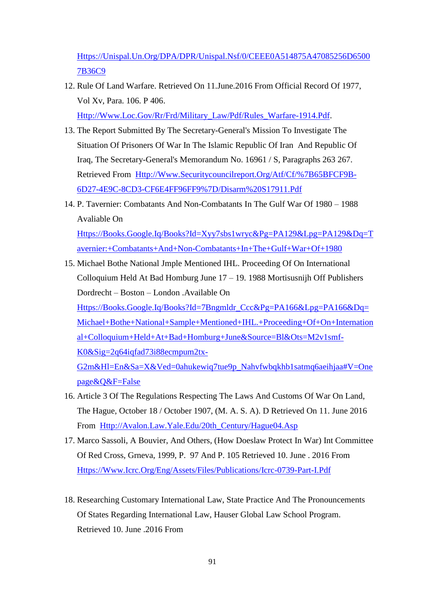[Https://Unispal.Un.Org/DPA/DPR/Unispal.Nsf/0/CEEE0A514875A47085256D6500](https://unispal.un.org/DPA/DPR/unispal.nsf/0/CEEE0A514875A47085256D65007B36C9) [7B36C9](https://unispal.un.org/DPA/DPR/unispal.nsf/0/CEEE0A514875A47085256D65007B36C9)

12. Rule Of Land Warfare. Retrieved On 11.June.2016 From Official Record Of 1977, Vol Xv, Para. 106. P 406.

[Http://Www.Loc.Gov/Rr/Frd/Military\\_Law/Pdf/Rules\\_Warfare-1914.Pdf.](http://www.loc.gov/rr/frd/Military_Law/pdf/rules_warfare-1914.pdf)

- 13. The Report Submitted By The Secretary-General's Mission To Investigate The Situation Of Prisoners Of War In The Islamic Republic Of Iran And Republic Of Iraq, The Secretary-General's Memorandum No. 16961 / S, Paragraphs 263 267. Retrieved From [Http://Www.Securitycouncilreport.Org/Atf/Cf/%7B65BFCF9B-](http://www.securitycouncilreport.org/atf/cf/%7B65BFCF9B-6D27-4E9C-8CD3-CF6E4FF96FF9%7D/Disarm%20S17911.pdf)[6D27-4E9C-8CD3-CF6E4FF96FF9%7D/Disarm%20S17911.Pdf](http://www.securitycouncilreport.org/atf/cf/%7B65BFCF9B-6D27-4E9C-8CD3-CF6E4FF96FF9%7D/Disarm%20S17911.pdf)
- 14. P. Tavernier: Combatants And Non-Combatants In The Gulf War Of 1980 1988 Avaliable On [Https://Books.Google.Iq/Books?Id=Xyy7sbs1wryc&Pg=PA129&Lpg=PA129&Dq=T](https://books.google.iq/books?id=xYy7sbS1wrYC&pg=PA129&lpg=PA129&dq=Tavernier:+Combatants+and+non-combatants+in+the+Gulf+war+of+1980)

[avernier:+Combatants+And+Non-Combatants+In+The+Gulf+War+Of+1980](https://books.google.iq/books?id=xYy7sbS1wrYC&pg=PA129&lpg=PA129&dq=Tavernier:+Combatants+and+non-combatants+in+the+Gulf+war+of+1980)

- 15. Michael Bothe National Jmple Mentioned IHL. Proceeding Of On International Colloquium Held At Bad Homburg June 17 – 19. 1988 Mortisusnijh Off Publishers Dordrecht – Boston – London .Available On [Https://Books.Google.Iq/Books?Id=7Bngmldr\\_Ccc&Pg=PA166&Lpg=PA166&Dq=](https://books.google.iq/books?id=7Bngmldr_CcC&pg=PA166&lpg=PA166&dq=Michael+Bothe+National+Sample+mentioned+IHL.+Proceeding+of+on+international+colloquium+held+at+Bad+Homburg+June&source=bl&ots=M2V1SMf-k0&sig=2Q64iQfaD73I88ECMpum2tX-g2M&hl=en&sa=X&ved=0ahUKEwiq7tue9p_NAhVFwBQKHb1sATMQ6AEIHjAA#v=onepage&q&f=false) [Michael+Bothe+National+Sample+Mentioned+IHL.+Proceeding+Of+On+Internation](https://books.google.iq/books?id=7Bngmldr_CcC&pg=PA166&lpg=PA166&dq=Michael+Bothe+National+Sample+mentioned+IHL.+Proceeding+of+on+international+colloquium+held+at+Bad+Homburg+June&source=bl&ots=M2V1SMf-k0&sig=2Q64iQfaD73I88ECMpum2tX-g2M&hl=en&sa=X&ved=0ahUKEwiq7tue9p_NAhVFwBQKHb1sATMQ6AEIHjAA#v=onepage&q&f=false) [al+Colloquium+Held+At+Bad+Homburg+June&Source=Bl&Ots=M2v1smf-](https://books.google.iq/books?id=7Bngmldr_CcC&pg=PA166&lpg=PA166&dq=Michael+Bothe+National+Sample+mentioned+IHL.+Proceeding+of+on+international+colloquium+held+at+Bad+Homburg+June&source=bl&ots=M2V1SMf-k0&sig=2Q64iQfaD73I88ECMpum2tX-g2M&hl=en&sa=X&ved=0ahUKEwiq7tue9p_NAhVFwBQKHb1sATMQ6AEIHjAA#v=onepage&q&f=false)[K0&Sig=2q64iqfad73i88ecmpum2tx-](https://books.google.iq/books?id=7Bngmldr_CcC&pg=PA166&lpg=PA166&dq=Michael+Bothe+National+Sample+mentioned+IHL.+Proceeding+of+on+international+colloquium+held+at+Bad+Homburg+June&source=bl&ots=M2V1SMf-k0&sig=2Q64iQfaD73I88ECMpum2tX-g2M&hl=en&sa=X&ved=0ahUKEwiq7tue9p_NAhVFwBQKHb1sATMQ6AEIHjAA#v=onepage&q&f=false)[G2m&Hl=En&Sa=X&Ved=0ahukewiq7tue9p\\_Nahvfwbqkhb1satmq6aeihjaa#V=One](https://books.google.iq/books?id=7Bngmldr_CcC&pg=PA166&lpg=PA166&dq=Michael+Bothe+National+Sample+mentioned+IHL.+Proceeding+of+on+international+colloquium+held+at+Bad+Homburg+June&source=bl&ots=M2V1SMf-k0&sig=2Q64iQfaD73I88ECMpum2tX-g2M&hl=en&sa=X&ved=0ahUKEwiq7tue9p_NAhVFwBQKHb1sATMQ6AEIHjAA#v=onepage&q&f=false) [page&Q&F=False](https://books.google.iq/books?id=7Bngmldr_CcC&pg=PA166&lpg=PA166&dq=Michael+Bothe+National+Sample+mentioned+IHL.+Proceeding+of+on+international+colloquium+held+at+Bad+Homburg+June&source=bl&ots=M2V1SMf-k0&sig=2Q64iQfaD73I88ECMpum2tX-g2M&hl=en&sa=X&ved=0ahUKEwiq7tue9p_NAhVFwBQKHb1sATMQ6AEIHjAA#v=onepage&q&f=false)
- 16. Article 3 Of The Regulations Respecting The Laws And Customs Of War On Land, The Hague, October 18 / October 1907, (M. A. S. A). D Retrieved On 11. June 2016 From Http://Avalon.Law.Yale.Edu/20th Century/Hague04.Asp
- 17. Marco Sassoli, A Bouvier, And Others, (How Doeslaw Protect In War) Int Committee Of Red Cross, Grneva, 1999, P. 97 And P. 105 Retrieved 10. June . 2016 From [Https://Www.Icrc.Org/Eng/Assets/Files/Publications/Icrc-0739-Part-I.Pdf](https://www.icrc.org/eng/assets/files/publications/icrc-0739-part-i.pdf)
- 18. Researching Customary International Law, State Practice And The Pronouncements Of States Regarding International Law, Hauser Global Law School Program. Retrieved 10. June 2016 From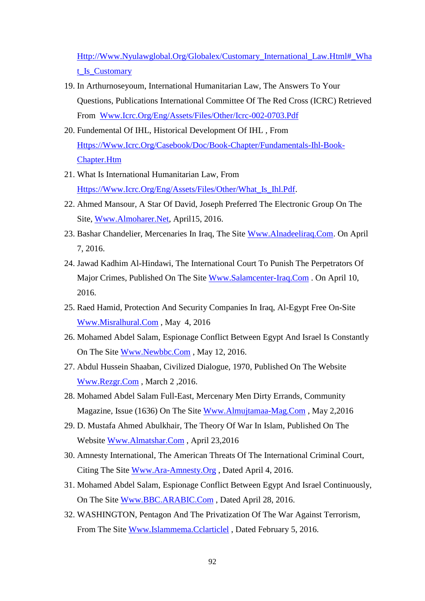[Http://Www.Nyulawglobal.Org/Globalex/Customary\\_International\\_Law.Html#\\_Wha](http://www.nyulawglobal.org/globalex/Customary_International_Law.html#_What_is_Customary) [t\\_Is\\_Customary](http://www.nyulawglobal.org/globalex/Customary_International_Law.html#_What_is_Customary)

- 19. In Arthurnoseyoum, International Humanitarian Law, The Answers To Your Questions, Publications International Committee Of The Red Cross (ICRC) Retrieved From [Www.Icrc.Org/Eng/Assets/Files/Other/Icrc-002-0703.Pdf](http://www.icrc.org/eng/assets/files/other/icrc-002-0703.pdf)
- 20. Fundemental Of IHL, Historical Development Of IHL , From [Https://Www.Icrc.Org/Casebook/Doc/Book-Chapter/Fundamentals-Ihl-Book-](https://www.icrc.org/casebook/doc/book-chapter/fundamentals-ihl-book-chapter.htm)[Chapter.Htm](https://www.icrc.org/casebook/doc/book-chapter/fundamentals-ihl-book-chapter.htm)
- 21. What Is International Humanitarian Law, From [Https://Www.Icrc.Org/Eng/Assets/Files/Other/What\\_Is\\_Ihl.Pdf.](https://www.icrc.org/eng/assets/files/other/what_is_ihl.pdf)
- 22. Ahmed Mansour, A Star Of David, Joseph Preferred The Electronic Group On The Site, [Www.Almoharer.Net,](http://www.almoharer.net/) April15, 2016.
- 23. Bashar Chandelier, Mercenaries In Iraq, The Site [Www.Alnadeeliraq.Com.](http://www.alnadeeliraq.com/) On April 7, 2016.
- 24. Jawad Kadhim Al-Hindawi, The International Court To Punish The Perpetrators Of Major Crimes, Published On The Site [Www.Salamcenter-Iraq.Com](http://www.salamcenter-iraq.com/) . On April 10, 2016.
- 25. Raed Hamid, Protection And Security Companies In Iraq, Al-Egypt Free On-Site [Www.Misralhural.Com](http://www.misralhural.com/) , May 4, 2016
- 26. Mohamed Abdel Salam, Espionage Conflict Between Egypt And Israel Is Constantly On The Site [Www.Newbbc.Com](http://www.newbbc.com/) , May 12, 2016.
- 27. Abdul Hussein Shaaban, Civilized Dialogue, 1970, Published On The Website [Www.Rezgr.Com](http://www.rezgr.com/) , March 2 ,2016.
- 28. Mohamed Abdel Salam Full-East, Mercenary Men Dirty Errands, Community Magazine, Issue (1636) On The Site [Www.Almujtamaa-Mag.Com](http://www.almujtamaa-mag.com/) , May 2,2016
- 29. D. Mustafa Ahmed Abulkhair, The Theory Of War In Islam, Published On The Website [Www.Almatshar.Com](http://www.almatshar.com/) , April 23,2016
- 30. Amnesty International, The American Threats Of The International Criminal Court, Citing The Site [Www.Ara-Amnesty.Org](http://www.ara-amnesty.org/) , Dated April 4, 2016.
- 31. Mohamed Abdel Salam, Espionage Conflict Between Egypt And Israel Continuously, On The Site [Www.BBC.ARABIC.Com](http://www.bbc.arabic.com/) , Dated April 28, 2016.
- 32. WASHINGTON, Pentagon And The Privatization Of The War Against Terrorism, From The Site [Www.Islammema.Cclarticlel](http://www.islammema.cclarticlel/) , Dated February 5, 2016.